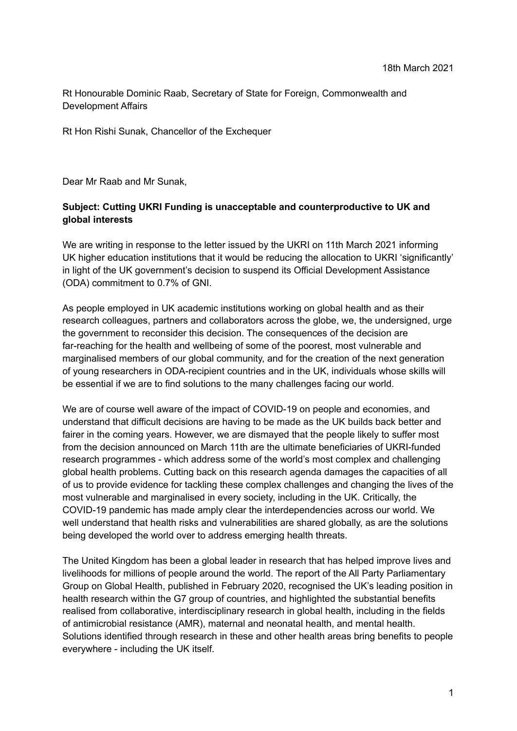Rt Honourable Dominic Raab, Secretary of State for Foreign, Commonwealth and Development Affairs

Rt Hon Rishi Sunak, Chancellor of the Exchequer

Dear Mr Raab and Mr Sunak,

# **Subject: Cutting UKRI Funding is unacceptable and counterproductive to UK and global interests**

We are writing in response to the letter issued by the UKRI on 11th March 2021 informing UK higher education institutions that it would be reducing the allocation to UKRI 'significantly' in light of the UK government's decision to suspend its Official Development Assistance (ODA) commitment to 0.7% of GNI.

As people employed in UK academic institutions working on global health and as their research colleagues, partners and collaborators across the globe, we, the undersigned, urge the government to reconsider this decision. The consequences of the decision are far-reaching for the health and wellbeing of some of the poorest, most vulnerable and marginalised members of our global community, and for the creation of the next generation of young researchers in ODA-recipient countries and in the UK, individuals whose skills will be essential if we are to find solutions to the many challenges facing our world.

We are of course well aware of the impact of COVID-19 on people and economies, and understand that difficult decisions are having to be made as the UK builds back better and fairer in the coming years. However, we are dismayed that the people likely to suffer most from the decision announced on March 11th are the ultimate beneficiaries of UKRI-funded research programmes - which address some of the world's most complex and challenging global health problems. Cutting back on this research agenda damages the capacities of all of us to provide evidence for tackling these complex challenges and changing the lives of the most vulnerable and marginalised in every society, including in the UK. Critically, the COVID-19 pandemic has made amply clear the interdependencies across our world. We well understand that health risks and vulnerabilities are shared globally, as are the solutions being developed the world over to address emerging health threats.

The United Kingdom has been a global leader in research that has helped improve lives and livelihoods for millions of people around the world. The report of the All Party Parliamentary Group on Global Health, published in February 2020, recognised the UK's leading position in health research within the G7 group of countries, and highlighted the substantial benefits realised from collaborative, interdisciplinary research in global health, including in the fields of antimicrobial resistance (AMR), maternal and neonatal health, and mental health. Solutions identified through research in these and other health areas bring benefits to people everywhere - including the UK itself.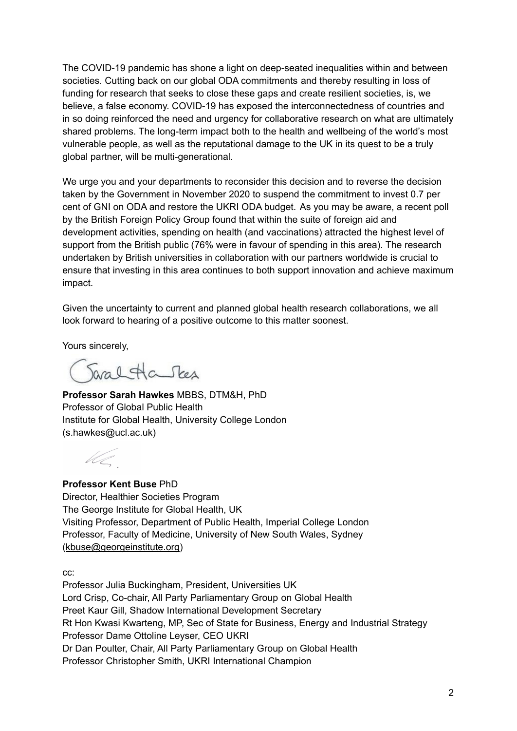The COVID-19 pandemic has shone a light on deep-seated inequalities within and between societies. Cutting back on our global ODA commitments and thereby resulting in loss of funding for research that seeks to close these gaps and create resilient societies, is, we believe, a false economy. COVID-19 has exposed the interconnectedness of countries and in so doing reinforced the need and urgency for collaborative research on what are ultimately shared problems. The long-term impact both to the health and wellbeing of the world's most vulnerable people, as well as the reputational damage to the UK in its quest to be a truly global partner, will be multi-generational.

We urge you and your departments to reconsider this decision and to reverse the decision taken by the Government in November 2020 to suspend the commitment to invest 0.7 per cent of GNI on ODA and restore the UKRI ODA budget. As you may be aware, a recent poll by the British Foreign Policy Group found that within the suite of foreign aid and development activities, spending on health (and vaccinations) attracted the highest level of support from the British public (76% were in favour of spending in this area). The research undertaken by British universities in collaboration with our partners worldwide is crucial to ensure that investing in this area continues to both support innovation and achieve maximum impact.

Given the uncertainty to current and planned global health research collaborations, we all look forward to hearing of a positive outcome to this matter soonest.

Yours sincerely,

Saral Ha Stes

**Professor Sarah Hawkes** MBBS, DTM&H, PhD Professor of Global Public Health Institute for Global Health, University College London ([s.hawkes@ucl.ac.uk](mailto:s.hawkes@ucl.ac.uk))

UC

**Professor Kent Buse** PhD Director, Healthier Societies Program The George Institute for Global Health, UK Visiting Professor, Department of Public Health, Imperial College London Professor, Faculty of Medicine, University of New South Wales, Sydney ([kbuse@georgeinstitute.org](mailto:kbuse@georgeinstitute.org.uk))

cc:

Professor Julia Buckingham, President, Universities UK Lord Crisp, Co-chair, All Party Parliamentary Group on Global Health Preet Kaur Gill, Shadow International Development Secretary Rt Hon Kwasi Kwarteng, MP, Sec of State for Business, Energy and Industrial Strategy Professor Dame Ottoline Leyser, CEO UKRI Dr Dan Poulter, Chair, All Party Parliamentary Group on Global Health Professor Christopher Smith, UKRI International Champion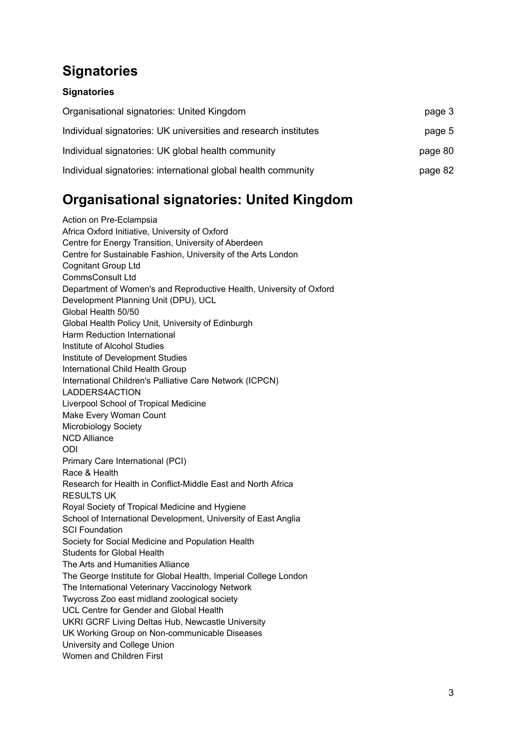# <span id="page-2-0"></span>**Signatories**

# **[Signatories](#page-2-0)**

| Organisational signatories: United Kingdom<br>Individual signatories: UK universities and research institutes | page 3<br>page 5 |
|---------------------------------------------------------------------------------------------------------------|------------------|
|                                                                                                               |                  |
| Individual signatories: international global health community                                                 | page 82          |

# <span id="page-2-1"></span>**Organisational signatories: United Kingdom**

Action on Pre-Eclampsia Africa Oxford Initiative, University of Oxford Centre for Energy Transition, University of Aberdeen Centre for Sustainable Fashion, University of the Arts London Cognitant Group Ltd CommsConsult Ltd Department of Women's and Reproductive Health, University of Oxford Development Planning Unit (DPU), UCL Global Health 50/50 Global Health Policy Unit, University of Edinburgh Harm Reduction International Institute of Alcohol Studies Institute of Development Studies International Child Health Group International Children's Palliative Care Network (ICPCN) LADDERS4ACTION Liverpool School of Tropical Medicine Make Every Woman Count Microbiology Society NCD Alliance ODI Primary Care International (PCI) Race & Health Research for Health in Conflict-Middle East and North Africa RESULTS UK Royal Society of Tropical Medicine and Hygiene School of International Development, University of East Anglia SCI Foundation Society for Social Medicine and Population Health Students for Global Health The Arts and Humanities Alliance The George Institute for Global Health, Imperial College London The International Veterinary Vaccinology Network Twycross Zoo east midland zoological society UCL Centre for Gender and Global Health UKRI GCRF Living Deltas Hub, Newcastle University UK Working Group on Non-communicable Diseases University and College Union Women and Children First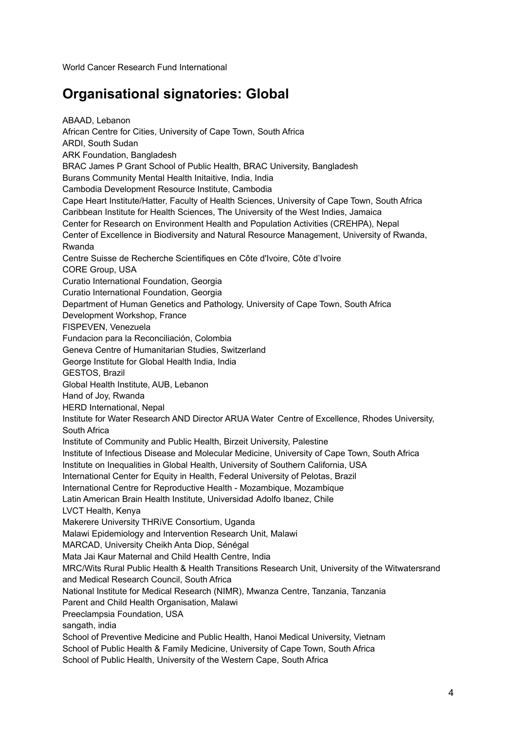World Cancer Research Fund International

# **Organisational signatories: Global**

ABAAD, Lebanon African Centre for Cities, University of Cape Town, South Africa ARDI, South Sudan ARK Foundation, Bangladesh BRAC James P Grant School of Public Health, BRAC University, Bangladesh Burans Community Mental Health Initaitive, India, India Cambodia Development Resource Institute, Cambodia Cape Heart Institute/Hatter, Faculty of Health Sciences, University of Cape Town, South Africa Caribbean Institute for Health Sciences, The University of the West Indies, Jamaica Center for Research on Environment Health and Population Activities (CREHPA), Nepal Center of Excellence in Biodiversity and Natural Resource Management, University of Rwanda, Rwanda Centre Suisse de Recherche Scientifiques en Côte d'Ivoire, Côte d'Ivoire CORE Group, USA Curatio International Foundation, Georgia Curatio International Foundation, Georgia Department of Human Genetics and Pathology, University of Cape Town, South Africa Development Workshop, France FISPEVEN, Venezuela Fundacion para la Reconciliación, Colombia Geneva Centre of Humanitarian Studies, Switzerland George Institute for Global Health India, India GESTOS, Brazil Global Health Institute, AUB, Lebanon Hand of Joy, Rwanda HERD International, Nepal Institute for Water Research AND Director ARUA Water Centre of Excellence, Rhodes University, South Africa Institute of Community and Public Health, Birzeit University, Palestine Institute of Infectious Disease and Molecular Medicine, University of Cape Town, South Africa Institute on Inequalities in Global Health, University of Southern California, USA International Center for Equity in Health, Federal University of Pelotas, Brazil International Centre for Reproductive Health - Mozambique, Mozambique Latin American Brain Health Institute, Universidad Adolfo Ibanez, Chile LVCT Health, Kenya Makerere University THRiVE Consortium, Uganda Malawi Epidemiology and Intervention Research Unit, Malawi MARCAD, University Cheikh Anta Diop, Sénégal Mata Jai Kaur Maternal and Child Health Centre, India MRC/Wits Rural Public Health & Health Transitions Research Unit, University of the Witwatersrand and Medical Research Council, South Africa National Institute for Medical Research (NIMR), Mwanza Centre, Tanzania, Tanzania Parent and Child Health Organisation, Malawi Preeclampsia Foundation, USA sangath, india School of Preventive Medicine and Public Health, Hanoi Medical University, Vietnam School of Public Health & Family Medicine, University of Cape Town, South Africa School of Public Health, University of the Western Cape, South Africa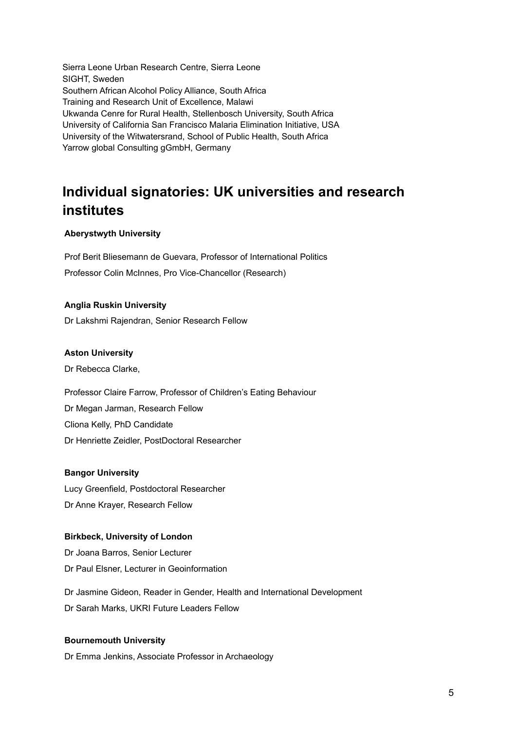Sierra Leone Urban Research Centre, Sierra Leone SIGHT, Sweden Southern African Alcohol Policy Alliance, South Africa Training and Research Unit of Excellence, Malawi Ukwanda Cenre for Rural Health, Stellenbosch University, South Africa University of California San Francisco Malaria Elimination Initiative, USA University of the Witwatersrand, School of Public Health, South Africa Yarrow global Consulting gGmbH, Germany

# <span id="page-4-0"></span>**Individual signatories: UK universities and research institutes**

## **Aberystwyth University**

Prof Berit Bliesemann de Guevara, Professor of International Politics Professor Colin McInnes, Pro Vice-Chancellor (Research)

### **Anglia Ruskin University**

Dr Lakshmi Rajendran, Senior Research Fellow

### **Aston University**

Dr Rebecca Clarke,

Professor Claire Farrow, Professor of Children's Eating Behaviour Dr Megan Jarman, Research Fellow Cliona Kelly, PhD Candidate Dr Henriette Zeidler, PostDoctoral Researcher

### **Bangor University**

Lucy Greenfield, Postdoctoral Researcher Dr Anne Krayer, Research Fellow

# **Birkbeck, University of London**

Dr Joana Barros, Senior Lecturer Dr Paul Elsner, Lecturer in Geoinformation

Dr Jasmine Gideon, Reader in Gender, Health and International Development Dr Sarah Marks, UKRI Future Leaders Fellow

### **Bournemouth University**

Dr Emma Jenkins, Associate Professor in Archaeology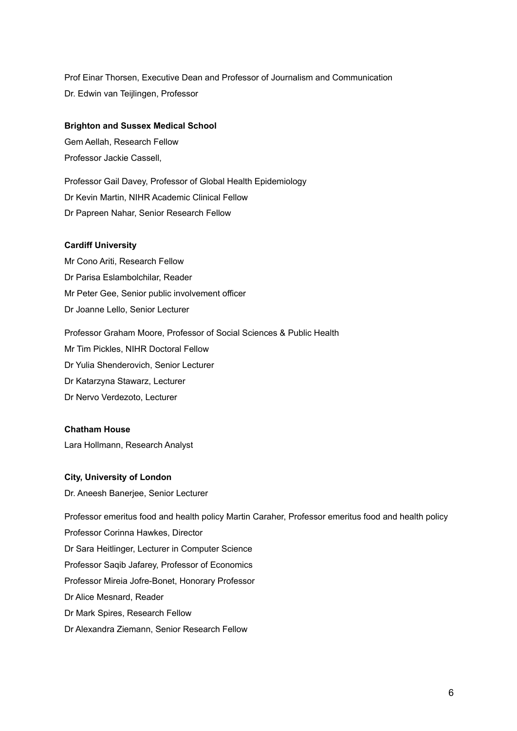Prof Einar Thorsen, Executive Dean and Professor of Journalism and Communication Dr. Edwin van Teijlingen, Professor

### **Brighton and Sussex Medical School**

Gem Aellah, Research Fellow Professor Jackie Cassell,

Professor Gail Davey, Professor of Global Health Epidemiology Dr Kevin Martin, NIHR Academic Clinical Fellow Dr Papreen Nahar, Senior Research Fellow

### **Cardiff University**

Mr Cono Ariti, Research Fellow Dr Parisa Eslambolchilar, Reader Mr Peter Gee, Senior public involvement officer Dr Joanne Lello, Senior Lecturer

Professor Graham Moore, Professor of Social Sciences & Public Health Mr Tim Pickles, NIHR Doctoral Fellow Dr Yulia Shenderovich, Senior Lecturer Dr Katarzyna Stawarz, Lecturer Dr Nervo Verdezoto, Lecturer

#### **Chatham House**

Lara Hollmann, Research Analyst

### **City, University of London**

Dr. Aneesh Banerjee, Senior Lecturer

Professor emeritus food and health policy Martin Caraher, Professor emeritus food and health policy Professor Corinna Hawkes, Director Dr Sara Heitlinger, Lecturer in Computer Science Professor Saqib Jafarey, Professor of Economics Professor Mireia Jofre-Bonet, Honorary Professor Dr Alice Mesnard, Reader Dr Mark Spires, Research Fellow Dr Alexandra Ziemann, Senior Research Fellow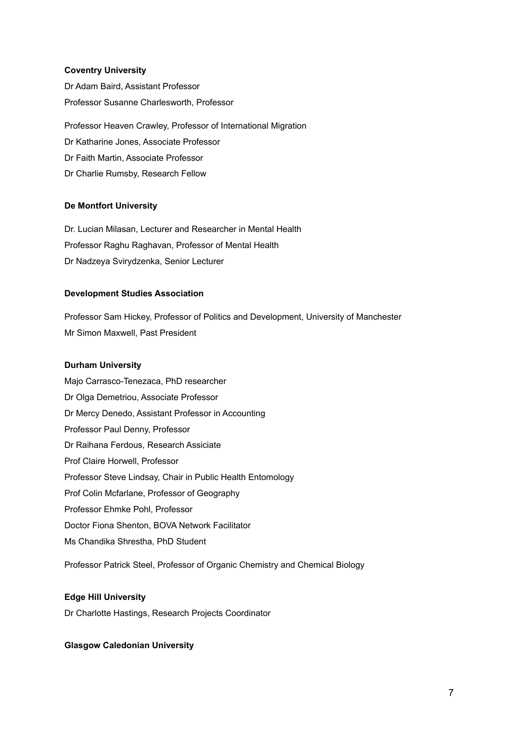### **Coventry University**

Dr Adam Baird, Assistant Professor Professor Susanne Charlesworth, Professor

Professor Heaven Crawley, Professor of International Migration Dr Katharine Jones, Associate Professor Dr Faith Martin, Associate Professor Dr Charlie Rumsby, Research Fellow

### **De Montfort University**

Dr. Lucian Milasan, Lecturer and Researcher in Mental Health Professor Raghu Raghavan, Professor of Mental Health Dr Nadzeya Svirydzenka, Senior Lecturer

### **Development Studies Association**

Professor Sam Hickey, Professor of Politics and Development, University of Manchester Mr Simon Maxwell, Past President

### **Durham University**

Majo Carrasco-Tenezaca, PhD researcher Dr Olga Demetriou, Associate Professor Dr Mercy Denedo, Assistant Professor in Accounting Professor Paul Denny, Professor Dr Raihana Ferdous, Research Assiciate Prof Claire Horwell, Professor Professor Steve Lindsay, Chair in Public Health Entomology Prof Colin Mcfarlane, Professor of Geography Professor Ehmke Pohl, Professor Doctor Fiona Shenton, BOVA Network Facilitator Ms Chandika Shrestha, PhD Student

Professor Patrick Steel, Professor of Organic Chemistry and Chemical Biology

### **Edge Hill University**

Dr Charlotte Hastings, Research Projects Coordinator

#### **Glasgow Caledonian University**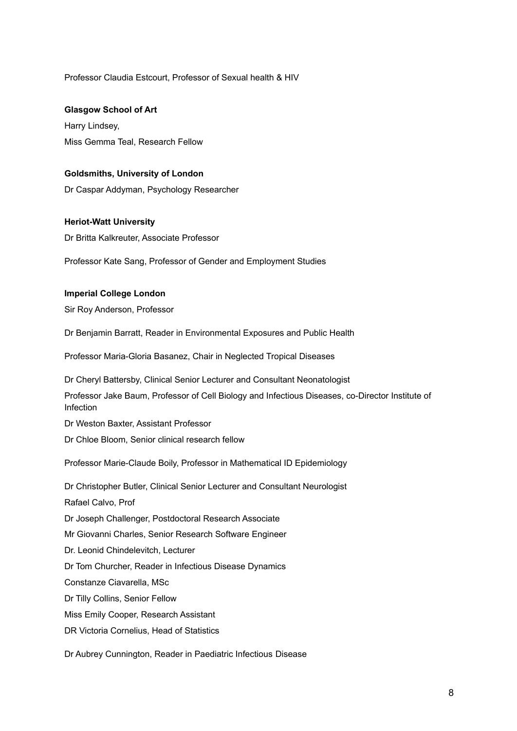Professor Claudia Estcourt, Professor of Sexual health & HIV

**Glasgow School of Art**

Harry Lindsey, Miss Gemma Teal, Research Fellow

### **Goldsmiths, University of London**

Dr Caspar Addyman, Psychology Researcher

# **Heriot-Watt University**

Dr Britta Kalkreuter, Associate Professor

Professor Kate Sang, Professor of Gender and Employment Studies

### **Imperial College London**

Sir Roy Anderson, Professor

Dr Benjamin Barratt, Reader in Environmental Exposures and Public Health

Professor Maria-Gloria Basanez, Chair in Neglected Tropical Diseases

Dr Cheryl Battersby, Clinical Senior Lecturer and Consultant Neonatologist

Professor Jake Baum, Professor of Cell Biology and Infectious Diseases, co-Director Institute of Infection

Dr Weston Baxter, Assistant Professor

Dr Chloe Bloom, Senior clinical research fellow

Professor Marie-Claude Boily, Professor in Mathematical ID Epidemiology

Dr Christopher Butler, Clinical Senior Lecturer and Consultant Neurologist Rafael Calvo, Prof Dr Joseph Challenger, Postdoctoral Research Associate Mr Giovanni Charles, Senior Research Software Engineer Dr. Leonid Chindelevitch, Lecturer Dr Tom Churcher, Reader in Infectious Disease Dynamics Constanze Ciavarella, MSc Dr Tilly Collins, Senior Fellow Miss Emily Cooper, Research Assistant DR Victoria Cornelius, Head of Statistics

Dr Aubrey Cunnington, Reader in Paediatric Infectious Disease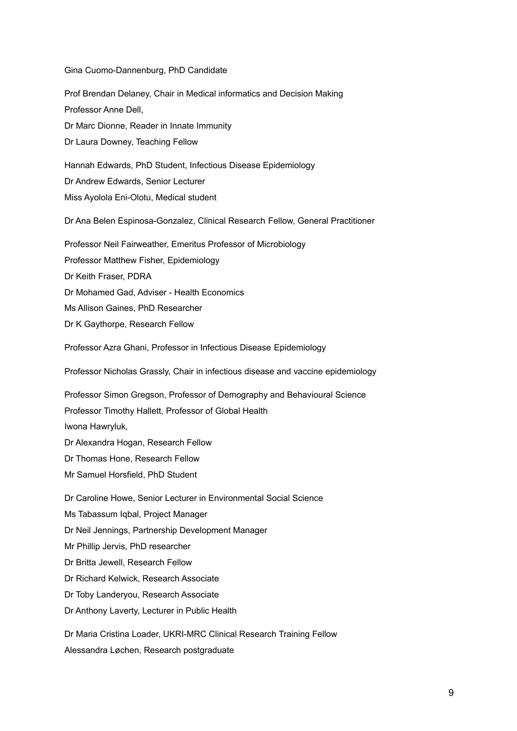Gina Cuomo-Dannenburg, PhD Candidate

Prof Brendan Delaney, Chair in Medical informatics and Decision Making Professor Anne Dell, Dr Marc Dionne, Reader in Innate Immunity Dr Laura Downey, Teaching Fellow Hannah Edwards, PhD Student, Infectious Disease Epidemiology Dr Andrew Edwards, Senior Lecturer Miss Ayolola Eni-Olotu, Medical student Dr Ana Belen Espinosa-Gonzalez, Clinical Research Fellow, General Practitioner Professor Neil Fairweather, Emeritus Professor of Microbiology Professor Matthew Fisher, Epidemiology Dr Keith Fraser, PDRA Dr Mohamed Gad, Adviser - Health Economics Ms Allison Gaines, PhD Researcher Dr K Gaythorpe, Research Fellow

Professor Azra Ghani, Professor in Infectious Disease Epidemiology

Professor Nicholas Grassly, Chair in infectious disease and vaccine epidemiology

Professor Simon Gregson, Professor of Demography and Behavioural Science Professor Timothy Hallett, Professor of Global Health Iwona Hawryluk,

Dr Alexandra Hogan, Research Fellow

Dr Thomas Hone, Research Fellow

Mr Samuel Horsfield, PhD Student

Dr Caroline Howe, Senior Lecturer in Environmental Social Science Ms Tabassum Iqbal, Project Manager Dr Neil Jennings, Partnership Development Manager Mr Phillip Jervis, PhD researcher Dr Britta Jewell, Research Fellow Dr Richard Kelwick, Research Associate Dr Toby Landeryou, Research Associate Dr Anthony Laverty, Lecturer in Public Health

Dr Maria Cristina Loader, UKRI-MRC Clinical Research Training Fellow Alessandra Løchen, Research postgraduate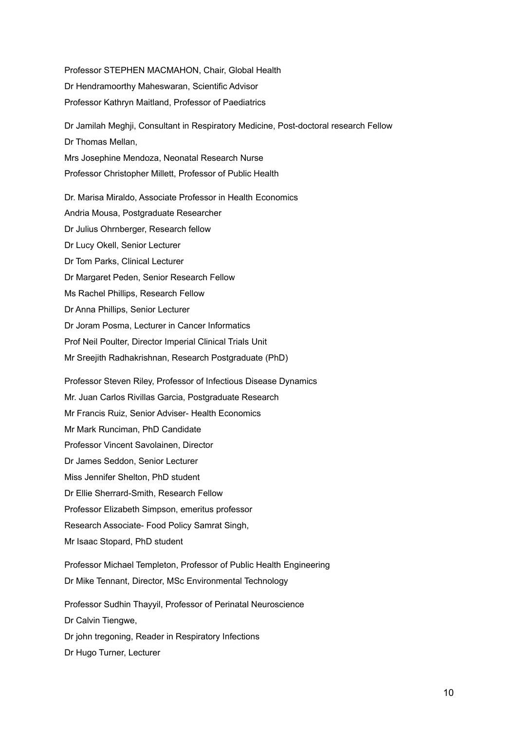Professor STEPHEN MACMAHON, Chair, Global Health Dr Hendramoorthy Maheswaran, Scientific Advisor Professor Kathryn Maitland, Professor of Paediatrics

Dr Jamilah Meghji, Consultant in Respiratory Medicine, Post-doctoral research Fellow Dr Thomas Mellan, Mrs Josephine Mendoza, Neonatal Research Nurse Professor Christopher Millett, Professor of Public Health

Dr. Marisa Miraldo, Associate Professor in Health Economics Andria Mousa, Postgraduate Researcher Dr Julius Ohrnberger, Research fellow Dr Lucy Okell, Senior Lecturer Dr Tom Parks, Clinical Lecturer Dr Margaret Peden, Senior Research Fellow Ms Rachel Phillips, Research Fellow Dr Anna Phillips, Senior Lecturer Dr Joram Posma, Lecturer in Cancer Informatics Prof Neil Poulter, Director Imperial Clinical Trials Unit Mr Sreejith Radhakrishnan, Research Postgraduate (PhD)

Professor Steven Riley, Professor of Infectious Disease Dynamics Mr. Juan Carlos Rivillas Garcia, Postgraduate Research Mr Francis Ruiz, Senior Adviser- Health Economics Mr Mark Runciman, PhD Candidate Professor Vincent Savolainen, Director Dr James Seddon, Senior Lecturer Miss Jennifer Shelton, PhD student Dr Ellie Sherrard-Smith, Research Fellow Professor Elizabeth Simpson, emeritus professor Research Associate- Food Policy Samrat Singh, Mr Isaac Stopard, PhD student

Professor Michael Templeton, Professor of Public Health Engineering Dr Mike Tennant, Director, MSc Environmental Technology

Professor Sudhin Thayyil, Professor of Perinatal Neuroscience Dr Calvin Tiengwe, Dr john tregoning, Reader in Respiratory Infections Dr Hugo Turner, Lecturer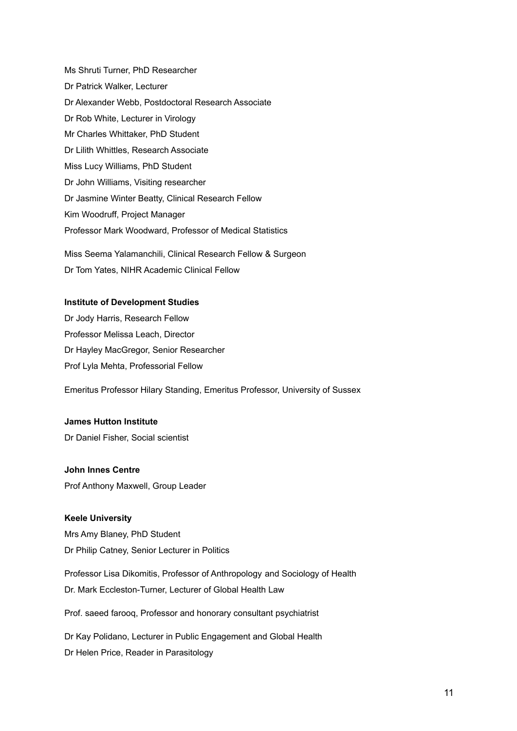Ms Shruti Turner, PhD Researcher Dr Patrick Walker, Lecturer Dr Alexander Webb, Postdoctoral Research Associate Dr Rob White, Lecturer in Virology Mr Charles Whittaker, PhD Student Dr Lilith Whittles, Research Associate Miss Lucy Williams, PhD Student Dr John Williams, Visiting researcher Dr Jasmine Winter Beatty, Clinical Research Fellow Kim Woodruff, Project Manager Professor Mark Woodward, Professor of Medical Statistics Miss Seema Yalamanchili, Clinical Research Fellow & Surgeon Dr Tom Yates, NIHR Academic Clinical Fellow

### **Institute of Development Studies**

Dr Jody Harris, Research Fellow Professor Melissa Leach, Director Dr Hayley MacGregor, Senior Researcher Prof Lyla Mehta, Professorial Fellow

Emeritus Professor Hilary Standing, Emeritus Professor, University of Sussex

### **James Hutton Institute**

Dr Daniel Fisher, Social scientist

### **John Innes Centre**

Prof Anthony Maxwell, Group Leader

## **Keele University**

Mrs Amy Blaney, PhD Student Dr Philip Catney, Senior Lecturer in Politics

Professor Lisa Dikomitis, Professor of Anthropology and Sociology of Health Dr. Mark Eccleston-Turner, Lecturer of Global Health Law

Prof. saeed farooq, Professor and honorary consultant psychiatrist

Dr Kay Polidano, Lecturer in Public Engagement and Global Health Dr Helen Price, Reader in Parasitology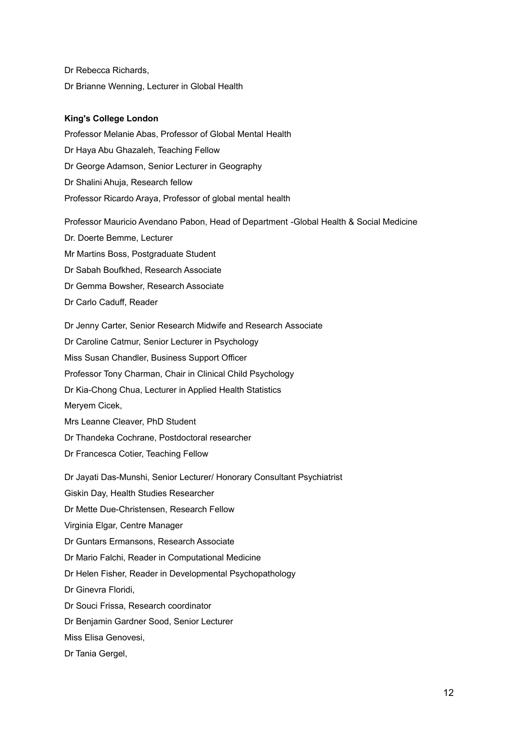Dr Rebecca Richards, Dr Brianne Wenning, Lecturer in Global Health

### **King's College London**

Professor Melanie Abas, Professor of Global Mental Health Dr Haya Abu Ghazaleh, Teaching Fellow Dr George Adamson, Senior Lecturer in Geography Dr Shalini Ahuja, Research fellow Professor Ricardo Araya, Professor of global mental health

Professor Mauricio Avendano Pabon, Head of Department -Global Health & Social Medicine Dr. Doerte Bemme, Lecturer Mr Martins Boss, Postgraduate Student Dr Sabah Boufkhed, Research Associate Dr Gemma Bowsher, Research Associate Dr Carlo Caduff, Reader Dr Jenny Carter, Senior Research Midwife and Research Associate Dr Caroline Catmur, Senior Lecturer in Psychology Miss Susan Chandler, Business Support Officer Professor Tony Charman, Chair in Clinical Child Psychology Dr Kia-Chong Chua, Lecturer in Applied Health Statistics Meryem Cicek,

Mrs Leanne Cleaver, PhD Student

Dr Thandeka Cochrane, Postdoctoral researcher

Dr Francesca Cotier, Teaching Fellow

Dr Jayati Das-Munshi, Senior Lecturer/ Honorary Consultant Psychiatrist Giskin Day, Health Studies Researcher Dr Mette Due-Christensen, Research Fellow Virginia Elgar, Centre Manager Dr Guntars Ermansons, Research Associate Dr Mario Falchi, Reader in Computational Medicine Dr Helen Fisher, Reader in Developmental Psychopathology Dr Ginevra Floridi, Dr Souci Frissa, Research coordinator Dr Benjamin Gardner Sood, Senior Lecturer Miss Elisa Genovesi,

Dr Tania Gergel,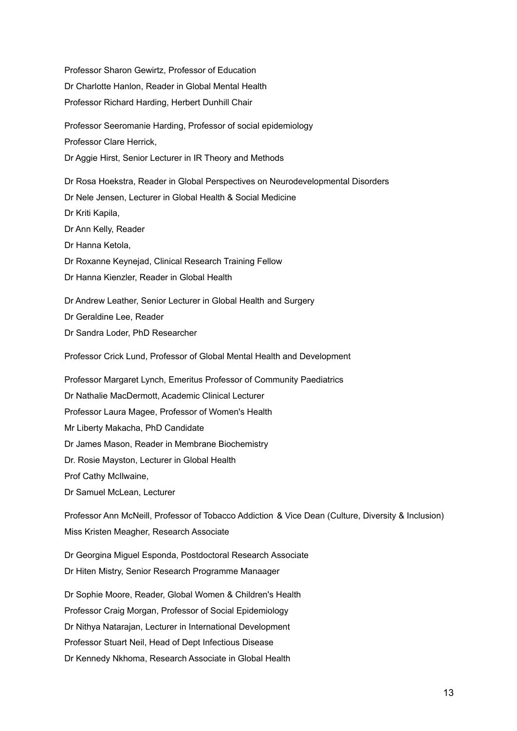Professor Sharon Gewirtz, Professor of Education Dr Charlotte Hanlon, Reader in Global Mental Health Professor Richard Harding, Herbert Dunhill Chair

Professor Seeromanie Harding, Professor of social epidemiology Professor Clare Herrick, Dr Aggie Hirst, Senior Lecturer in IR Theory and Methods

Dr Rosa Hoekstra, Reader in Global Perspectives on Neurodevelopmental Disorders Dr Nele Jensen, Lecturer in Global Health & Social Medicine Dr Kriti Kapila, Dr Ann Kelly, Reader Dr Hanna Ketola, Dr Roxanne Keynejad, Clinical Research Training Fellow Dr Hanna Kienzler, Reader in Global Health Dr Andrew Leather, Senior Lecturer in Global Health and Surgery

Dr Geraldine Lee, Reader

Dr Sandra Loder, PhD Researcher

Professor Crick Lund, Professor of Global Mental Health and Development

Professor Margaret Lynch, Emeritus Professor of Community Paediatrics Dr Nathalie MacDermott, Academic Clinical Lecturer Professor Laura Magee, Professor of Women's Health Mr Liberty Makacha, PhD Candidate Dr James Mason, Reader in Membrane Biochemistry Dr. Rosie Mayston, Lecturer in Global Health Prof Cathy McIlwaine,

Dr Samuel McLean, Lecturer

Professor Ann McNeill, Professor of Tobacco Addiction & Vice Dean (Culture, Diversity & Inclusion) Miss Kristen Meagher, Research Associate

Dr Georgina Miguel Esponda, Postdoctoral Research Associate Dr Hiten Mistry, Senior Research Programme Manaager

Dr Sophie Moore, Reader, Global Women & Children's Health Professor Craig Morgan, Professor of Social Epidemiology Dr Nithya Natarajan, Lecturer in International Development Professor Stuart Neil, Head of Dept Infectious Disease Dr Kennedy Nkhoma, Research Associate in Global Health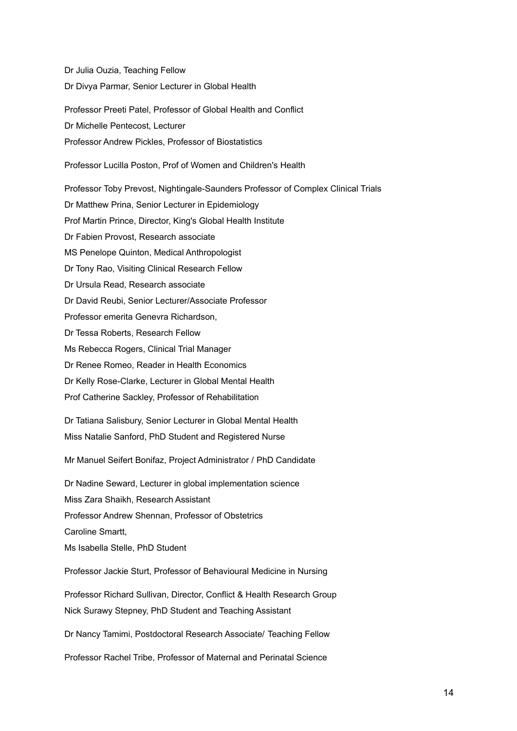Dr Julia Ouzia, Teaching Fellow Dr Divya Parmar, Senior Lecturer in Global Health

Professor Preeti Patel, Professor of Global Health and Conflict Dr Michelle Pentecost, Lecturer Professor Andrew Pickles, Professor of Biostatistics

Professor Lucilla Poston, Prof of Women and Children's Health

Professor Toby Prevost, Nightingale-Saunders Professor of Complex Clinical Trials Dr Matthew Prina, Senior Lecturer in Epidemiology Prof Martin Prince, Director, King's Global Health Institute Dr Fabien Provost, Research associate MS Penelope Quinton, Medical Anthropologist Dr Tony Rao, Visiting Clinical Research Fellow Dr Ursula Read, Research associate Dr David Reubi, Senior Lecturer/Associate Professor Professor emerita Genevra Richardson, Dr Tessa Roberts, Research Fellow Ms Rebecca Rogers, Clinical Trial Manager Dr Renee Romeo, Reader in Health Economics Dr Kelly Rose-Clarke, Lecturer in Global Mental Health Prof Catherine Sackley, Professor of Rehabilitation

Dr Tatiana Salisbury, Senior Lecturer in Global Mental Health Miss Natalie Sanford, PhD Student and Registered Nurse

Mr Manuel Seifert Bonifaz, Project Administrator / PhD Candidate

Dr Nadine Seward, Lecturer in global implementation science Miss Zara Shaikh, Research Assistant Professor Andrew Shennan, Professor of Obstetrics Caroline Smartt, Ms Isabella Stelle, PhD Student

Professor Jackie Sturt, Professor of Behavioural Medicine in Nursing

Professor Richard Sullivan, Director, Conflict & Health Research Group Nick Surawy Stepney, PhD Student and Teaching Assistant

Dr Nancy Tamimi, Postdoctoral Research Associate/ Teaching Fellow

Professor Rachel Tribe, Professor of Maternal and Perinatal Science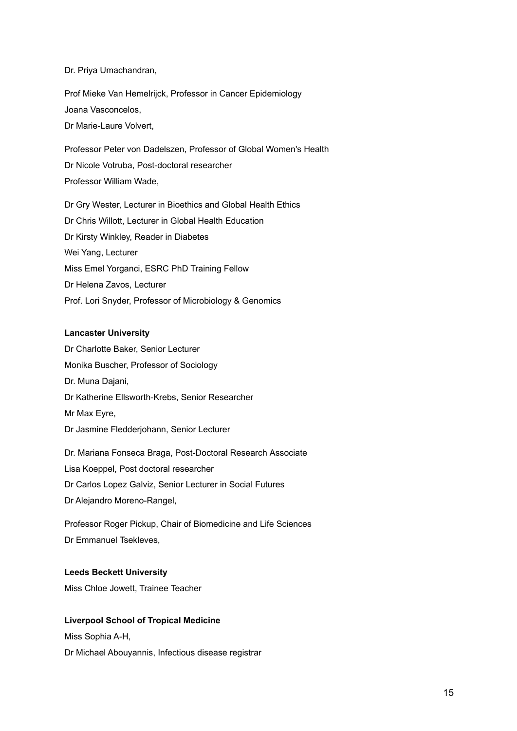### Dr. Priya Umachandran,

Prof Mieke Van Hemelrijck, Professor in Cancer Epidemiology Joana Vasconcelos, Dr Marie-Laure Volvert,

Professor Peter von Dadelszen, Professor of Global Women's Health Dr Nicole Votruba, Post-doctoral researcher Professor William Wade,

Dr Gry Wester, Lecturer in Bioethics and Global Health Ethics Dr Chris Willott, Lecturer in Global Health Education Dr Kirsty Winkley, Reader in Diabetes Wei Yang, Lecturer Miss Emel Yorganci, ESRC PhD Training Fellow Dr Helena Zavos, Lecturer Prof. Lori Snyder, Professor of Microbiology & Genomics

### **Lancaster University**

Dr Charlotte Baker, Senior Lecturer Monika Buscher, Professor of Sociology Dr. Muna Dajani, Dr Katherine Ellsworth-Krebs, Senior Researcher Mr Max Eyre, Dr Jasmine Fledderjohann, Senior Lecturer

Dr. Mariana Fonseca Braga, Post-Doctoral Research Associate Lisa Koeppel, Post doctoral researcher Dr Carlos Lopez Galviz, Senior Lecturer in Social Futures Dr Alejandro Moreno-Rangel,

Professor Roger Pickup, Chair of Biomedicine and Life Sciences Dr Emmanuel Tsekleves,

### **Leeds Beckett University**

Miss Chloe Jowett, Trainee Teacher

### **Liverpool School of Tropical Medicine**

Miss Sophia A-H, Dr Michael Abouyannis, Infectious disease registrar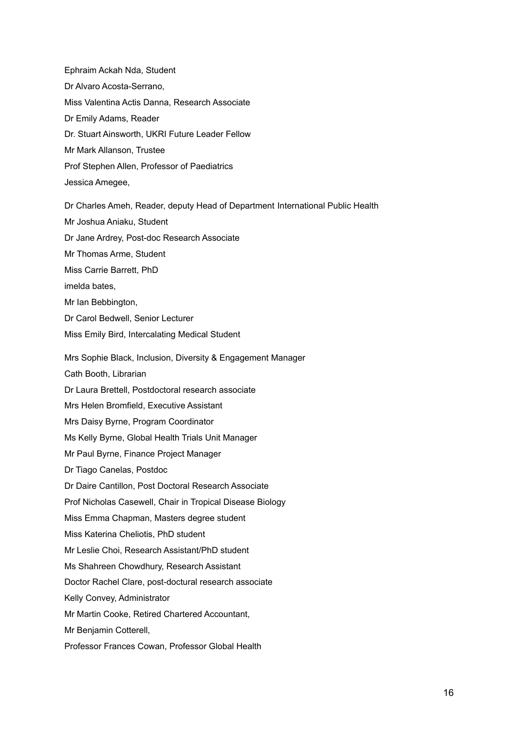Ephraim Ackah Nda, Student Dr Alvaro Acosta-Serrano, Miss Valentina Actis Danna, Research Associate Dr Emily Adams, Reader Dr. Stuart Ainsworth, UKRI Future Leader Fellow Mr Mark Allanson, Trustee Prof Stephen Allen, Professor of Paediatrics Jessica Amegee, Dr Charles Ameh, Reader, deputy Head of Department International Public Health Mr Joshua Aniaku, Student Dr Jane Ardrey, Post-doc Research Associate

Mr Thomas Arme, Student

Miss Carrie Barrett, PhD

imelda bates,

Mr Ian Bebbington,

Dr Carol Bedwell, Senior Lecturer

Miss Emily Bird, Intercalating Medical Student

Mrs Sophie Black, Inclusion, Diversity & Engagement Manager

Cath Booth, Librarian

Dr Laura Brettell, Postdoctoral research associate

Mrs Helen Bromfield, Executive Assistant

Mrs Daisy Byrne, Program Coordinator

Ms Kelly Byrne, Global Health Trials Unit Manager

Mr Paul Byrne, Finance Project Manager

Dr Tiago Canelas, Postdoc

Dr Daire Cantillon, Post Doctoral Research Associate

Prof Nicholas Casewell, Chair in Tropical Disease Biology

Miss Emma Chapman, Masters degree student

Miss Katerina Cheliotis, PhD student

Mr Leslie Choi, Research Assistant/PhD student

Ms Shahreen Chowdhury, Research Assistant

Doctor Rachel Clare, post-doctural research associate

Kelly Convey, Administrator

Mr Martin Cooke, Retired Chartered Accountant,

Mr Benjamin Cotterell,

Professor Frances Cowan, Professor Global Health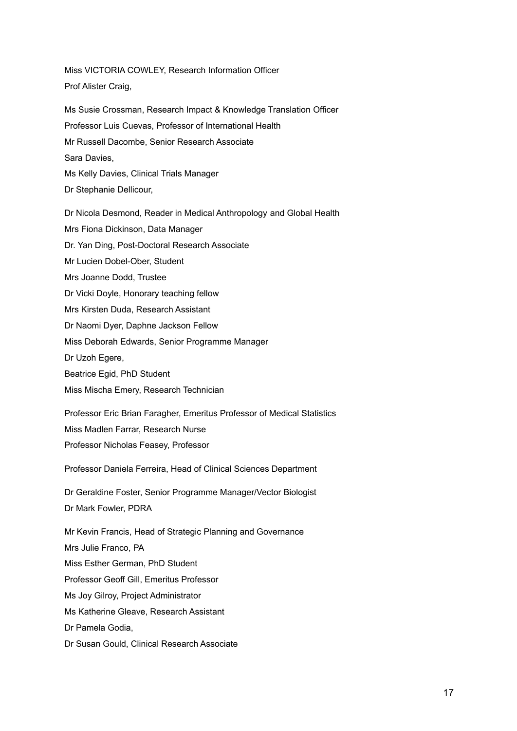Miss VICTORIA COWLEY, Research Information Officer Prof Alister Craig,

Ms Susie Crossman, Research Impact & Knowledge Translation Officer Professor Luis Cuevas, Professor of International Health Mr Russell Dacombe, Senior Research Associate Sara Davies, Ms Kelly Davies, Clinical Trials Manager Dr Stephanie Dellicour,

Dr Nicola Desmond, Reader in Medical Anthropology and Global Health Mrs Fiona Dickinson, Data Manager Dr. Yan Ding, Post-Doctoral Research Associate Mr Lucien Dobel-Ober, Student Mrs Joanne Dodd, Trustee Dr Vicki Doyle, Honorary teaching fellow Mrs Kirsten Duda, Research Assistant Dr Naomi Dyer, Daphne Jackson Fellow Miss Deborah Edwards, Senior Programme Manager Dr Uzoh Egere, Beatrice Egid, PhD Student Miss Mischa Emery, Research Technician Professor Eric Brian Faragher, Emeritus Professor of Medical Statistics Miss Madlen Farrar, Research Nurse Professor Nicholas Feasey, Professor

Professor Daniela Ferreira, Head of Clinical Sciences Department

Dr Geraldine Foster, Senior Programme Manager/Vector Biologist Dr Mark Fowler, PDRA

Mr Kevin Francis, Head of Strategic Planning and Governance Mrs Julie Franco, PA Miss Esther German, PhD Student Professor Geoff Gill, Emeritus Professor Ms Joy Gilroy, Project Administrator Ms Katherine Gleave, Research Assistant Dr Pamela Godia,

Dr Susan Gould, Clinical Research Associate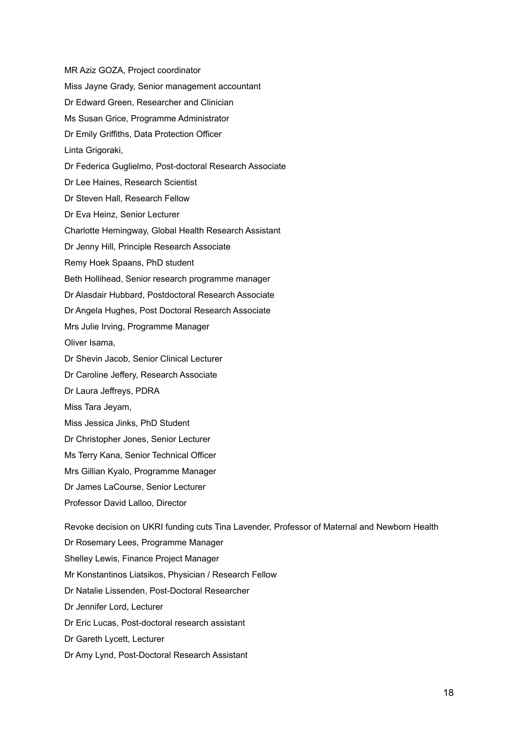MR Aziz GOZA, Project coordinator Miss Jayne Grady, Senior management accountant Dr Edward Green, Researcher and Clinician Ms Susan Grice, Programme Administrator Dr Emily Griffiths, Data Protection Officer Linta Grigoraki, Dr Federica Guglielmo, Post-doctoral Research Associate Dr Lee Haines, Research Scientist Dr Steven Hall, Research Fellow Dr Eva Heinz, Senior Lecturer Charlotte Hemingway, Global Health Research Assistant Dr Jenny Hill, Principle Research Associate Remy Hoek Spaans, PhD student Beth Hollihead, Senior research programme manager Dr Alasdair Hubbard, Postdoctoral Research Associate Dr Angela Hughes, Post Doctoral Research Associate Mrs Julie Irving, Programme Manager Oliver Isama, Dr Shevin Jacob, Senior Clinical Lecturer Dr Caroline Jeffery, Research Associate Dr Laura Jeffreys, PDRA Miss Tara Jeyam, Miss Jessica Jinks, PhD Student Dr Christopher Jones, Senior Lecturer Ms Terry Kana, Senior Technical Officer Mrs Gillian Kyalo, Programme Manager Dr James LaCourse, Senior Lecturer Professor David Lalloo, Director Revoke decision on UKRI funding cuts Tina Lavender, Professor of Maternal and Newborn Health Dr Rosemary Lees, Programme Manager Shelley Lewis, Finance Project Manager Mr Konstantinos Liatsikos, Physician / Research Fellow Dr Natalie Lissenden, Post-Doctoral Researcher Dr Jennifer Lord, Lecturer

Dr Eric Lucas, Post-doctoral research assistant

Dr Gareth Lycett, Lecturer

Dr Amy Lynd, Post-Doctoral Research Assistant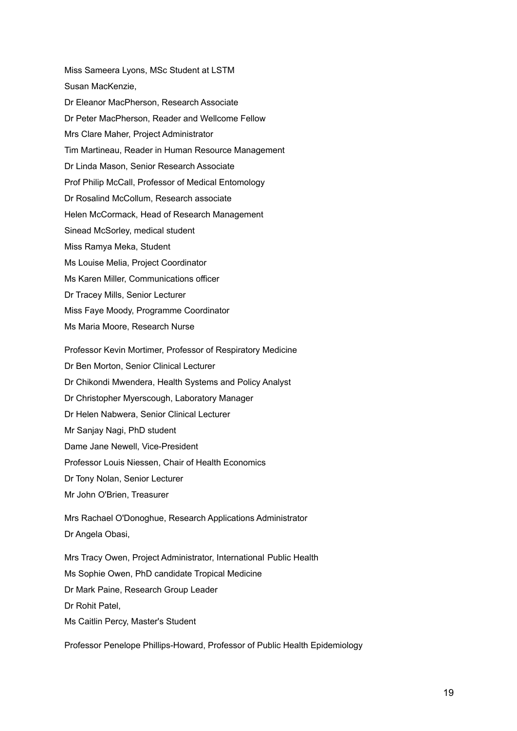Miss Sameera Lyons, MSc Student at LSTM Susan MacKenzie, Dr Eleanor MacPherson, Research Associate Dr Peter MacPherson, Reader and Wellcome Fellow Mrs Clare Maher, Project Administrator Tim Martineau, Reader in Human Resource Management Dr Linda Mason, Senior Research Associate Prof Philip McCall, Professor of Medical Entomology Dr Rosalind McCollum, Research associate Helen McCormack, Head of Research Management Sinead McSorley, medical student Miss Ramya Meka, Student Ms Louise Melia, Project Coordinator Ms Karen Miller, Communications officer Dr Tracey Mills, Senior Lecturer Miss Faye Moody, Programme Coordinator Ms Maria Moore, Research Nurse

Professor Kevin Mortimer, Professor of Respiratory Medicine

Dr Ben Morton, Senior Clinical Lecturer

Dr Chikondi Mwendera, Health Systems and Policy Analyst

Dr Christopher Myerscough, Laboratory Manager

Dr Helen Nabwera, Senior Clinical Lecturer

Mr Sanjay Nagi, PhD student

Dame Jane Newell, Vice-President

Professor Louis Niessen, Chair of Health Economics

Dr Tony Nolan, Senior Lecturer

Mr John O'Brien, Treasurer

Mrs Rachael O'Donoghue, Research Applications Administrator Dr Angela Obasi,

Mrs Tracy Owen, Project Administrator, International Public Health Ms Sophie Owen, PhD candidate Tropical Medicine Dr Mark Paine, Research Group Leader Dr Rohit Patel, Ms Caitlin Percy, Master's Student

Professor Penelope Phillips-Howard, Professor of Public Health Epidemiology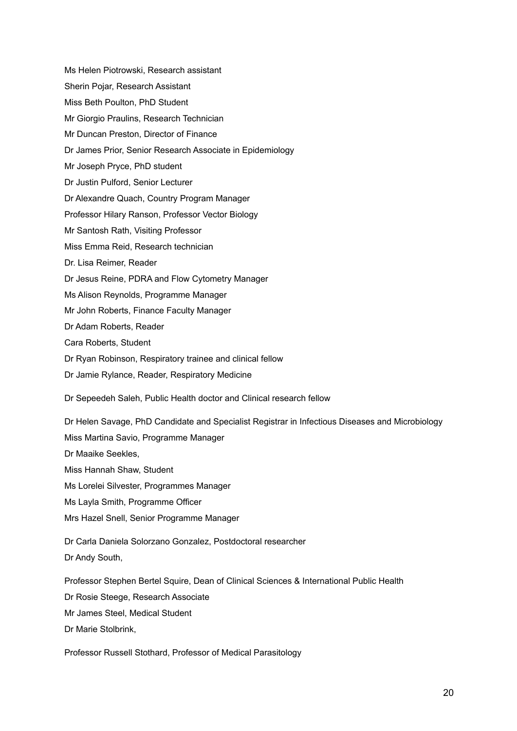Ms Helen Piotrowski, Research assistant Sherin Pojar, Research Assistant Miss Beth Poulton, PhD Student Mr Giorgio Praulins, Research Technician Mr Duncan Preston, Director of Finance Dr James Prior, Senior Research Associate in Epidemiology Mr Joseph Pryce, PhD student Dr Justin Pulford, Senior Lecturer Dr Alexandre Quach, Country Program Manager Professor Hilary Ranson, Professor Vector Biology Mr Santosh Rath, Visiting Professor Miss Emma Reid, Research technician Dr. Lisa Reimer, Reader Dr Jesus Reine, PDRA and Flow Cytometry Manager Ms Alison Reynolds, Programme Manager Mr John Roberts, Finance Faculty Manager Dr Adam Roberts, Reader Cara Roberts, Student Dr Ryan Robinson, Respiratory trainee and clinical fellow Dr Jamie Rylance, Reader, Respiratory Medicine Dr Sepeedeh Saleh, Public Health doctor and Clinical research fellow Dr Helen Savage, PhD Candidate and Specialist Registrar in Infectious Diseases and Microbiology Miss Martina Savio, Programme Manager

Dr Maaike Seekles,

Miss Hannah Shaw, Student

Ms Lorelei Silvester, Programmes Manager

Ms Layla Smith, Programme Officer

Mrs Hazel Snell, Senior Programme Manager

Dr Carla Daniela Solorzano Gonzalez, Postdoctoral researcher Dr Andy South,

Professor Stephen Bertel Squire, Dean of Clinical Sciences & International Public Health

Dr Rosie Steege, Research Associate

Mr James Steel, Medical Student

Dr Marie Stolbrink,

Professor Russell Stothard, Professor of Medical Parasitology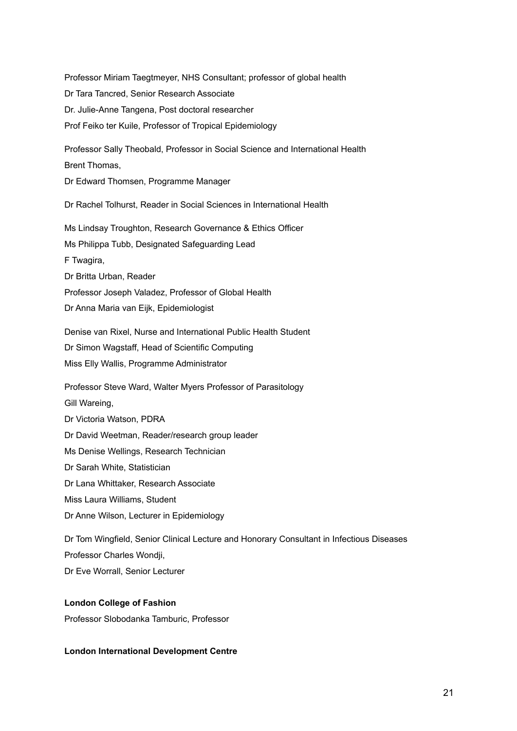Professor Miriam Taegtmeyer, NHS Consultant; professor of global health Dr Tara Tancred, Senior Research Associate Dr. Julie-Anne Tangena, Post doctoral researcher Prof Feiko ter Kuile, Professor of Tropical Epidemiology Professor Sally Theobald, Professor in Social Science and International Health Brent Thomas, Dr Edward Thomsen, Programme Manager Dr Rachel Tolhurst, Reader in Social Sciences in International Health Ms Lindsay Troughton, Research Governance & Ethics Officer Ms Philippa Tubb, Designated Safeguarding Lead F Twagira, Dr Britta Urban, Reader Professor Joseph Valadez, Professor of Global Health Dr Anna Maria van Eijk, Epidemiologist Denise van Rixel, Nurse and International Public Health Student Dr Simon Wagstaff, Head of Scientific Computing Miss Elly Wallis, Programme Administrator Professor Steve Ward, Walter Myers Professor of Parasitology Gill Wareing, Dr Victoria Watson, PDRA Dr David Weetman, Reader/research group leader Ms Denise Wellings, Research Technician Dr Sarah White, Statistician Dr Lana Whittaker, Research Associate Miss Laura Williams, Student Dr Anne Wilson, Lecturer in Epidemiology Dr Tom Wingfield, Senior Clinical Lecture and Honorary Consultant in Infectious Diseases Professor Charles Wondji, Dr Eve Worrall, Senior Lecturer

### **London College of Fashion**

Professor Slobodanka Tamburic, Professor

### **London International Development Centre**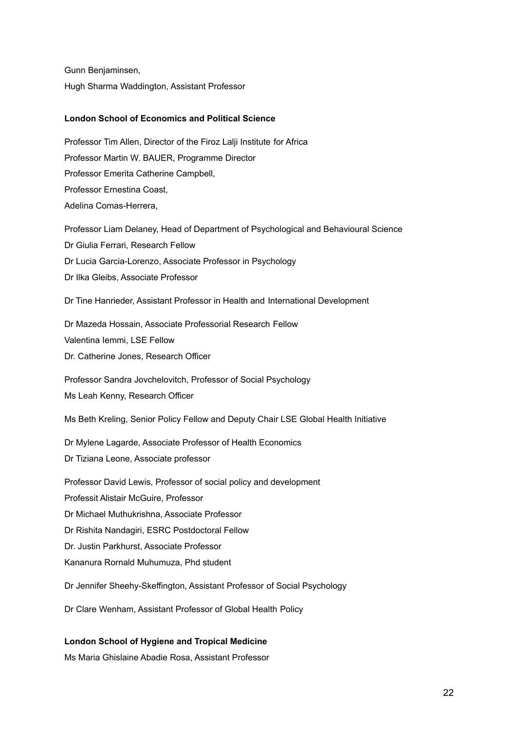Gunn Benjaminsen, Hugh Sharma Waddington, Assistant Professor

## **London School of Economics and Political Science**

Professor Tim Allen, Director of the Firoz Lalji Institute for Africa Professor Martin W. BAUER, Programme Director Professor Emerita Catherine Campbell, Professor Ernestina Coast, Adelina Comas-Herrera, Professor Liam Delaney, Head of Department of Psychological and Behavioural Science

Dr Giulia Ferrari, Research Fellow Dr Lucia Garcia-Lorenzo, Associate Professor in Psychology Dr Ilka Gleibs, Associate Professor

Dr Tine Hanrieder, Assistant Professor in Health and International Development

Dr Mazeda Hossain, Associate Professorial Research Fellow Valentina Iemmi, LSE Fellow Dr. Catherine Jones, Research Officer

Professor Sandra Jovchelovitch, Professor of Social Psychology

Ms Leah Kenny, Research Officer

Ms Beth Kreling, Senior Policy Fellow and Deputy Chair LSE Global Health Initiative

Dr Mylene Lagarde, Associate Professor of Health Economics

Dr Tiziana Leone, Associate professor

Professor David Lewis, Professor of social policy and development

Professit Alistair McGuire, Professor

Dr Michael Muthukrishna, Associate Professor

Dr Rishita Nandagiri, ESRC Postdoctoral Fellow

Dr. Justin Parkhurst, Associate Professor

Kananura Rornald Muhumuza, Phd student

Dr Jennifer Sheehy-Skeffington, Assistant Professor of Social Psychology

Dr Clare Wenham, Assistant Professor of Global Health Policy

### **London School of Hygiene and Tropical Medicine**

Ms Maria Ghislaine Abadie Rosa, Assistant Professor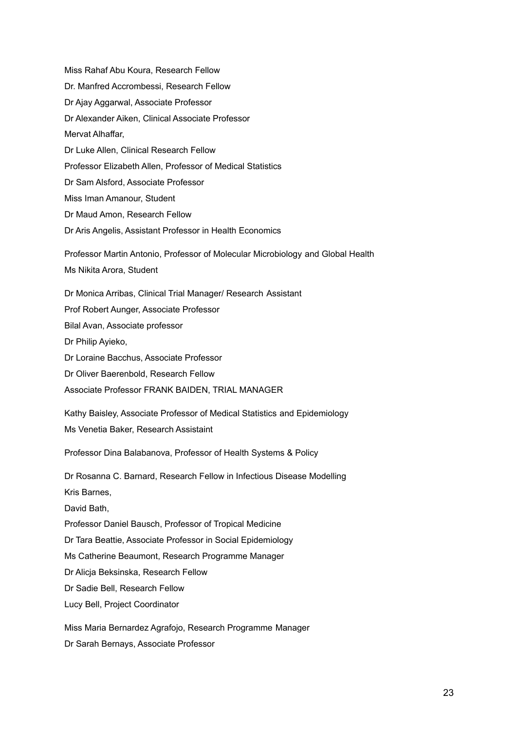Miss Rahaf Abu Koura, Research Fellow Dr. Manfred Accrombessi, Research Fellow Dr Ajay Aggarwal, Associate Professor Dr Alexander Aiken, Clinical Associate Professor Mervat Alhaffar, Dr Luke Allen, Clinical Research Fellow Professor Elizabeth Allen, Professor of Medical Statistics Dr Sam Alsford, Associate Professor Miss Iman Amanour, Student Dr Maud Amon, Research Fellow Dr Aris Angelis, Assistant Professor in Health Economics Professor Martin Antonio, Professor of Molecular Microbiology and Global Health Ms Nikita Arora, Student Dr Monica Arribas, Clinical Trial Manager/ Research Assistant Prof Robert Aunger, Associate Professor Bilal Avan, Associate professor Dr Philip Ayieko, Dr Loraine Bacchus, Associate Professor Dr Oliver Baerenbold, Research Fellow Associate Professor FRANK BAIDEN, TRIAL MANAGER Kathy Baisley, Associate Professor of Medical Statistics and Epidemiology Ms Venetia Baker, Research Assistaint Professor Dina Balabanova, Professor of Health Systems & Policy Dr Rosanna C. Barnard, Research Fellow in Infectious Disease Modelling Kris Barnes, David Bath, Professor Daniel Bausch, Professor of Tropical Medicine Dr Tara Beattie, Associate Professor in Social Epidemiology Ms Catherine Beaumont, Research Programme Manager Dr Alicja Beksinska, Research Fellow Dr Sadie Bell, Research Fellow Lucy Bell, Project Coordinator Miss Maria Bernardez Agrafojo, Research Programme Manager Dr Sarah Bernays, Associate Professor

23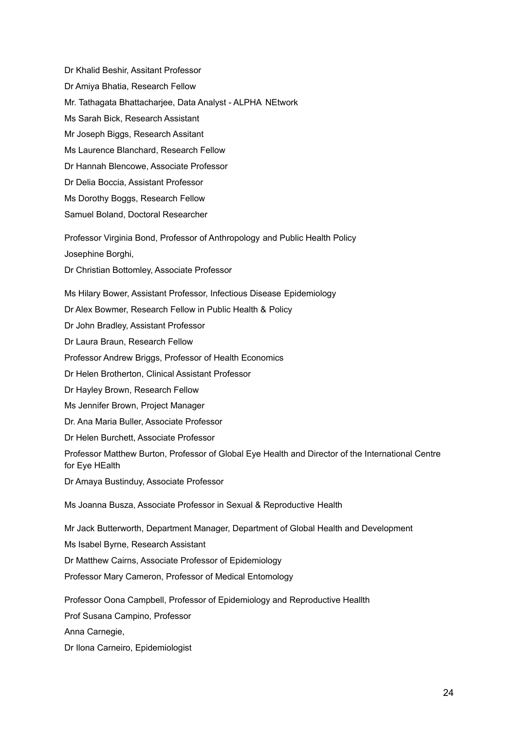Dr Khalid Beshir, Assitant Professor Dr Amiya Bhatia, Research Fellow Mr. Tathagata Bhattacharjee, Data Analyst - ALPHA NEtwork Ms Sarah Bick, Research Assistant Mr Joseph Biggs, Research Assitant Ms Laurence Blanchard, Research Fellow Dr Hannah Blencowe, Associate Professor Dr Delia Boccia, Assistant Professor Ms Dorothy Boggs, Research Fellow Samuel Boland, Doctoral Researcher Professor Virginia Bond, Professor of Anthropology and Public Health Policy Josephine Borghi, Dr Christian Bottomley, Associate Professor Ms Hilary Bower, Assistant Professor, Infectious Disease Epidemiology Dr Alex Bowmer, Research Fellow in Public Health & Policy Dr John Bradley, Assistant Professor Dr Laura Braun, Research Fellow Professor Andrew Briggs, Professor of Health Economics Dr Helen Brotherton, Clinical Assistant Professor Dr Hayley Brown, Research Fellow Ms Jennifer Brown, Project Manager Dr. Ana Maria Buller, Associate Professor Dr Helen Burchett, Associate Professor Professor Matthew Burton, Professor of Global Eye Health and Director of the International Centre for Eye HEalth Dr Amaya Bustinduy, Associate Professor Ms Joanna Busza, Associate Professor in Sexual & Reproductive Health Mr Jack Butterworth, Department Manager, Department of Global Health and Development Ms Isabel Byrne, Research Assistant Dr Matthew Cairns, Associate Professor of Epidemiology Professor Mary Cameron, Professor of Medical Entomology Professor Oona Campbell, Professor of Epidemiology and Reproductive Heallth Prof Susana Campino, Professor

Anna Carnegie,

Dr Ilona Carneiro, Epidemiologist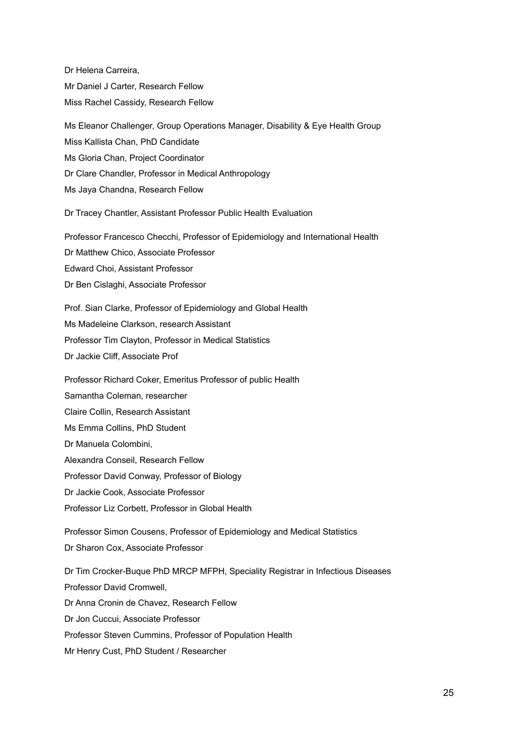Dr Helena Carreira, Mr Daniel J Carter, Research Fellow Miss Rachel Cassidy, Research Fellow Ms Eleanor Challenger, Group Operations Manager, Disability & Eye Health Group Miss Kallista Chan, PhD Candidate Ms Gloria Chan, Project Coordinator Dr Clare Chandler, Professor in Medical Anthropology Ms Jaya Chandna, Research Fellow Dr Tracey Chantler, Assistant Professor Public Health Evaluation Professor Francesco Checchi, Professor of Epidemiology and International Health Dr Matthew Chico, Associate Professor Edward Choi, Assistant Professor Dr Ben Cislaghi, Associate Professor Prof. Sian Clarke, Professor of Epidemiology and Global Health Ms Madeleine Clarkson, research Assistant Professor Tim Clayton, Professor in Medical Statistics Dr Jackie Cliff, Associate Prof Professor Richard Coker, Emeritus Professor of public Health Samantha Coleman, researcher Claire Collin, Research Assistant Ms Emma Collins, PhD Student Dr Manuela Colombini, Alexandra Conseil, Research Fellow Professor David Conway, Professor of Biology Dr Jackie Cook, Associate Professor Professor Liz Corbett, Professor in Global Health Professor Simon Cousens, Professor of Epidemiology and Medical Statistics Dr Sharon Cox, Associate Professor Dr Tim Crocker-Buque PhD MRCP MFPH, Speciality Registrar in Infectious Diseases Professor David Cromwell, Dr Anna Cronin de Chavez, Research Fellow Dr Jon Cuccui, Associate Professor Professor Steven Cummins, Professor of Population Health Mr Henry Cust, PhD Student / Researcher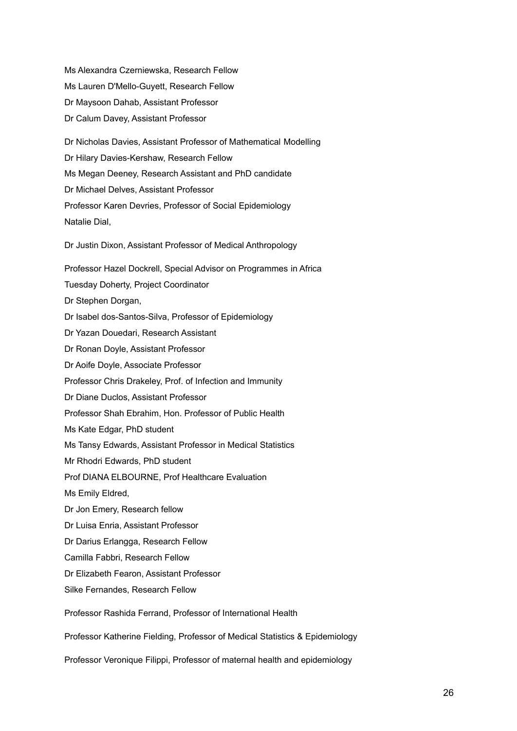Ms Alexandra Czerniewska, Research Fellow Ms Lauren D'Mello-Guyett, Research Fellow Dr Maysoon Dahab, Assistant Professor Dr Calum Davey, Assistant Professor

Dr Nicholas Davies, Assistant Professor of Mathematical Modelling Dr Hilary Davies-Kershaw, Research Fellow Ms Megan Deeney, Research Assistant and PhD candidate Dr Michael Delves, Assistant Professor Professor Karen Devries, Professor of Social Epidemiology Natalie Dial,

Dr Justin Dixon, Assistant Professor of Medical Anthropology

Professor Hazel Dockrell, Special Advisor on Programmes in Africa Tuesday Doherty, Project Coordinator Dr Stephen Dorgan, Dr Isabel dos-Santos-Silva, Professor of Epidemiology Dr Yazan Douedari, Research Assistant Dr Ronan Doyle, Assistant Professor Dr Aoife Doyle, Associate Professor Professor Chris Drakeley, Prof. of Infection and Immunity Dr Diane Duclos, Assistant Professor Professor Shah Ebrahim, Hon. Professor of Public Health Ms Kate Edgar, PhD student Ms Tansy Edwards, Assistant Professor in Medical Statistics Mr Rhodri Edwards, PhD student Prof DIANA ELBOURNE, Prof Healthcare Evaluation Ms Emily Eldred, Dr Jon Emery, Research fellow Dr Luisa Enria, Assistant Professor Dr Darius Erlangga, Research Fellow Camilla Fabbri, Research Fellow Dr Elizabeth Fearon, Assistant Professor Silke Fernandes, Research Fellow

Professor Rashida Ferrand, Professor of International Health

Professor Katherine Fielding, Professor of Medical Statistics & Epidemiology

Professor Veronique Filippi, Professor of maternal health and epidemiology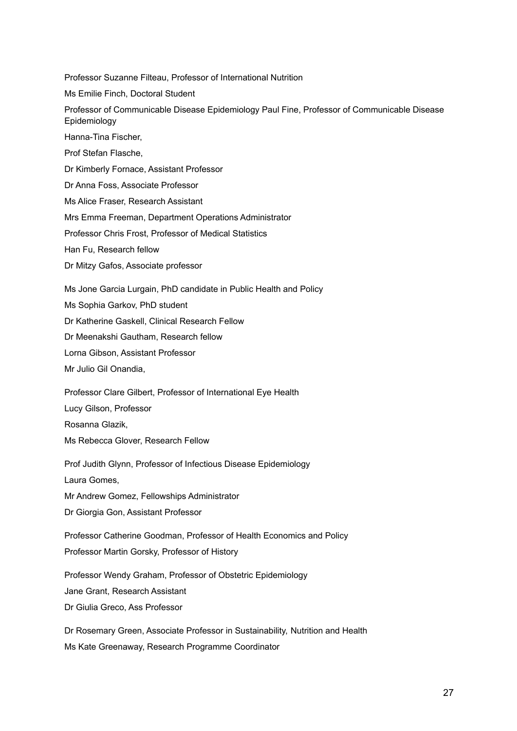Professor Suzanne Filteau, Professor of International Nutrition Ms Emilie Finch, Doctoral Student Professor of Communicable Disease Epidemiology Paul Fine, Professor of Communicable Disease Epidemiology Hanna-Tina Fischer, Prof Stefan Flasche, Dr Kimberly Fornace, Assistant Professor Dr Anna Foss, Associate Professor Ms Alice Fraser, Research Assistant Mrs Emma Freeman, Department Operations Administrator Professor Chris Frost, Professor of Medical Statistics Han Fu, Research fellow Dr Mitzy Gafos, Associate professor Ms Jone Garcia Lurgain, PhD candidate in Public Health and Policy Ms Sophia Garkov, PhD student Dr Katherine Gaskell, Clinical Research Fellow Dr Meenakshi Gautham, Research fellow Lorna Gibson, Assistant Professor Mr Julio Gil Onandia, Professor Clare Gilbert, Professor of International Eye Health Lucy Gilson, Professor Rosanna Glazik, Ms Rebecca Glover, Research Fellow Prof Judith Glynn, Professor of Infectious Disease Epidemiology Laura Gomes, Mr Andrew Gomez, Fellowships Administrator Dr Giorgia Gon, Assistant Professor Professor Catherine Goodman, Professor of Health Economics and Policy Professor Martin Gorsky, Professor of History Professor Wendy Graham, Professor of Obstetric Epidemiology Jane Grant, Research Assistant Dr Giulia Greco, Ass Professor Dr Rosemary Green, Associate Professor in Sustainability, Nutrition and Health

Ms Kate Greenaway, Research Programme Coordinator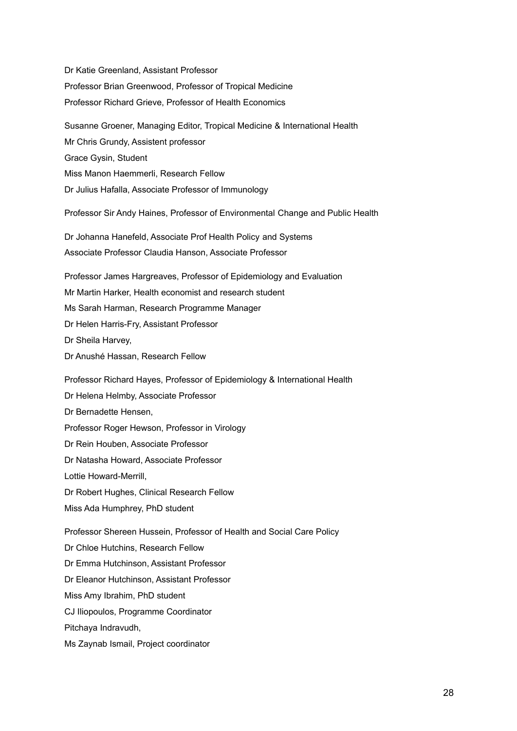Dr Katie Greenland, Assistant Professor Professor Brian Greenwood, Professor of Tropical Medicine Professor Richard Grieve, Professor of Health Economics Susanne Groener, Managing Editor, Tropical Medicine & International Health Mr Chris Grundy, Assistent professor Grace Gysin, Student Miss Manon Haemmerli, Research Fellow Dr Julius Hafalla, Associate Professor of Immunology Professor Sir Andy Haines, Professor of Environmental Change and Public Health Dr Johanna Hanefeld, Associate Prof Health Policy and Systems Associate Professor Claudia Hanson, Associate Professor Professor James Hargreaves, Professor of Epidemiology and Evaluation Mr Martin Harker, Health economist and research student Ms Sarah Harman, Research Programme Manager Dr Helen Harris-Fry, Assistant Professor Dr Sheila Harvey, Dr Anushé Hassan, Research Fellow Professor Richard Hayes, Professor of Epidemiology & International Health Dr Helena Helmby, Associate Professor Dr Bernadette Hensen, Professor Roger Hewson, Professor in Virology Dr Rein Houben, Associate Professor Dr Natasha Howard, Associate Professor Lottie Howard-Merrill, Dr Robert Hughes, Clinical Research Fellow Miss Ada Humphrey, PhD student Professor Shereen Hussein, Professor of Health and Social Care Policy Dr Chloe Hutchins, Research Fellow Dr Emma Hutchinson, Assistant Professor Dr Eleanor Hutchinson, Assistant Professor Miss Amy Ibrahim, PhD student CJ Iliopoulos, Programme Coordinator Pitchaya Indravudh, Ms Zaynab Ismail, Project coordinator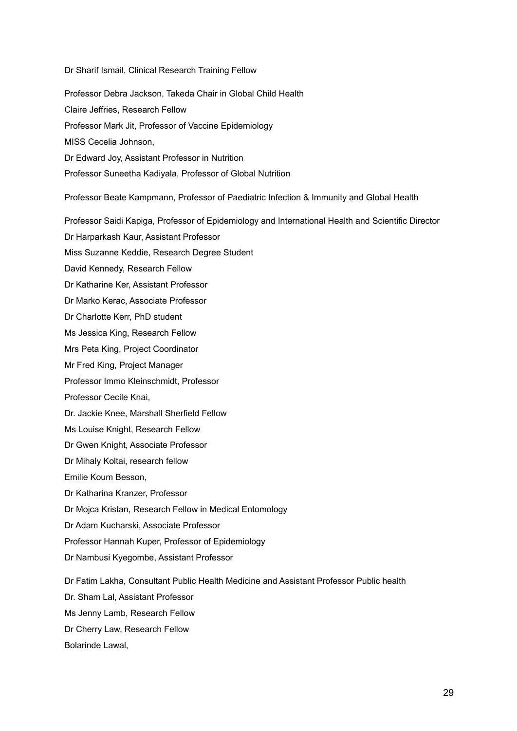Dr Sharif Ismail, Clinical Research Training Fellow

Professor Debra Jackson, Takeda Chair in Global Child Health Claire Jeffries, Research Fellow Professor Mark Jit, Professor of Vaccine Epidemiology MISS Cecelia Johnson, Dr Edward Joy, Assistant Professor in Nutrition Professor Suneetha Kadiyala, Professor of Global Nutrition

Professor Beate Kampmann, Professor of Paediatric Infection & Immunity and Global Health

Professor Saidi Kapiga, Professor of Epidemiology and International Health and Scientific Director

Dr Harparkash Kaur, Assistant Professor

Miss Suzanne Keddie, Research Degree Student

David Kennedy, Research Fellow

Dr Katharine Ker, Assistant Professor

Dr Marko Kerac, Associate Professor

Dr Charlotte Kerr, PhD student

Ms Jessica King, Research Fellow

Mrs Peta King, Project Coordinator

Mr Fred King, Project Manager

Professor Immo Kleinschmidt, Professor

Professor Cecile Knai,

Dr. Jackie Knee, Marshall Sherfield Fellow

Ms Louise Knight, Research Fellow

Dr Gwen Knight, Associate Professor

Dr Mihaly Koltai, research fellow

Emilie Koum Besson,

Dr Katharina Kranzer, Professor

Dr Mojca Kristan, Research Fellow in Medical Entomology

Dr Adam Kucharski, Associate Professor

Professor Hannah Kuper, Professor of Epidemiology

Dr Nambusi Kyegombe, Assistant Professor

Dr Fatim Lakha, Consultant Public Health Medicine and Assistant Professor Public health

Dr. Sham Lal, Assistant Professor

Ms Jenny Lamb, Research Fellow

Dr Cherry Law, Research Fellow

Bolarinde Lawal,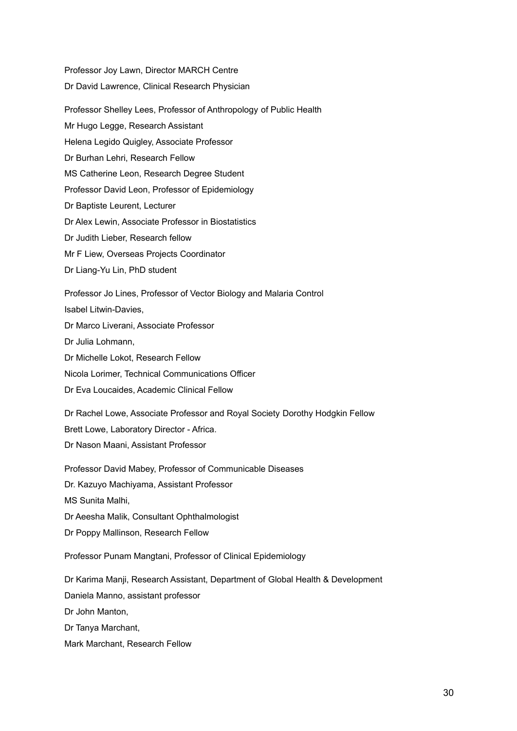Professor Joy Lawn, Director MARCH Centre Dr David Lawrence, Clinical Research Physician Professor Shelley Lees, Professor of Anthropology of Public Health Mr Hugo Legge, Research Assistant Helena Legido Quigley, Associate Professor Dr Burhan Lehri, Research Fellow MS Catherine Leon, Research Degree Student Professor David Leon, Professor of Epidemiology Dr Baptiste Leurent, Lecturer Dr Alex Lewin, Associate Professor in Biostatistics Dr Judith Lieber, Research fellow Mr F Liew, Overseas Projects Coordinator Dr Liang-Yu Lin, PhD student Professor Jo Lines, Professor of Vector Biology and Malaria Control Isabel Litwin-Davies, Dr Marco Liverani, Associate Professor Dr Julia Lohmann, Dr Michelle Lokot, Research Fellow Nicola Lorimer, Technical Communications Officer Dr Eva Loucaides, Academic Clinical Fellow Dr Rachel Lowe, Associate Professor and Royal Society Dorothy Hodgkin Fellow Brett Lowe, Laboratory Director - Africa. Dr Nason Maani, Assistant Professor Professor David Mabey, Professor of Communicable Diseases Dr. Kazuyo Machiyama, Assistant Professor MS Sunita Malhi, Dr Aeesha Malik, Consultant Ophthalmologist Dr Poppy Mallinson, Research Fellow Professor Punam Mangtani, Professor of Clinical Epidemiology Dr Karima Manji, Research Assistant, Department of Global Health & Development Daniela Manno, assistant professor Dr John Manton, Dr Tanya Marchant,

Mark Marchant, Research Fellow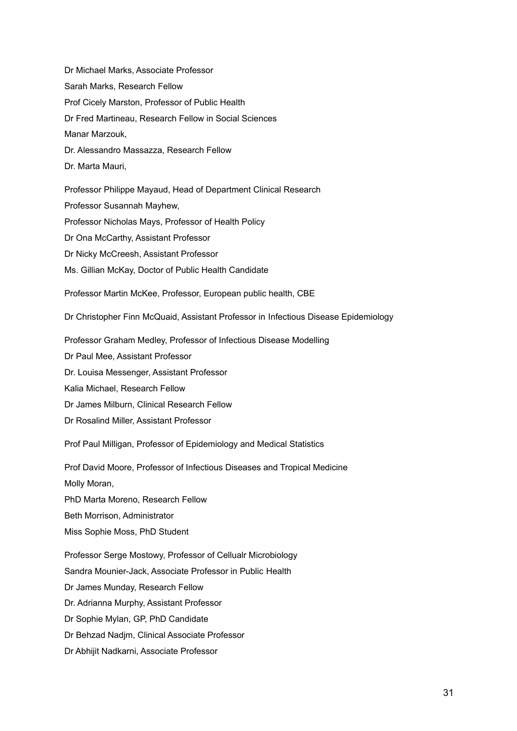Dr Michael Marks, Associate Professor Sarah Marks, Research Fellow Prof Cicely Marston, Professor of Public Health Dr Fred Martineau, Research Fellow in Social Sciences Manar Marzouk, Dr. Alessandro Massazza, Research Fellow Dr. Marta Mauri, Professor Philippe Mayaud, Head of Department Clinical Research Professor Susannah Mayhew,

Professor Nicholas Mays, Professor of Health Policy

Dr Ona McCarthy, Assistant Professor

Dr Nicky McCreesh, Assistant Professor

Ms. Gillian McKay, Doctor of Public Health Candidate

Professor Martin McKee, Professor, European public health, CBE

Dr Christopher Finn McQuaid, Assistant Professor in Infectious Disease Epidemiology

Professor Graham Medley, Professor of Infectious Disease Modelling Dr Paul Mee, Assistant Professor Dr. Louisa Messenger, Assistant Professor Kalia Michael, Research Fellow Dr James Milburn, Clinical Research Fellow Dr Rosalind Miller, Assistant Professor

Prof Paul Milligan, Professor of Epidemiology and Medical Statistics

Prof David Moore, Professor of Infectious Diseases and Tropical Medicine Molly Moran, PhD Marta Moreno, Research Fellow Beth Morrison, Administrator Miss Sophie Moss, PhD Student Professor Serge Mostowy, Professor of Cellualr Microbiology Sandra Mounier-Jack, Associate Professor in Public Health Dr James Munday, Research Fellow Dr. Adrianna Murphy, Assistant Professor Dr Sophie Mylan, GP, PhD Candidate

Dr Behzad Nadjm, Clinical Associate Professor

Dr Abhijit Nadkarni, Associate Professor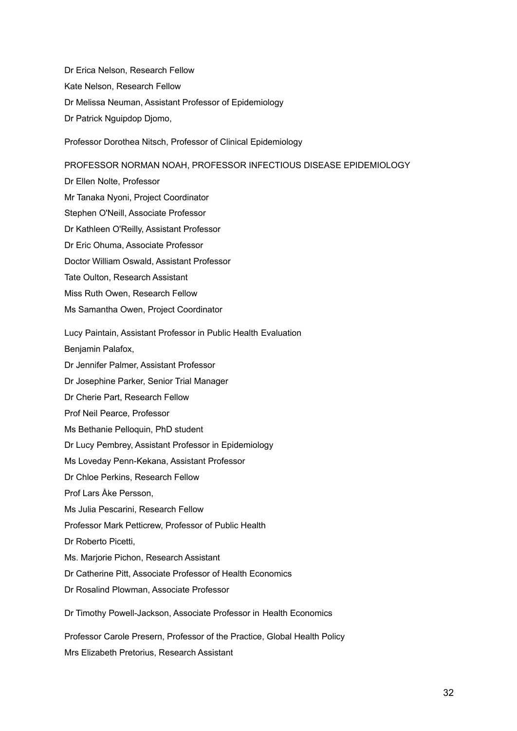Dr Erica Nelson, Research Fellow Kate Nelson, Research Fellow Dr Melissa Neuman, Assistant Professor of Epidemiology Dr Patrick Nguipdop Djomo,

Professor Dorothea Nitsch, Professor of Clinical Epidemiology

### PROFESSOR NORMAN NOAH, PROFESSOR INFECTIOUS DISEASE EPIDEMIOLOGY

Dr Ellen Nolte, Professor Mr Tanaka Nyoni, Project Coordinator Stephen O'Neill, Associate Professor Dr Kathleen O'Reilly, Assistant Professor Dr Eric Ohuma, Associate Professor Doctor William Oswald, Assistant Professor Tate Oulton, Research Assistant Miss Ruth Owen, Research Fellow Ms Samantha Owen, Project Coordinator Lucy Paintain, Assistant Professor in Public Health Evaluation Benjamin Palafox, Dr Jennifer Palmer, Assistant Professor Dr Josephine Parker, Senior Trial Manager Dr Cherie Part, Research Fellow Prof Neil Pearce, Professor Ms Bethanie Pelloquin, PhD student Dr Lucy Pembrey, Assistant Professor in Epidemiology Ms Loveday Penn-Kekana, Assistant Professor Dr Chloe Perkins, Research Fellow Prof Lars Åke Persson, Ms Julia Pescarini, Research Fellow Professor Mark Petticrew, Professor of Public Health Dr Roberto Picetti, Ms. Marjorie Pichon, Research Assistant Dr Catherine Pitt, Associate Professor of Health Economics Dr Rosalind Plowman, Associate Professor Dr Timothy Powell-Jackson, Associate Professor in Health Economics

Professor Carole Presern, Professor of the Practice, Global Health Policy Mrs Elizabeth Pretorius, Research Assistant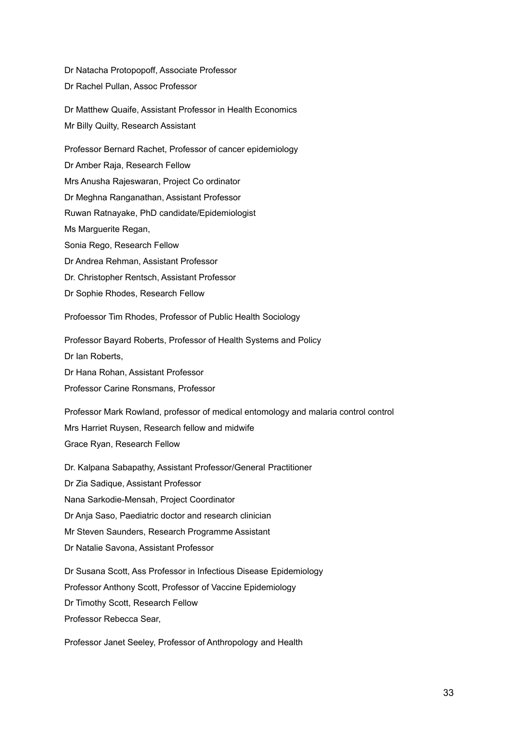Dr Natacha Protopopoff, Associate Professor Dr Rachel Pullan, Assoc Professor

Dr Matthew Quaife, Assistant Professor in Health Economics Mr Billy Quilty, Research Assistant

Professor Bernard Rachet, Professor of cancer epidemiology Dr Amber Raja, Research Fellow Mrs Anusha Rajeswaran, Project Co ordinator Dr Meghna Ranganathan, Assistant Professor Ruwan Ratnayake, PhD candidate/Epidemiologist Ms Marguerite Regan, Sonia Rego, Research Fellow Dr Andrea Rehman, Assistant Professor Dr. Christopher Rentsch, Assistant Professor Dr Sophie Rhodes, Research Fellow

Profoessor Tim Rhodes, Professor of Public Health Sociology

Professor Bayard Roberts, Professor of Health Systems and Policy Dr Ian Roberts, Dr Hana Rohan, Assistant Professor Professor Carine Ronsmans, Professor

Professor Mark Rowland, professor of medical entomology and malaria control control Mrs Harriet Ruysen, Research fellow and midwife Grace Ryan, Research Fellow

Dr. Kalpana Sabapathy, Assistant Professor/General Practitioner Dr Zia Sadique, Assistant Professor Nana Sarkodie-Mensah, Project Coordinator Dr Anja Saso, Paediatric doctor and research clinician Mr Steven Saunders, Research Programme Assistant Dr Natalie Savona, Assistant Professor Dr Susana Scott, Ass Professor in Infectious Disease Epidemiology Professor Anthony Scott, Professor of Vaccine Epidemiology Dr Timothy Scott, Research Fellow

Professor Rebecca Sear,

Professor Janet Seeley, Professor of Anthropology and Health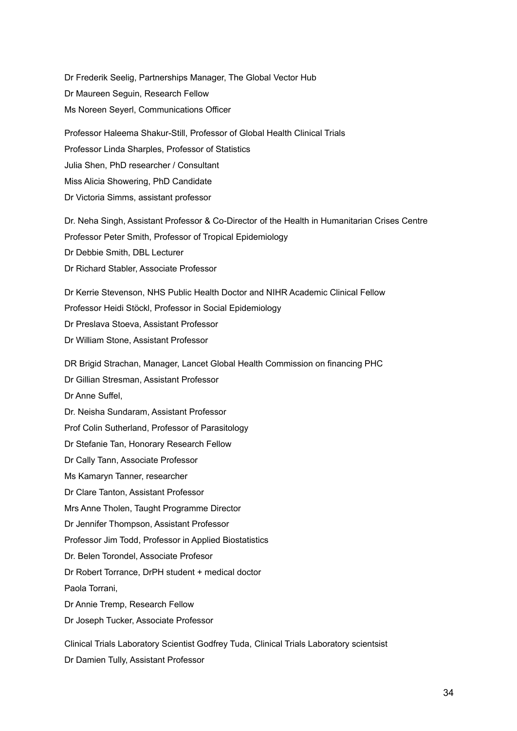Dr Frederik Seelig, Partnerships Manager, The Global Vector Hub Dr Maureen Seguin, Research Fellow Ms Noreen Seyerl, Communications Officer

Professor Haleema Shakur-Still, Professor of Global Health Clinical Trials Professor Linda Sharples, Professor of Statistics Julia Shen, PhD researcher / Consultant Miss Alicia Showering, PhD Candidate Dr Victoria Simms, assistant professor

Dr. Neha Singh, Assistant Professor & Co-Director of the Health in Humanitarian Crises Centre Professor Peter Smith, Professor of Tropical Epidemiology Dr Debbie Smith, DBL Lecturer Dr Richard Stabler, Associate Professor

Dr Kerrie Stevenson, NHS Public Health Doctor and NIHR Academic Clinical Fellow Professor Heidi Stöckl, Professor in Social Epidemiology Dr Preslava Stoeva, Assistant Professor Dr William Stone, Assistant Professor

DR Brigid Strachan, Manager, Lancet Global Health Commission on financing PHC

Dr Gillian Stresman, Assistant Professor

Dr Anne Suffel,

Dr. Neisha Sundaram, Assistant Professor

Prof Colin Sutherland, Professor of Parasitology

Dr Stefanie Tan, Honorary Research Fellow

Dr Cally Tann, Associate Professor

Ms Kamaryn Tanner, researcher

Dr Clare Tanton, Assistant Professor

Mrs Anne Tholen, Taught Programme Director

Dr Jennifer Thompson, Assistant Professor

Professor Jim Todd, Professor in Applied Biostatistics

Dr. Belen Torondel, Associate Profesor

Dr Robert Torrance, DrPH student + medical doctor

Paola Torrani,

Dr Annie Tremp, Research Fellow

Dr Joseph Tucker, Associate Professor

Clinical Trials Laboratory Scientist Godfrey Tuda, Clinical Trials Laboratory scientsist

Dr Damien Tully, Assistant Professor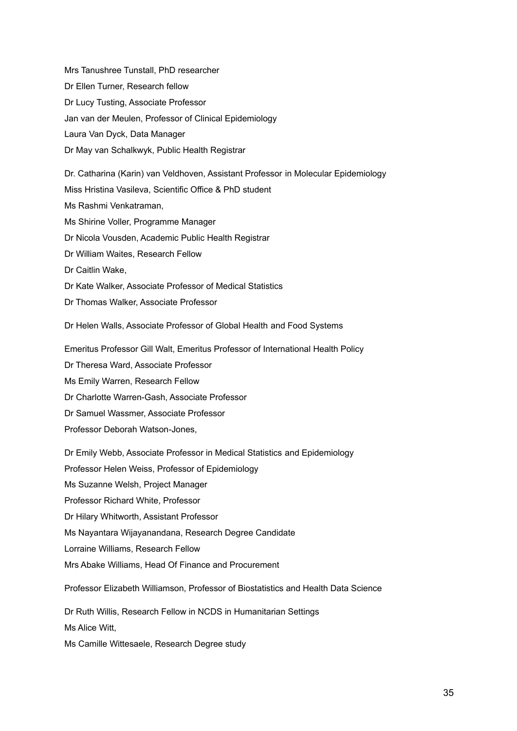Mrs Tanushree Tunstall, PhD researcher Dr Ellen Turner, Research fellow Dr Lucy Tusting, Associate Professor Jan van der Meulen, Professor of Clinical Epidemiology Laura Van Dyck, Data Manager Dr May van Schalkwyk, Public Health Registrar

Dr. Catharina (Karin) van Veldhoven, Assistant Professor in Molecular Epidemiology Miss Hristina Vasileva, Scientific Office & PhD student Ms Rashmi Venkatraman, Ms Shirine Voller, Programme Manager Dr Nicola Vousden, Academic Public Health Registrar Dr William Waites, Research Fellow Dr Caitlin Wake, Dr Kate Walker, Associate Professor of Medical Statistics Dr Thomas Walker, Associate Professor

Dr Helen Walls, Associate Professor of Global Health and Food Systems

Emeritus Professor Gill Walt, Emeritus Professor of International Health Policy

Dr Theresa Ward, Associate Professor

Ms Emily Warren, Research Fellow

Dr Charlotte Warren-Gash, Associate Professor

Dr Samuel Wassmer, Associate Professor

Professor Deborah Watson-Jones,

Dr Emily Webb, Associate Professor in Medical Statistics and Epidemiology Professor Helen Weiss, Professor of Epidemiology Ms Suzanne Welsh, Project Manager Professor Richard White, Professor Dr Hilary Whitworth, Assistant Professor Ms Nayantara Wijayanandana, Research Degree Candidate Lorraine Williams, Research Fellow Mrs Abake Williams, Head Of Finance and Procurement

Professor Elizabeth Williamson, Professor of Biostatistics and Health Data Science

Dr Ruth Willis, Research Fellow in NCDS in Humanitarian Settings Ms Alice Witt,

Ms Camille Wittesaele, Research Degree study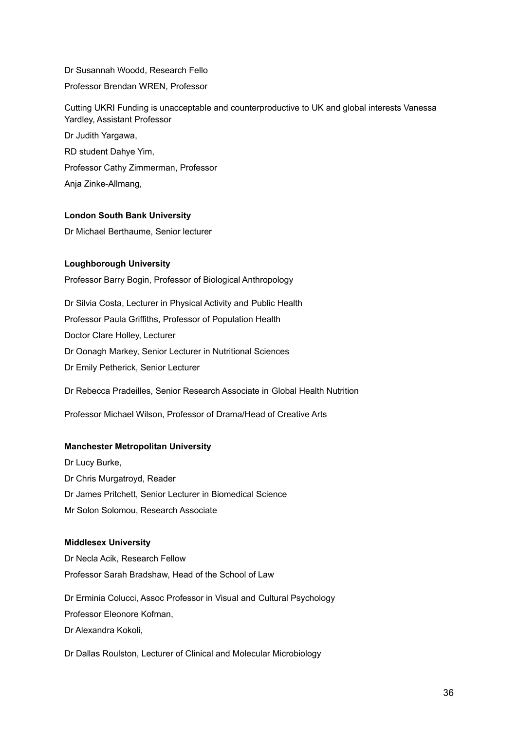Dr Susannah Woodd, Research Fello Professor Brendan WREN, Professor

Cutting UKRI Funding is unacceptable and counterproductive to UK and global interests Vanessa Yardley, Assistant Professor

Dr Judith Yargawa, RD student Dahye Yim, Professor Cathy Zimmerman, Professor Anja Zinke-Allmang,

### **London South Bank University**

Dr Michael Berthaume, Senior lecturer

## **Loughborough University**

Professor Barry Bogin, Professor of Biological Anthropology

Dr Silvia Costa, Lecturer in Physical Activity and Public Health Professor Paula Griffiths, Professor of Population Health Doctor Clare Holley, Lecturer Dr Oonagh Markey, Senior Lecturer in Nutritional Sciences Dr Emily Petherick, Senior Lecturer

Dr Rebecca Pradeilles, Senior Research Associate in Global Health Nutrition

Professor Michael Wilson, Professor of Drama/Head of Creative Arts

### **Manchester Metropolitan University**

Dr Lucy Burke, Dr Chris Murgatroyd, Reader Dr James Pritchett, Senior Lecturer in Biomedical Science Mr Solon Solomou, Research Associate

### **Middlesex University**

Dr Necla Acik, Research Fellow Professor Sarah Bradshaw, Head of the School of Law

Dr Erminia Colucci, Assoc Professor in Visual and Cultural Psychology Professor Eleonore Kofman, Dr Alexandra Kokoli,

Dr Dallas Roulston, Lecturer of Clinical and Molecular Microbiology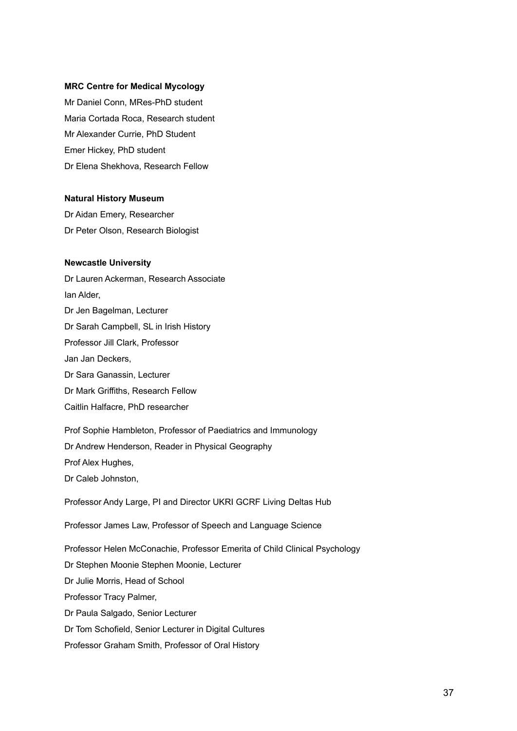#### **MRC Centre for Medical Mycology**

Mr Daniel Conn, MRes-PhD student Maria Cortada Roca, Research student Mr Alexander Currie, PhD Student Emer Hickey, PhD student Dr Elena Shekhova, Research Fellow

#### **Natural History Museum**

Dr Aidan Emery, Researcher Dr Peter Olson, Research Biologist

#### **Newcastle University**

Dr Lauren Ackerman, Research Associate Ian Alder, Dr Jen Bagelman, Lecturer Dr Sarah Campbell, SL in Irish History Professor Jill Clark, Professor Jan Jan Deckers, Dr Sara Ganassin, Lecturer Dr Mark Griffiths, Research Fellow Caitlin Halfacre, PhD researcher Prof Sophie Hambleton, Professor of Paediatrics and Immunology Dr Andrew Henderson, Reader in Physical Geography Prof Alex Hughes, Dr Caleb Johnston, Professor Andy Large, PI and Director UKRI GCRF Living Deltas Hub Professor James Law, Professor of Speech and Language Science Professor Helen McConachie, Professor Emerita of Child Clinical Psychology Dr Stephen Moonie Stephen Moonie, Lecturer Dr Julie Morris, Head of School Professor Tracy Palmer, Dr Paula Salgado, Senior Lecturer Dr Tom Schofield, Senior Lecturer in Digital Cultures

Professor Graham Smith, Professor of Oral History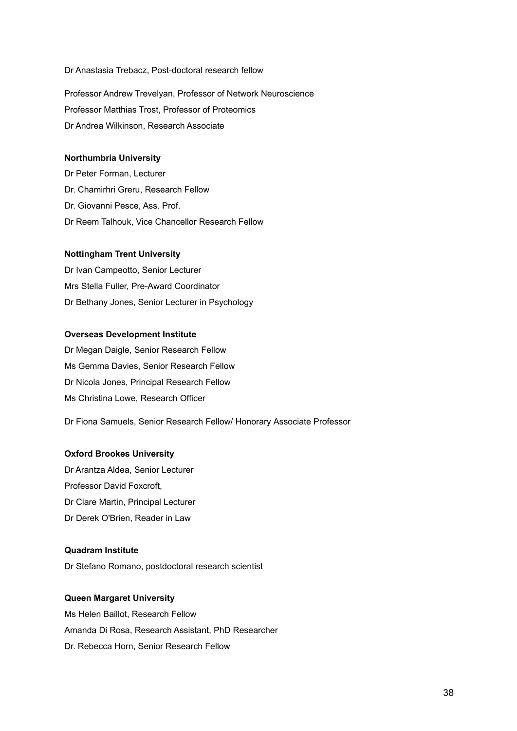#### Dr Anastasia Trebacz, Post-doctoral research fellow

Professor Andrew Trevelyan, Professor of Network Neuroscience Professor Matthias Trost, Professor of Proteomics Dr Andrea Wilkinson, Research Associate

#### **Northumbria University**

Dr Peter Forman, Lecturer Dr. Chamirhri Greru, Research Fellow Dr. Giovanni Pesce, Ass. Prof. Dr Reem Talhouk, Vice Chancellor Research Fellow

## **Nottingham Trent University**

Dr Ivan Campeotto, Senior Lecturer Mrs Stella Fuller, Pre-Award Coordinator Dr Bethany Jones, Senior Lecturer in Psychology

#### **Overseas Development Institute**

Dr Megan Daigle, Senior Research Fellow Ms Gemma Davies, Senior Research Fellow Dr Nicola Jones, Principal Research Fellow Ms Christina Lowe, Research Officer

Dr Fiona Samuels, Senior Research Fellow/ Honorary Associate Professor

## **Oxford Brookes University**

Dr Arantza Aldea, Senior Lecturer Professor David Foxcroft, Dr Clare Martin, Principal Lecturer Dr Derek O'Brien, Reader in Law

### **Quadram Institute**

Dr Stefano Romano, postdoctoral research scientist

## **Queen Margaret University**

Ms Helen Baillot, Research Fellow Amanda Di Rosa, Research Assistant, PhD Researcher Dr. Rebecca Horn, Senior Research Fellow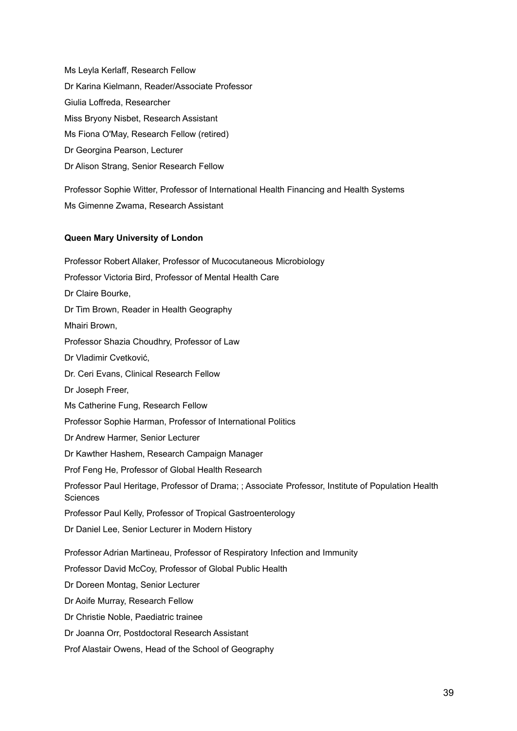Ms Leyla Kerlaff, Research Fellow Dr Karina Kielmann, Reader/Associate Professor Giulia Loffreda, Researcher Miss Bryony Nisbet, Research Assistant Ms Fiona O'May, Research Fellow (retired) Dr Georgina Pearson, Lecturer Dr Alison Strang, Senior Research Fellow

Professor Sophie Witter, Professor of International Health Financing and Health Systems Ms Gimenne Zwama, Research Assistant

# **Queen Mary University of London**

Professor Robert Allaker, Professor of Mucocutaneous Microbiology Professor Victoria Bird, Professor of Mental Health Care Dr Claire Bourke, Dr Tim Brown, Reader in Health Geography Mhairi Brown, Professor Shazia Choudhry, Professor of Law Dr Vladimir Cvetković, Dr. Ceri Evans, Clinical Research Fellow Dr Joseph Freer, Ms Catherine Fung, Research Fellow Professor Sophie Harman, Professor of International Politics Dr Andrew Harmer, Senior Lecturer Dr Kawther Hashem, Research Campaign Manager Prof Feng He, Professor of Global Health Research Professor Paul Heritage, Professor of Drama; ; Associate Professor, Institute of Population Health **Sciences** Professor Paul Kelly, Professor of Tropical Gastroenterology Dr Daniel Lee, Senior Lecturer in Modern History Professor Adrian Martineau, Professor of Respiratory Infection and Immunity Professor David McCoy, Professor of Global Public Health Dr Doreen Montag, Senior Lecturer Dr Aoife Murray, Research Fellow Dr Christie Noble, Paediatric trainee Dr Joanna Orr, Postdoctoral Research Assistant Prof Alastair Owens, Head of the School of Geography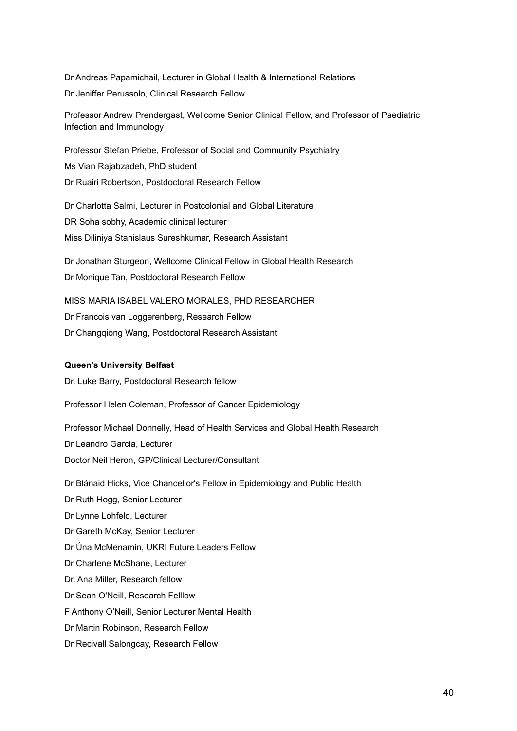Dr Andreas Papamichail, Lecturer in Global Health & International Relations Dr Jeniffer Perussolo, Clinical Research Fellow

Professor Andrew Prendergast, Wellcome Senior Clinical Fellow, and Professor of Paediatric Infection and Immunology

Professor Stefan Priebe, Professor of Social and Community Psychiatry Ms Vian Rajabzadeh, PhD student Dr Ruairi Robertson, Postdoctoral Research Fellow

Dr Charlotta Salmi, Lecturer in Postcolonial and Global Literature DR Soha sobhy, Academic clinical lecturer Miss Diliniya Stanislaus Sureshkumar, Research Assistant

Dr Jonathan Sturgeon, Wellcome Clinical Fellow in Global Health Research Dr Monique Tan, Postdoctoral Research Fellow

MISS MARIA ISABEL VALERO MORALES, PHD RESEARCHER Dr Francois van Loggerenberg, Research Fellow Dr Changqiong Wang, Postdoctoral Research Assistant

#### **Queen's University Belfast**

Dr. Luke Barry, Postdoctoral Research fellow

Professor Helen Coleman, Professor of Cancer Epidemiology

Professor Michael Donnelly, Head of Health Services and Global Health Research Dr Leandro Garcia, Lecturer Doctor Neil Heron, GP/Clinical Lecturer/Consultant

Dr Blánaid Hicks, Vice Chancellor's Fellow in Epidemiology and Public Health

Dr Ruth Hogg, Senior Lecturer

Dr Lynne Lohfeld, Lecturer

Dr Gareth McKay, Senior Lecturer

Dr Úna McMenamin, UKRI Future Leaders Fellow

Dr Charlene McShane, Lecturer

Dr. Ana Miller, Research fellow

Dr Sean O'Neill, Research Felllow

F Anthony O'Neill, Senior Lecturer Mental Health

Dr Martin Robinson, Research Fellow

Dr Recivall Salongcay, Research Fellow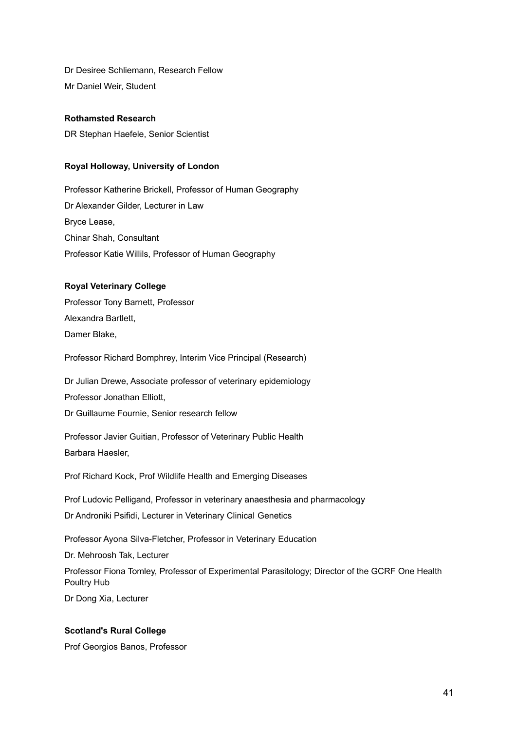Dr Desiree Schliemann, Research Fellow Mr Daniel Weir, Student

## **Rothamsted Research**

DR Stephan Haefele, Senior Scientist

## **Royal Holloway, University of London**

Professor Katherine Brickell, Professor of Human Geography Dr Alexander Gilder, Lecturer in Law Bryce Lease, Chinar Shah, Consultant Professor Katie Willils, Professor of Human Geography

# **Royal Veterinary College**

Professor Tony Barnett, Professor Alexandra Bartlett, Damer Blake,

Professor Richard Bomphrey, Interim Vice Principal (Research)

Dr Julian Drewe, Associate professor of veterinary epidemiology Professor Jonathan Elliott, Dr Guillaume Fournie, Senior research fellow

Professor Javier Guitian, Professor of Veterinary Public Health Barbara Haesler,

Prof Richard Kock, Prof Wildlife Health and Emerging Diseases

Prof Ludovic Pelligand, Professor in veterinary anaesthesia and pharmacology Dr Androniki Psifidi, Lecturer in Veterinary Clinical Genetics

Professor Ayona Silva-Fletcher, Professor in Veterinary Education Dr. Mehroosh Tak, Lecturer Professor Fiona Tomley, Professor of Experimental Parasitology; Director of the GCRF One Health Poultry Hub Dr Dong Xia, Lecturer

## **Scotland's Rural College**

Prof Georgios Banos, Professor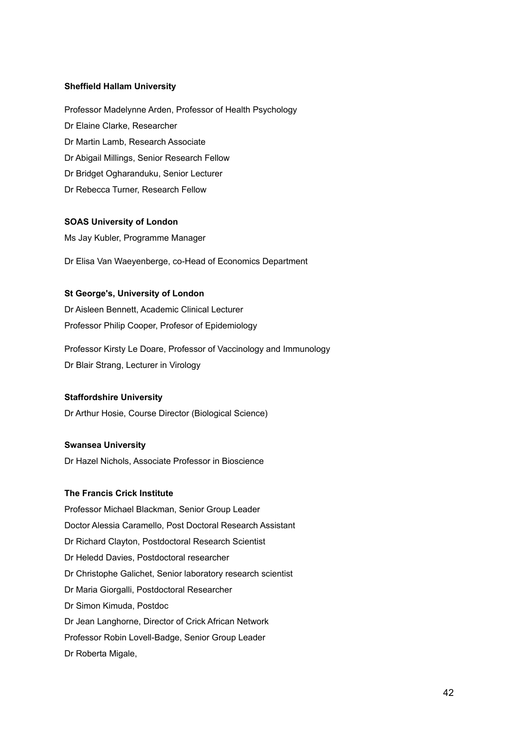#### **Sheffield Hallam University**

Professor Madelynne Arden, Professor of Health Psychology Dr Elaine Clarke, Researcher Dr Martin Lamb, Research Associate Dr Abigail Millings, Senior Research Fellow Dr Bridget Ogharanduku, Senior Lecturer Dr Rebecca Turner, Research Fellow

#### **SOAS University of London**

Ms Jay Kubler, Programme Manager

Dr Elisa Van Waeyenberge, co-Head of Economics Department

# **St George's, University of London**

Dr Aisleen Bennett, Academic Clinical Lecturer Professor Philip Cooper, Profesor of Epidemiology

Professor Kirsty Le Doare, Professor of Vaccinology and Immunology Dr Blair Strang, Lecturer in Virology

## **Staffordshire University**

Dr Arthur Hosie, Course Director (Biological Science)

## **Swansea University**

Dr Hazel Nichols, Associate Professor in Bioscience

#### **The Francis Crick Institute**

Professor Michael Blackman, Senior Group Leader Doctor Alessia Caramello, Post Doctoral Research Assistant Dr Richard Clayton, Postdoctoral Research Scientist Dr Heledd Davies, Postdoctoral researcher Dr Christophe Galichet, Senior laboratory research scientist Dr Maria Giorgalli, Postdoctoral Researcher Dr Simon Kimuda, Postdoc Dr Jean Langhorne, Director of Crick African Network Professor Robin Lovell-Badge, Senior Group Leader Dr Roberta Migale,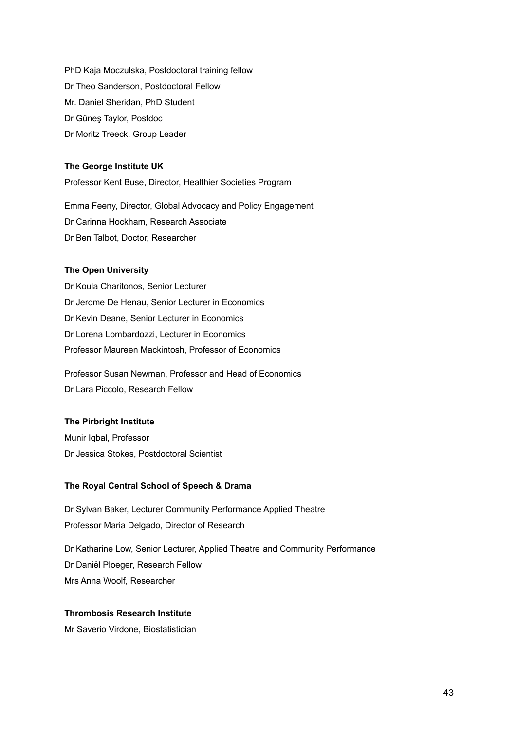PhD Kaja Moczulska, Postdoctoral training fellow Dr Theo Sanderson, Postdoctoral Fellow Mr. Daniel Sheridan, PhD Student Dr Güneş Taylor, Postdoc Dr Moritz Treeck, Group Leader

#### **The George Institute UK**

Professor Kent Buse, Director, Healthier Societies Program

Emma Feeny, Director, Global Advocacy and Policy Engagement Dr Carinna Hockham, Research Associate Dr Ben Talbot, Doctor, Researcher

#### **The Open University**

Dr Koula Charitonos, Senior Lecturer Dr Jerome De Henau, Senior Lecturer in Economics Dr Kevin Deane, Senior Lecturer in Economics Dr Lorena Lombardozzi, Lecturer in Economics Professor Maureen Mackintosh, Professor of Economics

Professor Susan Newman, Professor and Head of Economics Dr Lara Piccolo, Research Fellow

# **The Pirbright Institute**

Munir Iqbal, Professor Dr Jessica Stokes, Postdoctoral Scientist

## **The Royal Central School of Speech & Drama**

Dr Sylvan Baker, Lecturer Community Performance Applied Theatre Professor Maria Delgado, Director of Research

Dr Katharine Low, Senior Lecturer, Applied Theatre and Community Performance Dr Daniël Ploeger, Research Fellow Mrs Anna Woolf, Researcher

## **Thrombosis Research Institute**

Mr Saverio Virdone, Biostatistician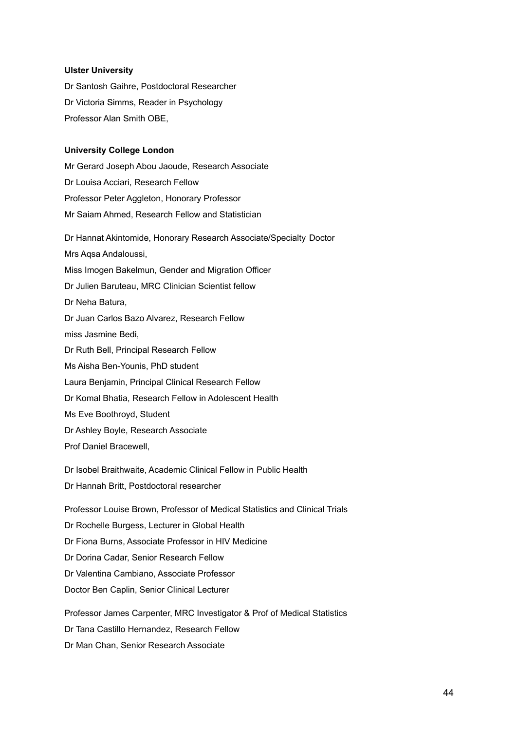#### **Ulster University**

Dr Santosh Gaihre, Postdoctoral Researcher Dr Victoria Simms, Reader in Psychology Professor Alan Smith OBE,

#### **University College London**

Mr Gerard Joseph Abou Jaoude, Research Associate Dr Louisa Acciari, Research Fellow Professor Peter Aggleton, Honorary Professor Mr Saiam Ahmed, Research Fellow and Statistician

Dr Hannat Akintomide, Honorary Research Associate/Specialty Doctor Mrs Aqsa Andaloussi, Miss Imogen Bakelmun, Gender and Migration Officer Dr Julien Baruteau, MRC Clinician Scientist fellow Dr Neha Batura, Dr Juan Carlos Bazo Alvarez, Research Fellow miss Jasmine Bedi, Dr Ruth Bell, Principal Research Fellow Ms Aisha Ben-Younis, PhD student Laura Benjamin, Principal Clinical Research Fellow Dr Komal Bhatia, Research Fellow in Adolescent Health Ms Eve Boothroyd, Student Dr Ashley Boyle, Research Associate Prof Daniel Bracewell, Dr Isobel Braithwaite, Academic Clinical Fellow in Public Health Dr Hannah Britt, Postdoctoral researcher

Professor Louise Brown, Professor of Medical Statistics and Clinical Trials Dr Rochelle Burgess, Lecturer in Global Health Dr Fiona Burns, Associate Professor in HIV Medicine Dr Dorina Cadar, Senior Research Fellow Dr Valentina Cambiano, Associate Professor Doctor Ben Caplin, Senior Clinical Lecturer Professor James Carpenter, MRC Investigator & Prof of Medical Statistics

Dr Tana Castillo Hernandez, Research Fellow Dr Man Chan, Senior Research Associate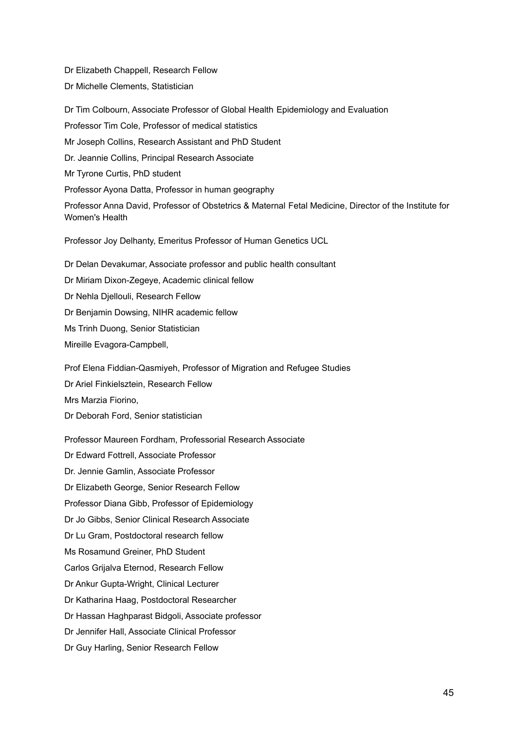Dr Elizabeth Chappell, Research Fellow Dr Michelle Clements, Statistician

Dr Tim Colbourn, Associate Professor of Global Health Epidemiology and Evaluation Professor Tim Cole, Professor of medical statistics Mr Joseph Collins, Research Assistant and PhD Student Dr. Jeannie Collins, Principal Research Associate Mr Tyrone Curtis, PhD student Professor Ayona Datta, Professor in human geography Professor Anna David, Professor of Obstetrics & Maternal Fetal Medicine, Director of the Institute for Women's Health Professor Joy Delhanty, Emeritus Professor of Human Genetics UCL

Dr Delan Devakumar, Associate professor and public health consultant Dr Miriam Dixon-Zegeye, Academic clinical fellow Dr Nehla Djellouli, Research Fellow Dr Benjamin Dowsing, NIHR academic fellow Ms Trinh Duong, Senior Statistician Mireille Evagora-Campbell,

Prof Elena Fiddian-Qasmiyeh, Professor of Migration and Refugee Studies Dr Ariel Finkielsztein, Research Fellow Mrs Marzia Fiorino, Dr Deborah Ford, Senior statistician

Professor Maureen Fordham, Professorial Research Associate Dr Edward Fottrell, Associate Professor Dr. Jennie Gamlin, Associate Professor Dr Elizabeth George, Senior Research Fellow Professor Diana Gibb, Professor of Epidemiology Dr Jo Gibbs, Senior Clinical Research Associate Dr Lu Gram, Postdoctoral research fellow Ms Rosamund Greiner, PhD Student Carlos Grijalva Eternod, Research Fellow Dr Ankur Gupta-Wright, Clinical Lecturer Dr Katharina Haag, Postdoctoral Researcher Dr Hassan Haghparast Bidgoli, Associate professor Dr Jennifer Hall, Associate Clinical Professor Dr Guy Harling, Senior Research Fellow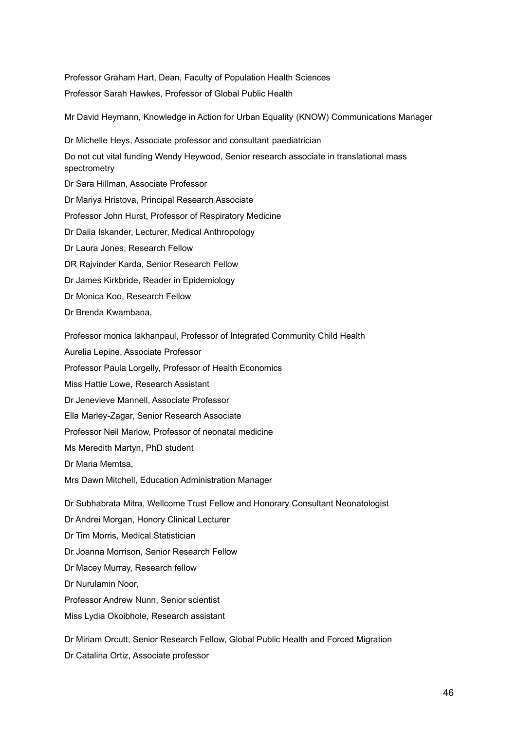Professor Graham Hart, Dean, Faculty of Population Health Sciences Professor Sarah Hawkes, Professor of Global Public Health

Mr David Heymann, Knowledge in Action for Urban Equality (KNOW) Communications Manager

Dr Michelle Heys, Associate professor and consultant paediatrician Do not cut vital funding Wendy Heywood, Senior research associate in translational mass spectrometry Dr Sara Hillman, Associate Professor Dr Mariya Hristova, Principal Research Associate Professor John Hurst, Professor of Respiratory Medicine Dr Dalia Iskander, Lecturer, Medical Anthropology Dr Laura Jones, Research Fellow DR Rajvinder Karda, Senior Research Fellow Dr James Kirkbride, Reader in Epidemiology Dr Monica Koo, Research Fellow Dr Brenda Kwambana,

Professor monica lakhanpaul, Professor of Integrated Community Child Health

Aurelia Lepine, Associate Professor

Professor Paula Lorgelly, Professor of Health Economics

Miss Hattie Lowe, Research Assistant

Dr Jenevieve Mannell, Associate Professor

Ella Marley-Zagar, Senior Research Associate

Professor Neil Marlow, Professor of neonatal medicine

Ms Meredith Martyn, PhD student

Dr Maria Memtsa,

Mrs Dawn Mitchell, Education Administration Manager

Dr Subhabrata Mitra, Wellcome Trust Fellow and Honorary Consultant Neonatologist

Dr Andrei Morgan, Honory Clinical Lecturer

Dr Tim Morris, Medical Statistician

Dr Joanna Morrison, Senior Research Fellow

Dr Macey Murray, Research fellow

Dr Nurulamin Noor,

Professor Andrew Nunn, Senior scientist

Miss Lydia Okoibhole, Research assistant

Dr Miriam Orcutt, Senior Research Fellow, Global Public Health and Forced Migration Dr Catalina Ortiz, Associate professor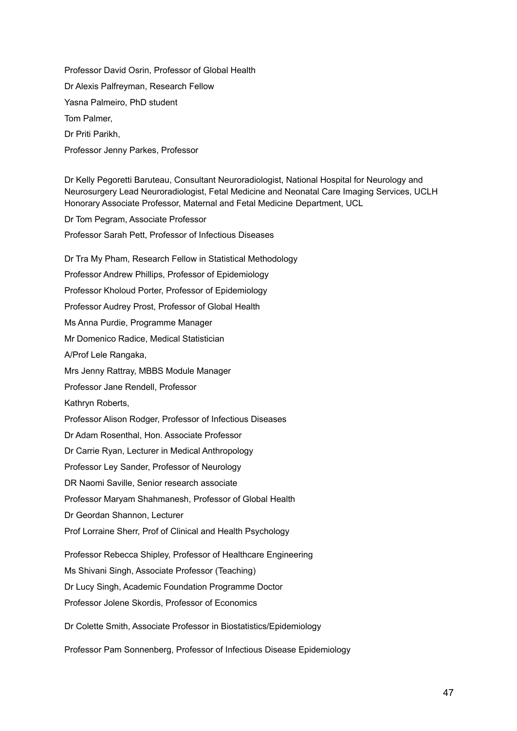Professor David Osrin, Professor of Global Health Dr Alexis Palfreyman, Research Fellow Yasna Palmeiro, PhD student Tom Palmer, Dr Priti Parikh, Professor Jenny Parkes, Professor

Dr Kelly Pegoretti Baruteau, Consultant Neuroradiologist, National Hospital for Neurology and Neurosurgery Lead Neuroradiologist, Fetal Medicine and Neonatal Care Imaging Services, UCLH Honorary Associate Professor, Maternal and Fetal Medicine Department, UCL

Dr Tom Pegram, Associate Professor

Professor Sarah Pett, Professor of Infectious Diseases

Dr Tra My Pham, Research Fellow in Statistical Methodology Professor Andrew Phillips, Professor of Epidemiology Professor Kholoud Porter, Professor of Epidemiology Professor Audrey Prost, Professor of Global Health Ms Anna Purdie, Programme Manager Mr Domenico Radice, Medical Statistician A/Prof Lele Rangaka, Mrs Jenny Rattray, MBBS Module Manager Professor Jane Rendell, Professor Kathryn Roberts, Professor Alison Rodger, Professor of Infectious Diseases Dr Adam Rosenthal, Hon. Associate Professor Dr Carrie Ryan, Lecturer in Medical Anthropology Professor Ley Sander, Professor of Neurology DR Naomi Saville, Senior research associate Professor Maryam Shahmanesh, Professor of Global Health Dr Geordan Shannon, Lecturer Prof Lorraine Sherr, Prof of Clinical and Health Psychology Professor Rebecca Shipley, Professor of Healthcare Engineering Ms Shivani Singh, Associate Professor (Teaching) Dr Lucy Singh, Academic Foundation Programme Doctor Professor Jolene Skordis, Professor of Economics Dr Colette Smith, Associate Professor in Biostatistics/Epidemiology

Professor Pam Sonnenberg, Professor of Infectious Disease Epidemiology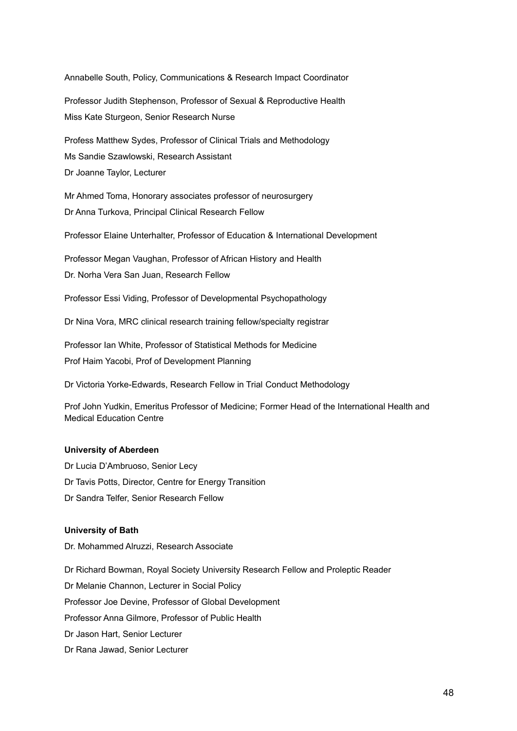Annabelle South, Policy, Communications & Research Impact Coordinator Professor Judith Stephenson, Professor of Sexual & Reproductive Health Miss Kate Sturgeon, Senior Research Nurse Profess Matthew Sydes, Professor of Clinical Trials and Methodology Ms Sandie Szawlowski, Research Assistant Dr Joanne Taylor, Lecturer Mr Ahmed Toma, Honorary associates professor of neurosurgery Dr Anna Turkova, Principal Clinical Research Fellow Professor Elaine Unterhalter, Professor of Education & International Development Professor Megan Vaughan, Professor of African History and Health Dr. Norha Vera San Juan, Research Fellow Professor Essi Viding, Professor of Developmental Psychopathology Dr Nina Vora, MRC clinical research training fellow/specialty registrar Professor Ian White, Professor of Statistical Methods for Medicine Prof Haim Yacobi, Prof of Development Planning Dr Victoria Yorke-Edwards, Research Fellow in Trial Conduct Methodology Prof John Yudkin, Emeritus Professor of Medicine; Former Head of the International Health and Medical Education Centre

## **University of Aberdeen**

Dr Lucia D'Ambruoso, Senior Lecy Dr Tavis Potts, Director, Centre for Energy Transition Dr Sandra Telfer, Senior Research Fellow

## **University of Bath**

Dr. Mohammed Alruzzi, Research Associate

Dr Richard Bowman, Royal Society University Research Fellow and Proleptic Reader Dr Melanie Channon, Lecturer in Social Policy Professor Joe Devine, Professor of Global Development Professor Anna Gilmore, Professor of Public Health Dr Jason Hart, Senior Lecturer Dr Rana Jawad, Senior Lecturer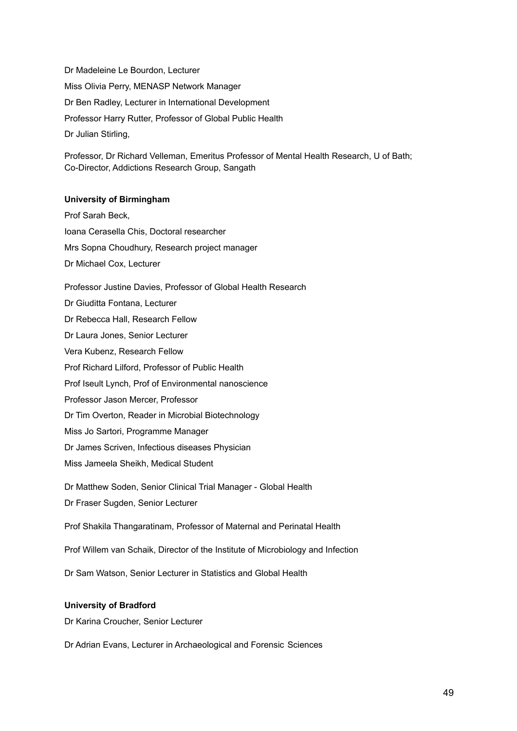Dr Madeleine Le Bourdon, Lecturer Miss Olivia Perry, MENASP Network Manager Dr Ben Radley, Lecturer in International Development Professor Harry Rutter, Professor of Global Public Health Dr Julian Stirling,

Professor, Dr Richard Velleman, Emeritus Professor of Mental Health Research, U of Bath; Co-Director, Addictions Research Group, Sangath

#### **University of Birmingham**

Prof Sarah Beck, Ioana Cerasella Chis, Doctoral researcher Mrs Sopna Choudhury, Research project manager Dr Michael Cox, Lecturer

Professor Justine Davies, Professor of Global Health Research Dr Giuditta Fontana, Lecturer Dr Rebecca Hall, Research Fellow Dr Laura Jones, Senior Lecturer Vera Kubenz, Research Fellow Prof Richard Lilford, Professor of Public Health Prof Iseult Lynch, Prof of Environmental nanoscience Professor Jason Mercer, Professor Dr Tim Overton, Reader in Microbial Biotechnology Miss Jo Sartori, Programme Manager Dr James Scriven, Infectious diseases Physician Miss Jameela Sheikh, Medical Student Dr Matthew Soden, Senior Clinical Trial Manager - Global Health Dr Fraser Sugden, Senior Lecturer

Prof Shakila Thangaratinam, Professor of Maternal and Perinatal Health

Prof Willem van Schaik, Director of the Institute of Microbiology and Infection

Dr Sam Watson, Senior Lecturer in Statistics and Global Health

### **University of Bradford**

Dr Karina Croucher, Senior Lecturer

Dr Adrian Evans, Lecturer in Archaeological and Forensic Sciences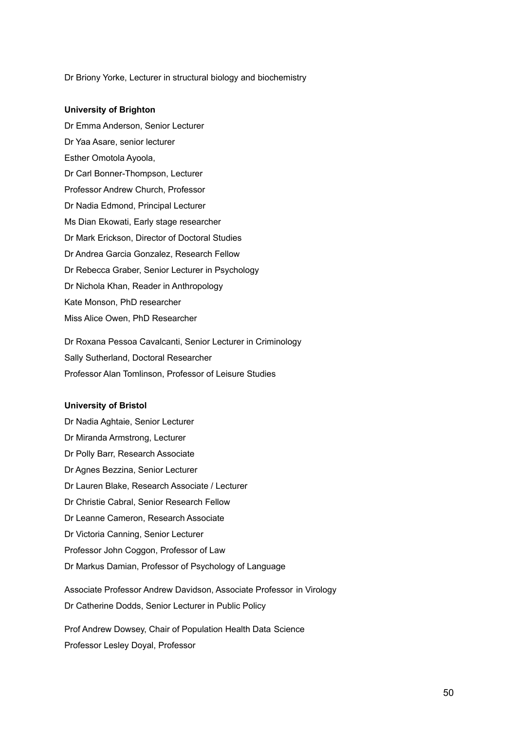Dr Briony Yorke, Lecturer in structural biology and biochemistry

#### **University of Brighton**

Dr Emma Anderson, Senior Lecturer Dr Yaa Asare, senior lecturer Esther Omotola Ayoola, Dr Carl Bonner-Thompson, Lecturer Professor Andrew Church, Professor Dr Nadia Edmond, Principal Lecturer Ms Dian Ekowati, Early stage researcher Dr Mark Erickson, Director of Doctoral Studies Dr Andrea Garcia Gonzalez, Research Fellow Dr Rebecca Graber, Senior Lecturer in Psychology Dr Nichola Khan, Reader in Anthropology Kate Monson, PhD researcher Miss Alice Owen, PhD Researcher

Dr Roxana Pessoa Cavalcanti, Senior Lecturer in Criminology Sally Sutherland, Doctoral Researcher Professor Alan Tomlinson, Professor of Leisure Studies

## **University of Bristol**

Dr Nadia Aghtaie, Senior Lecturer Dr Miranda Armstrong, Lecturer Dr Polly Barr, Research Associate Dr Agnes Bezzina, Senior Lecturer Dr Lauren Blake, Research Associate / Lecturer Dr Christie Cabral, Senior Research Fellow Dr Leanne Cameron, Research Associate Dr Victoria Canning, Senior Lecturer Professor John Coggon, Professor of Law Dr Markus Damian, Professor of Psychology of Language Associate Professor Andrew Davidson, Associate Professor in Virology Dr Catherine Dodds, Senior Lecturer in Public Policy

Prof Andrew Dowsey, Chair of Population Health Data Science Professor Lesley Doyal, Professor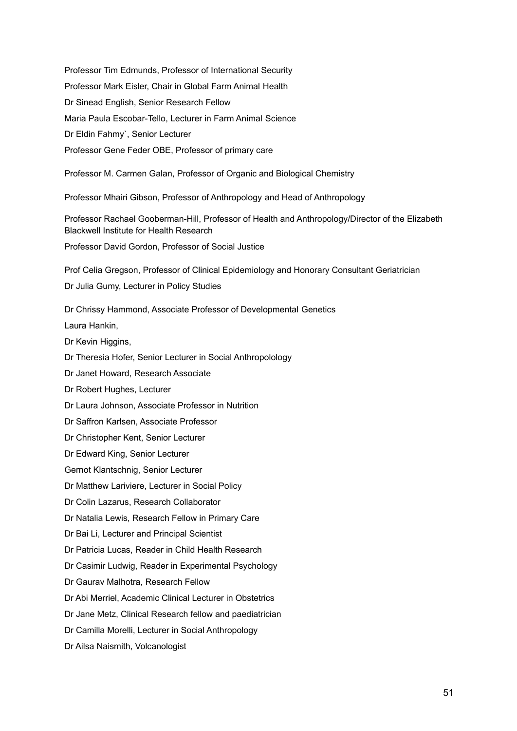Professor Tim Edmunds, Professor of International Security Professor Mark Eisler, Chair in Global Farm Animal Health Dr Sinead English, Senior Research Fellow Maria Paula Escobar-Tello, Lecturer in Farm Animal Science Dr Eldin Fahmy`, Senior Lecturer Professor Gene Feder OBE, Professor of primary care Professor M. Carmen Galan, Professor of Organic and Biological Chemistry Professor Mhairi Gibson, Professor of Anthropology and Head of Anthropology Professor Rachael Gooberman-Hill, Professor of Health and Anthropology/Director of the Elizabeth Blackwell Institute for Health Research Professor David Gordon, Professor of Social Justice Prof Celia Gregson, Professor of Clinical Epidemiology and Honorary Consultant Geriatrician Dr Julia Gumy, Lecturer in Policy Studies Dr Chrissy Hammond, Associate Professor of Developmental Genetics Laura Hankin, Dr Kevin Higgins, Dr Theresia Hofer, Senior Lecturer in Social Anthropolology Dr Janet Howard, Research Associate Dr Robert Hughes, Lecturer Dr Laura Johnson, Associate Professor in Nutrition Dr Saffron Karlsen, Associate Professor Dr Christopher Kent, Senior Lecturer Dr Edward King, Senior Lecturer Gernot Klantschnig, Senior Lecturer Dr Matthew Lariviere, Lecturer in Social Policy Dr Colin Lazarus, Research Collaborator Dr Natalia Lewis, Research Fellow in Primary Care Dr Bai Li, Lecturer and Principal Scientist Dr Patricia Lucas, Reader in Child Health Research Dr Casimir Ludwig, Reader in Experimental Psychology Dr Gaurav Malhotra, Research Fellow Dr Abi Merriel, Academic Clinical Lecturer in Obstetrics Dr Jane Metz, Clinical Research fellow and paediatrician Dr Camilla Morelli, Lecturer in Social Anthropology Dr Ailsa Naismith, Volcanologist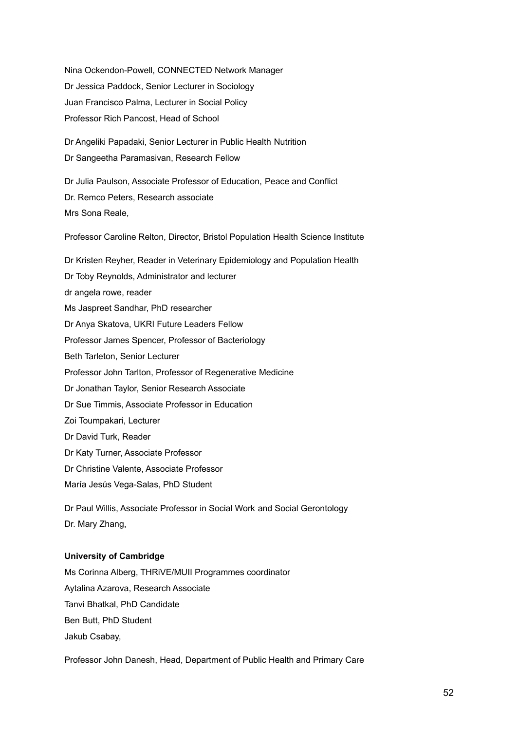Nina Ockendon-Powell, CONNECTED Network Manager Dr Jessica Paddock, Senior Lecturer in Sociology Juan Francisco Palma, Lecturer in Social Policy Professor Rich Pancost, Head of School Dr Angeliki Papadaki, Senior Lecturer in Public Health Nutrition Dr Sangeetha Paramasivan, Research Fellow Dr Julia Paulson, Associate Professor of Education, Peace and Conflict Dr. Remco Peters, Research associate Mrs Sona Reale, Professor Caroline Relton, Director, Bristol Population Health Science Institute Dr Kristen Reyher, Reader in Veterinary Epidemiology and Population Health Dr Toby Reynolds, Administrator and lecturer dr angela rowe, reader Ms Jaspreet Sandhar, PhD researcher Dr Anya Skatova, UKRI Future Leaders Fellow Professor James Spencer, Professor of Bacteriology Beth Tarleton, Senior Lecturer Professor John Tarlton, Professor of Regenerative Medicine Dr Jonathan Taylor, Senior Research Associate Dr Sue Timmis, Associate Professor in Education Zoi Toumpakari, Lecturer Dr David Turk, Reader Dr Katy Turner, Associate Professor Dr Christine Valente, Associate Professor María Jesús Vega-Salas, PhD Student Dr Paul Willis, Associate Professor in Social Work and Social Gerontology Dr. Mary Zhang,

## **University of Cambridge**

Ms Corinna Alberg, THRiVE/MUII Programmes coordinator Aytalina Azarova, Research Associate Tanvi Bhatkal, PhD Candidate Ben Butt, PhD Student Jakub Csabay,

Professor John Danesh, Head, Department of Public Health and Primary Care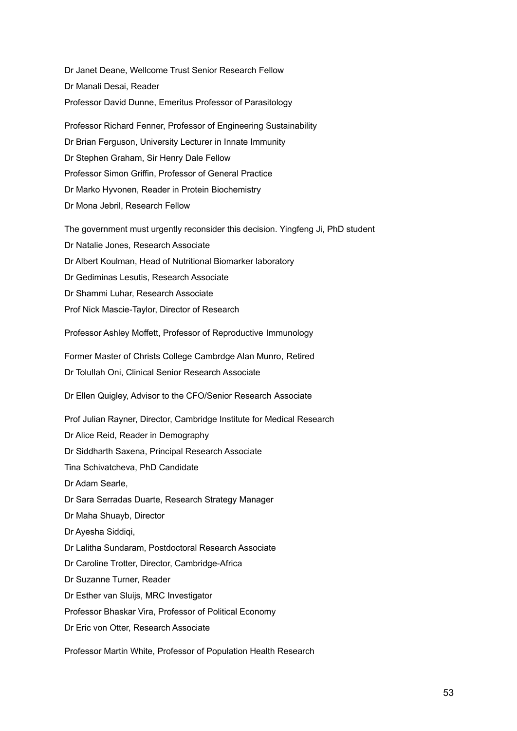Dr Janet Deane, Wellcome Trust Senior Research Fellow Dr Manali Desai, Reader Professor David Dunne, Emeritus Professor of Parasitology

Professor Richard Fenner, Professor of Engineering Sustainability Dr Brian Ferguson, University Lecturer in Innate Immunity Dr Stephen Graham, Sir Henry Dale Fellow Professor Simon Griffin, Professor of General Practice Dr Marko Hyvonen, Reader in Protein Biochemistry Dr Mona Jebril, Research Fellow

The government must urgently reconsider this decision. Yingfeng Ji, PhD student Dr Natalie Jones, Research Associate Dr Albert Koulman, Head of Nutritional Biomarker laboratory Dr Gediminas Lesutis, Research Associate Dr Shammi Luhar, Research Associate Prof Nick Mascie-Taylor, Director of Research

Professor Ashley Moffett, Professor of Reproductive Immunology

Former Master of Christs College Cambrdge Alan Munro, Retired Dr Tolullah Oni, Clinical Senior Research Associate

Dr Ellen Quigley, Advisor to the CFO/Senior Research Associate

Prof Julian Rayner, Director, Cambridge Institute for Medical Research Dr Alice Reid, Reader in Demography Dr Siddharth Saxena, Principal Research Associate Tina Schivatcheva, PhD Candidate Dr Adam Searle, Dr Sara Serradas Duarte, Research Strategy Manager Dr Maha Shuayb, Director Dr Ayesha Siddiqi, Dr Lalitha Sundaram, Postdoctoral Research Associate Dr Caroline Trotter, Director, Cambridge-Africa Dr Suzanne Turner, Reader Dr Esther van Sluijs, MRC Investigator Professor Bhaskar Vira, Professor of Political Economy Dr Eric von Otter, Research Associate

Professor Martin White, Professor of Population Health Research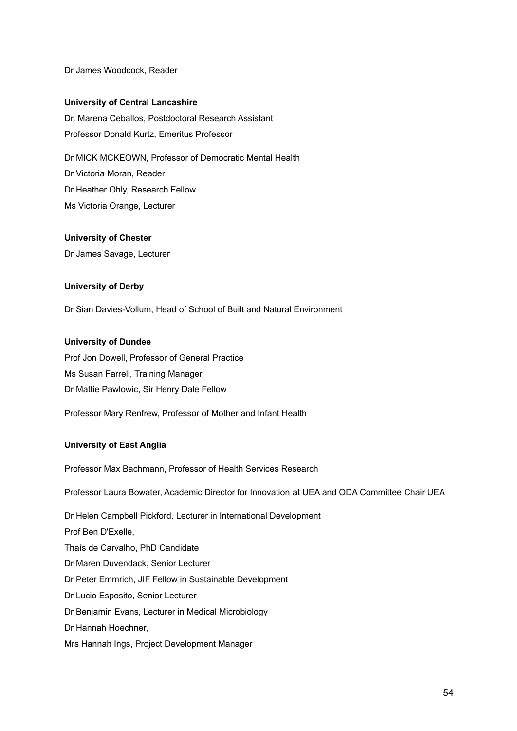Dr James Woodcock, Reader

#### **University of Central Lancashire**

Dr. Marena Ceballos, Postdoctoral Research Assistant Professor Donald Kurtz, Emeritus Professor

Dr MICK MCKEOWN, Professor of Democratic Mental Health Dr Victoria Moran, Reader Dr Heather Ohly, Research Fellow Ms Victoria Orange, Lecturer

#### **University of Chester**

Dr James Savage, Lecturer

## **University of Derby**

Dr Sian Davies-Vollum, Head of School of Built and Natural Environment

## **University of Dundee**

Prof Jon Dowell, Professor of General Practice Ms Susan Farrell, Training Manager Dr Mattie Pawlowic, Sir Henry Dale Fellow

Professor Mary Renfrew, Professor of Mother and Infant Health

#### **University of East Anglia**

Professor Max Bachmann, Professor of Health Services Research

Professor Laura Bowater, Academic Director for Innovation at UEA and ODA Committee Chair UEA

Dr Helen Campbell Pickford, Lecturer in International Development Prof Ben D'Exelle, Thaís de Carvalho, PhD Candidate Dr Maren Duvendack, Senior Lecturer Dr Peter Emmrich, JIF Fellow in Sustainable Development Dr Lucio Esposito, Senior Lecturer Dr Benjamin Evans, Lecturer in Medical Microbiology Dr Hannah Hoechner, Mrs Hannah Ings, Project Development Manager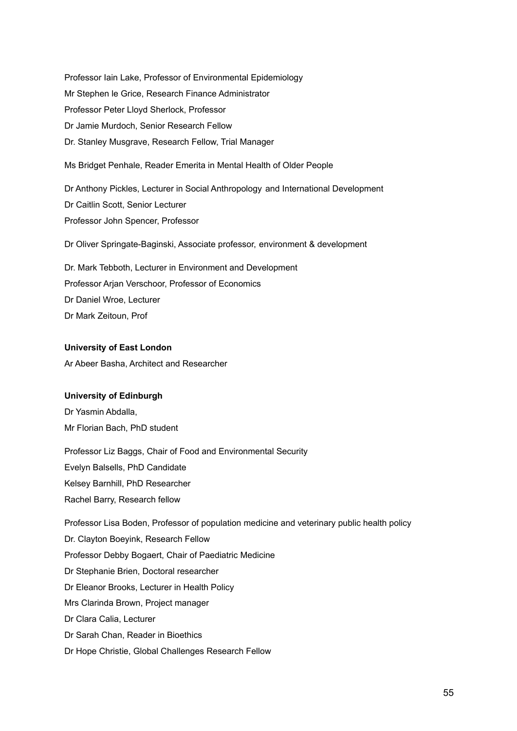Professor Iain Lake, Professor of Environmental Epidemiology Mr Stephen le Grice, Research Finance Administrator Professor Peter Lloyd Sherlock, Professor Dr Jamie Murdoch, Senior Research Fellow Dr. Stanley Musgrave, Research Fellow, Trial Manager

Ms Bridget Penhale, Reader Emerita in Mental Health of Older People

Dr Anthony Pickles, Lecturer in Social Anthropology and International Development Dr Caitlin Scott, Senior Lecturer Professor John Spencer, Professor

Dr Oliver Springate-Baginski, Associate professor, environment & development

Dr. Mark Tebboth, Lecturer in Environment and Development Professor Arjan Verschoor, Professor of Economics Dr Daniel Wroe, Lecturer Dr Mark Zeitoun, Prof

## **University of East London**

Ar Abeer Basha, Architect and Researcher

## **University of Edinburgh**

Dr Yasmin Abdalla, Mr Florian Bach, PhD student

Professor Liz Baggs, Chair of Food and Environmental Security Evelyn Balsells, PhD Candidate Kelsey Barnhill, PhD Researcher Rachel Barry, Research fellow

Professor Lisa Boden, Professor of population medicine and veterinary public health policy Dr. Clayton Boeyink, Research Fellow Professor Debby Bogaert, Chair of Paediatric Medicine Dr Stephanie Brien, Doctoral researcher Dr Eleanor Brooks, Lecturer in Health Policy Mrs Clarinda Brown, Project manager Dr Clara Calia, Lecturer Dr Sarah Chan, Reader in Bioethics Dr Hope Christie, Global Challenges Research Fellow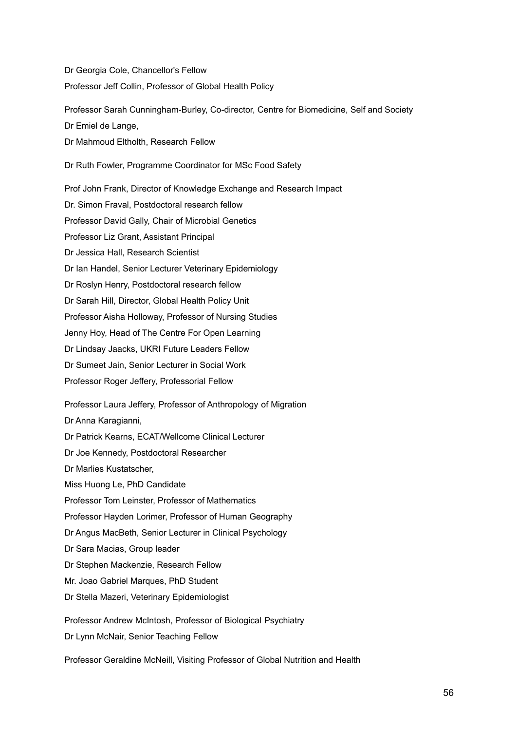Dr Georgia Cole, Chancellor's Fellow Professor Jeff Collin, Professor of Global Health Policy

Professor Sarah Cunningham-Burley, Co-director, Centre for Biomedicine, Self and Society Dr Emiel de Lange, Dr Mahmoud Eltholth, Research Fellow Dr Ruth Fowler, Programme Coordinator for MSc Food Safety

Prof John Frank, Director of Knowledge Exchange and Research Impact Dr. Simon Fraval, Postdoctoral research fellow Professor David Gally, Chair of Microbial Genetics Professor Liz Grant, Assistant Principal Dr Jessica Hall, Research Scientist Dr Ian Handel, Senior Lecturer Veterinary Epidemiology Dr Roslyn Henry, Postdoctoral research fellow Dr Sarah Hill, Director, Global Health Policy Unit Professor Aisha Holloway, Professor of Nursing Studies Jenny Hoy, Head of The Centre For Open Learning Dr Lindsay Jaacks, UKRI Future Leaders Fellow Dr Sumeet Jain, Senior Lecturer in Social Work Professor Roger Jeffery, Professorial Fellow Professor Laura Jeffery, Professor of Anthropology of Migration Dr Anna Karagianni, Dr Patrick Kearns, ECAT/Wellcome Clinical Lecturer Dr Joe Kennedy, Postdoctoral Researcher Dr Marlies Kustatscher, Miss Huong Le, PhD Candidate Professor Tom Leinster, Professor of Mathematics Professor Hayden Lorimer, Professor of Human Geography Dr Angus MacBeth, Senior Lecturer in Clinical Psychology Dr Sara Macias, Group leader Dr Stephen Mackenzie, Research Fellow Mr. Joao Gabriel Marques, PhD Student Dr Stella Mazeri, Veterinary Epidemiologist Professor Andrew McIntosh, Professor of Biological Psychiatry Dr Lynn McNair, Senior Teaching Fellow

Professor Geraldine McNeill, Visiting Professor of Global Nutrition and Health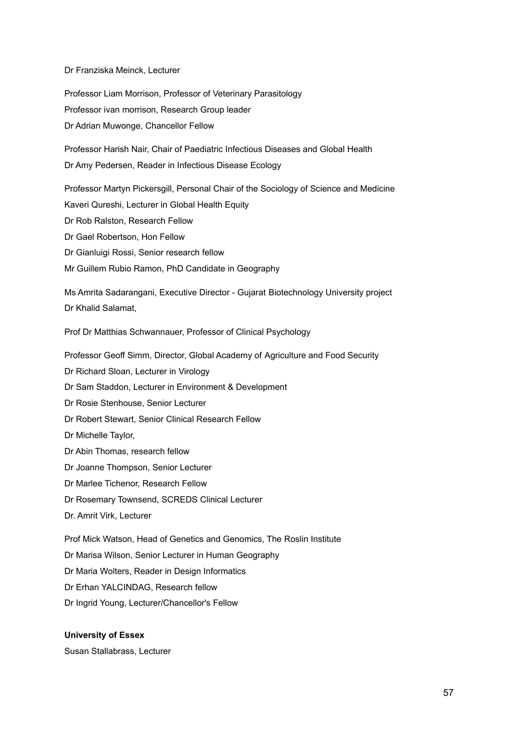#### Dr Franziska Meinck, Lecturer

Professor Liam Morrison, Professor of Veterinary Parasitology Professor ivan morrison, Research Group leader Dr Adrian Muwonge, Chancellor Fellow

Professor Harish Nair, Chair of Paediatric Infectious Diseases and Global Health Dr Amy Pedersen, Reader in Infectious Disease Ecology

Professor Martyn Pickersgill, Personal Chair of the Sociology of Science and Medicine

Kaveri Qureshi, Lecturer in Global Health Equity

Dr Rob Ralston, Research Fellow

Dr Gael Robertson, Hon Fellow

Dr Gianluigi Rossi, Senior research fellow

Mr Guillem Rubio Ramon, PhD Candidate in Geography

Ms Amrita Sadarangani, Executive Director - Gujarat Biotechnology University project Dr Khalid Salamat,

Prof Dr Matthias Schwannauer, Professor of Clinical Psychology

Professor Geoff Simm, Director, Global Academy of Agriculture and Food Security

Dr Richard Sloan, Lecturer in Virology

Dr Sam Staddon, Lecturer in Environment & Development

Dr Rosie Stenhouse, Senior Lecturer

Dr Robert Stewart, Senior Clinical Research Fellow

Dr Michelle Taylor,

Dr Abin Thomas, research fellow

Dr Joanne Thompson, Senior Lecturer

Dr Marlee Tichenor, Research Fellow

Dr Rosemary Townsend, SCREDS Clinical Lecturer

Dr. Amrit Virk, Lecturer

Prof Mick Watson, Head of Genetics and Genomics, The Roslin Institute

Dr Marisa Wilson, Senior Lecturer in Human Geography

Dr Maria Wolters, Reader in Design Informatics

Dr Erhan YALCINDAG, Research fellow

Dr Ingrid Young, Lecturer/Chancellor's Fellow

## **University of Essex**

Susan Stallabrass, Lecturer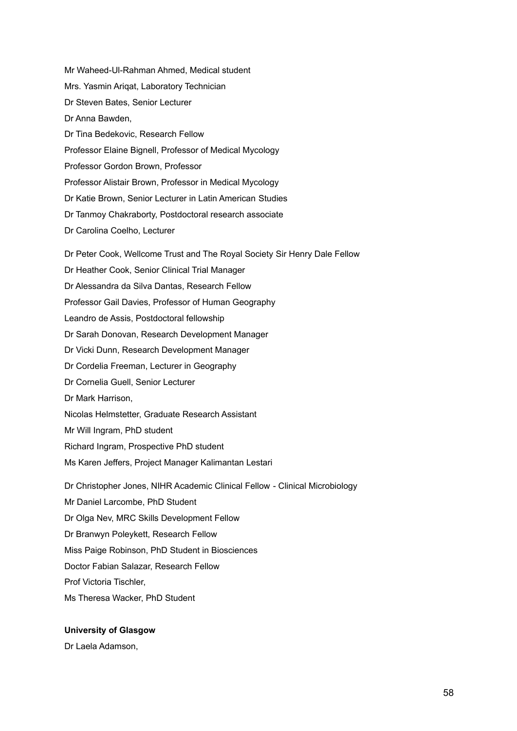Mr Waheed-Ul-Rahman Ahmed, Medical student Mrs. Yasmin Ariqat, Laboratory Technician Dr Steven Bates, Senior Lecturer Dr Anna Bawden, Dr Tina Bedekovic, Research Fellow Professor Elaine Bignell, Professor of Medical Mycology Professor Gordon Brown, Professor Professor Alistair Brown, Professor in Medical Mycology Dr Katie Brown, Senior Lecturer in Latin American Studies Dr Tanmoy Chakraborty, Postdoctoral research associate Dr Carolina Coelho, Lecturer Dr Peter Cook, Wellcome Trust and The Royal Society Sir Henry Dale Fellow Dr Heather Cook, Senior Clinical Trial Manager Dr Alessandra da Silva Dantas, Research Fellow Professor Gail Davies, Professor of Human Geography Leandro de Assis, Postdoctoral fellowship Dr Sarah Donovan, Research Development Manager Dr Vicki Dunn, Research Development Manager Dr Cordelia Freeman, Lecturer in Geography Dr Cornelia Guell, Senior Lecturer Dr Mark Harrison, Nicolas Helmstetter, Graduate Research Assistant Mr Will Ingram, PhD student Richard Ingram, Prospective PhD student Ms Karen Jeffers, Project Manager Kalimantan Lestari Dr Christopher Jones, NIHR Academic Clinical Fellow - Clinical Microbiology Mr Daniel Larcombe, PhD Student Dr Olga Nev, MRC Skills Development Fellow Dr Branwyn Poleykett, Research Fellow Miss Paige Robinson, PhD Student in Biosciences

Doctor Fabian Salazar, Research Fellow

Prof Victoria Tischler,

Ms Theresa Wacker, PhD Student

## **University of Glasgow**

Dr Laela Adamson,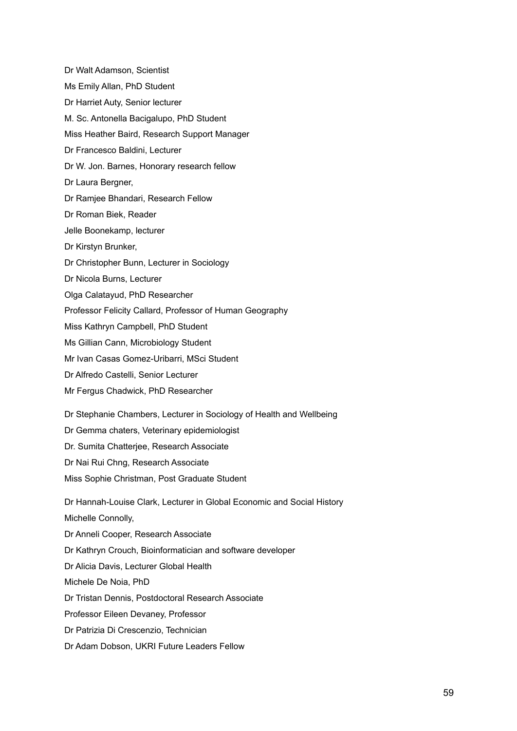Dr Walt Adamson, Scientist Ms Emily Allan, PhD Student Dr Harriet Auty, Senior lecturer M. Sc. Antonella Bacigalupo, PhD Student Miss Heather Baird, Research Support Manager Dr Francesco Baldini, Lecturer Dr W. Jon. Barnes, Honorary research fellow Dr Laura Bergner, Dr Ramjee Bhandari, Research Fellow Dr Roman Biek, Reader Jelle Boonekamp, lecturer Dr Kirstyn Brunker, Dr Christopher Bunn, Lecturer in Sociology Dr Nicola Burns, Lecturer Olga Calatayud, PhD Researcher Professor Felicity Callard, Professor of Human Geography Miss Kathryn Campbell, PhD Student Ms Gillian Cann, Microbiology Student Mr Ivan Casas Gomez-Uribarri, MSci Student Dr Alfredo Castelli, Senior Lecturer Mr Fergus Chadwick, PhD Researcher Dr Stephanie Chambers, Lecturer in Sociology of Health and Wellbeing Dr Gemma chaters, Veterinary epidemiologist Dr. Sumita Chatterjee, Research Associate Dr Nai Rui Chng, Research Associate Miss Sophie Christman, Post Graduate Student Dr Hannah-Louise Clark, Lecturer in Global Economic and Social History Michelle Connolly, Dr Anneli Cooper, Research Associate Dr Kathryn Crouch, Bioinformatician and software developer Dr Alicia Davis, Lecturer Global Health Michele De Noia, PhD Dr Tristan Dennis, Postdoctoral Research Associate Professor Eileen Devaney, Professor Dr Patrizia Di Crescenzio, Technician Dr Adam Dobson, UKRI Future Leaders Fellow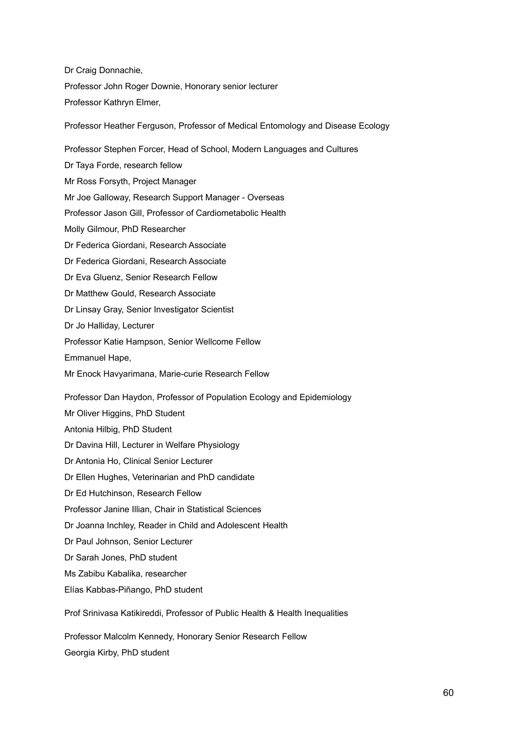Dr Craig Donnachie, Professor John Roger Downie, Honorary senior lecturer Professor Kathryn Elmer,

Professor Heather Ferguson, Professor of Medical Entomology and Disease Ecology Professor Stephen Forcer, Head of School, Modern Languages and Cultures Dr Taya Forde, research fellow Mr Ross Forsyth, Project Manager Mr Joe Galloway, Research Support Manager - Overseas Professor Jason Gill, Professor of Cardiometabolic Health Molly Gilmour, PhD Researcher Dr Federica Giordani, Research Associate Dr Federica Giordani, Research Associate Dr Eva Gluenz, Senior Research Fellow Dr Matthew Gould, Research Associate Dr Linsay Gray, Senior Investigator Scientist Dr Jo Halliday, Lecturer Professor Katie Hampson, Senior Wellcome Fellow Emmanuel Hape, Mr Enock Havyarimana, Marie-curie Research Fellow Professor Dan Haydon, Professor of Population Ecology and Epidemiology Mr Oliver Higgins, PhD Student Antonia Hilbig, PhD Student Dr Davina Hill, Lecturer in Welfare Physiology Dr Antonia Ho, Clinical Senior Lecturer Dr Ellen Hughes, Veterinarian and PhD candidate Dr Ed Hutchinson, Research Fellow Professor Janine Illian, Chair in Statistical Sciences Dr Joanna Inchley, Reader in Child and Adolescent Health Dr Paul Johnson, Senior Lecturer Dr Sarah Jones, PhD student

Ms Zabibu Kabalika, researcher

Elías Kabbas-Piñango, PhD student

Prof Srinivasa Katikireddi, Professor of Public Health & Health Inequalities

Professor Malcolm Kennedy, Honorary Senior Research Fellow Georgia Kirby, PhD student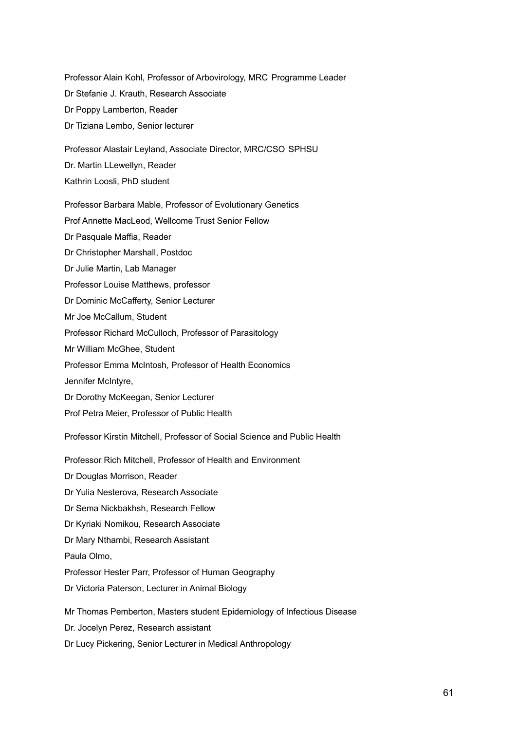Professor Alain Kohl, Professor of Arbovirology, MRC Programme Leader Dr Stefanie J. Krauth, Research Associate Dr Poppy Lamberton, Reader Dr Tiziana Lembo, Senior lecturer Professor Alastair Leyland, Associate Director, MRC/CSO SPHSU Dr. Martin LLewellyn, Reader Kathrin Loosli, PhD student Professor Barbara Mable, Professor of Evolutionary Genetics Prof Annette MacLeod, Wellcome Trust Senior Fellow Dr Pasquale Maffia, Reader Dr Christopher Marshall, Postdoc Dr Julie Martin, Lab Manager Professor Louise Matthews, professor Dr Dominic McCafferty, Senior Lecturer Mr Joe McCallum, Student Professor Richard McCulloch, Professor of Parasitology Mr William McGhee, Student Professor Emma McIntosh, Professor of Health Economics Jennifer McIntyre, Dr Dorothy McKeegan, Senior Lecturer Prof Petra Meier, Professor of Public Health Professor Kirstin Mitchell, Professor of Social Science and Public Health

Professor Rich Mitchell, Professor of Health and Environment

Dr Douglas Morrison, Reader

Dr Yulia Nesterova, Research Associate

Dr Sema Nickbakhsh, Research Fellow

Dr Kyriaki Nomikou, Research Associate

Dr Mary Nthambi, Research Assistant

Paula Olmo,

Professor Hester Parr, Professor of Human Geography

Dr Victoria Paterson, Lecturer in Animal Biology

Mr Thomas Pemberton, Masters student Epidemiology of Infectious Disease

Dr. Jocelyn Perez, Research assistant

Dr Lucy Pickering, Senior Lecturer in Medical Anthropology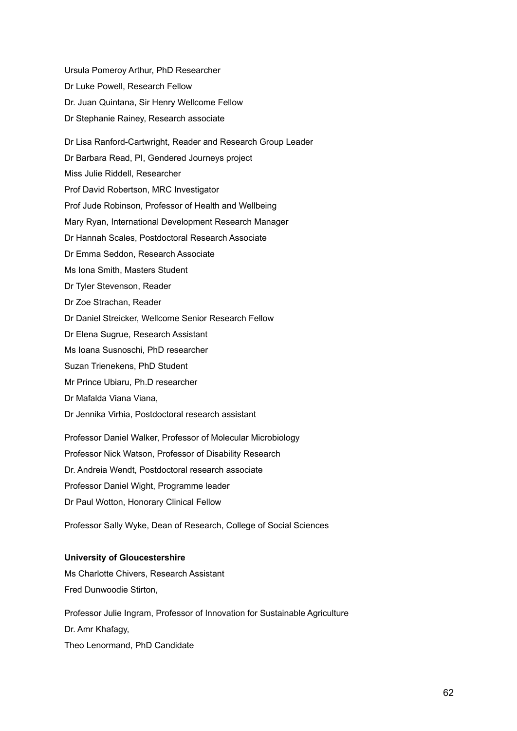Ursula Pomeroy Arthur, PhD Researcher Dr Luke Powell, Research Fellow Dr. Juan Quintana, Sir Henry Wellcome Fellow Dr Stephanie Rainey, Research associate Dr Lisa Ranford-Cartwright, Reader and Research Group Leader Dr Barbara Read, PI, Gendered Journeys project Miss Julie Riddell, Researcher Prof David Robertson, MRC Investigator Prof Jude Robinson, Professor of Health and Wellbeing Mary Ryan, International Development Research Manager Dr Hannah Scales, Postdoctoral Research Associate Dr Emma Seddon, Research Associate Ms Iona Smith, Masters Student Dr Tyler Stevenson, Reader Dr Zoe Strachan, Reader Dr Daniel Streicker, Wellcome Senior Research Fellow Dr Elena Sugrue, Research Assistant Ms Ioana Susnoschi, PhD researcher Suzan Trienekens, PhD Student Mr Prince Ubiaru, Ph.D researcher Dr Mafalda Viana Viana, Dr Jennika Virhia, Postdoctoral research assistant Professor Daniel Walker, Professor of Molecular Microbiology Professor Nick Watson, Professor of Disability Research Dr. Andreia Wendt, Postdoctoral research associate Professor Daniel Wight, Programme leader

Dr Paul Wotton, Honorary Clinical Fellow

Professor Sally Wyke, Dean of Research, College of Social Sciences

## **University of Gloucestershire**

Ms Charlotte Chivers, Research Assistant Fred Dunwoodie Stirton,

Professor Julie Ingram, Professor of Innovation for Sustainable Agriculture Dr. Amr Khafagy, Theo Lenormand, PhD Candidate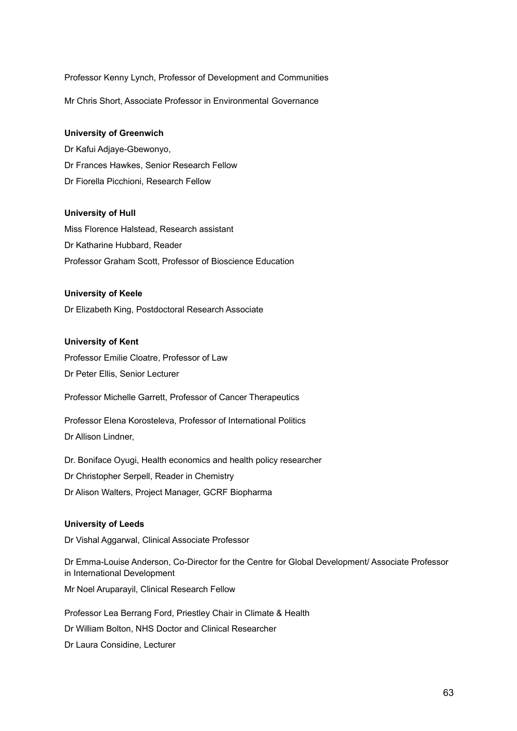Professor Kenny Lynch, Professor of Development and Communities

Mr Chris Short, Associate Professor in Environmental Governance

#### **University of Greenwich**

Dr Kafui Adjaye-Gbewonyo, Dr Frances Hawkes, Senior Research Fellow Dr Fiorella Picchioni, Research Fellow

## **University of Hull**

Miss Florence Halstead, Research assistant Dr Katharine Hubbard, Reader Professor Graham Scott, Professor of Bioscience Education

#### **University of Keele**

Dr Elizabeth King, Postdoctoral Research Associate

# **University of Kent**

Professor Emilie Cloatre, Professor of Law Dr Peter Ellis, Senior Lecturer

Professor Michelle Garrett, Professor of Cancer Therapeutics

Professor Elena Korosteleva, Professor of International Politics Dr Allison Lindner,

Dr. Boniface Oyugi, Health economics and health policy researcher Dr Christopher Serpell, Reader in Chemistry Dr Alison Walters, Project Manager, GCRF Biopharma

## **University of Leeds**

Dr Vishal Aggarwal, Clinical Associate Professor

Dr Emma-Louise Anderson, Co-Director for the Centre for Global Development/ Associate Professor in International Development Mr Noel Aruparayil, Clinical Research Fellow Professor Lea Berrang Ford, Priestley Chair in Climate & Health

Dr William Bolton, NHS Doctor and Clinical Researcher

Dr Laura Considine, Lecturer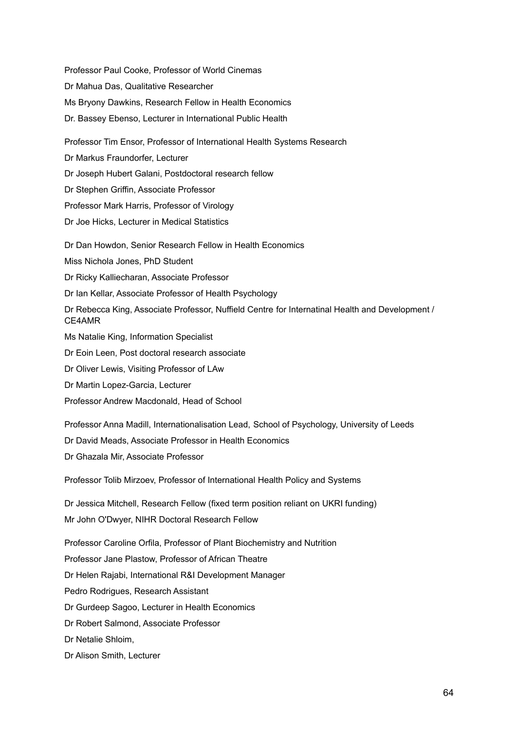Professor Paul Cooke, Professor of World Cinemas Dr Mahua Das, Qualitative Researcher Ms Bryony Dawkins, Research Fellow in Health Economics Dr. Bassey Ebenso, Lecturer in International Public Health Professor Tim Ensor, Professor of International Health Systems Research Dr Markus Fraundorfer, Lecturer Dr Joseph Hubert Galani, Postdoctoral research fellow Dr Stephen Griffin, Associate Professor Professor Mark Harris, Professor of Virology Dr Joe Hicks, Lecturer in Medical Statistics Dr Dan Howdon, Senior Research Fellow in Health Economics Miss Nichola Jones, PhD Student Dr Ricky Kalliecharan, Associate Professor Dr Ian Kellar, Associate Professor of Health Psychology Dr Rebecca King, Associate Professor, Nuffield Centre for Internatinal Health and Development / CE4AMR Ms Natalie King, Information Specialist Dr Eoin Leen, Post doctoral research associate Dr Oliver Lewis, Visiting Professor of LAw Dr Martin Lopez-Garcia, Lecturer Professor Andrew Macdonald, Head of School Professor Anna Madill, Internationalisation Lead, School of Psychology, University of Leeds Dr David Meads, Associate Professor in Health Economics Dr Ghazala Mir, Associate Professor Professor Tolib Mirzoev, Professor of International Health Policy and Systems Dr Jessica Mitchell, Research Fellow (fixed term position reliant on UKRI funding) Mr John O'Dwyer, NIHR Doctoral Research Fellow Professor Caroline Orfila, Professor of Plant Biochemistry and Nutrition Professor Jane Plastow, Professor of African Theatre Dr Helen Rajabi, International R&I Development Manager Pedro Rodrigues, Research Assistant Dr Gurdeep Sagoo, Lecturer in Health Economics Dr Robert Salmond, Associate Professor Dr Netalie Shloim, Dr Alison Smith, Lecturer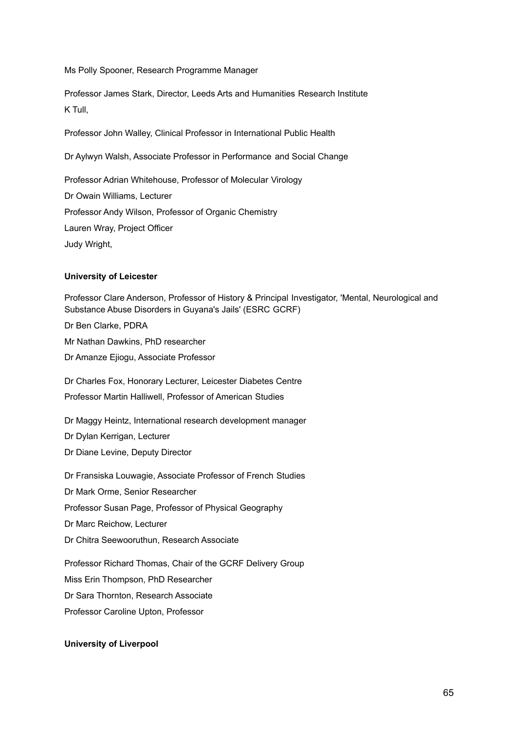Ms Polly Spooner, Research Programme Manager

Professor James Stark, Director, Leeds Arts and Humanities Research Institute K Tull,

Professor John Walley, Clinical Professor in International Public Health

Dr Aylwyn Walsh, Associate Professor in Performance and Social Change

Professor Adrian Whitehouse, Professor of Molecular Virology

Dr Owain Williams, Lecturer

Professor Andy Wilson, Professor of Organic Chemistry

Lauren Wray, Project Officer

Judy Wright,

# **University of Leicester**

Professor Clare Anderson, Professor of History & Principal Investigator, 'Mental, Neurological and Substance Abuse Disorders in Guyana's Jails' (ESRC GCRF) Dr Ben Clarke, PDRA

Mr Nathan Dawkins, PhD researcher

Dr Amanze Ejiogu, Associate Professor

Dr Charles Fox, Honorary Lecturer, Leicester Diabetes Centre

Professor Martin Halliwell, Professor of American Studies

Dr Maggy Heintz, International research development manager

Dr Dylan Kerrigan, Lecturer

Dr Diane Levine, Deputy Director

Dr Fransiska Louwagie, Associate Professor of French Studies

Dr Mark Orme, Senior Researcher

Professor Susan Page, Professor of Physical Geography

Dr Marc Reichow, Lecturer

Dr Chitra Seewooruthun, Research Associate

Professor Richard Thomas, Chair of the GCRF Delivery Group

Miss Erin Thompson, PhD Researcher

Dr Sara Thornton, Research Associate

Professor Caroline Upton, Professor

# **University of Liverpool**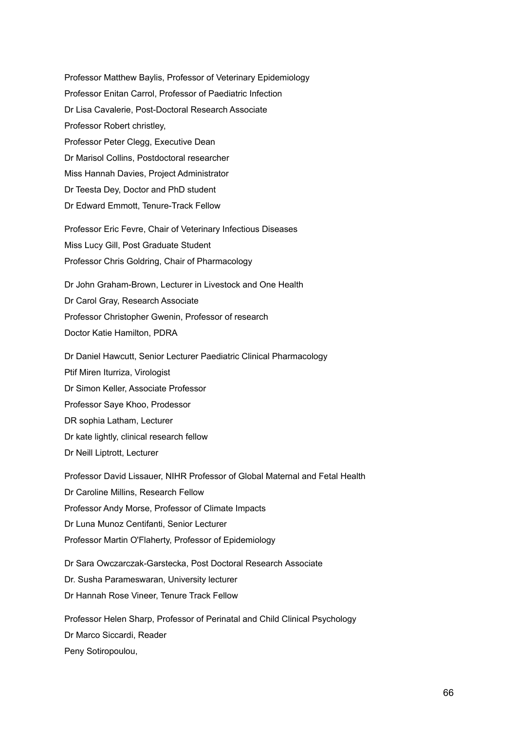Professor Matthew Baylis, Professor of Veterinary Epidemiology Professor Enitan Carrol, Professor of Paediatric Infection Dr Lisa Cavalerie, Post-Doctoral Research Associate Professor Robert christley, Professor Peter Clegg, Executive Dean Dr Marisol Collins, Postdoctoral researcher Miss Hannah Davies, Project Administrator Dr Teesta Dey, Doctor and PhD student Dr Edward Emmott, Tenure-Track Fellow Professor Eric Fevre, Chair of Veterinary Infectious Diseases Miss Lucy Gill, Post Graduate Student Professor Chris Goldring, Chair of Pharmacology Dr John Graham-Brown, Lecturer in Livestock and One Health

Dr Carol Gray, Research Associate Professor Christopher Gwenin, Professor of research Doctor Katie Hamilton, PDRA

Dr Daniel Hawcutt, Senior Lecturer Paediatric Clinical Pharmacology Ptif Miren Iturriza, Virologist Dr Simon Keller, Associate Professor Professor Saye Khoo, Prodessor DR sophia Latham, Lecturer Dr kate lightly, clinical research fellow Dr Neill Liptrott, Lecturer

Professor David Lissauer, NIHR Professor of Global Maternal and Fetal Health Dr Caroline Millins, Research Fellow Professor Andy Morse, Professor of Climate Impacts Dr Luna Munoz Centifanti, Senior Lecturer Professor Martin O'Flaherty, Professor of Epidemiology

Dr Sara Owczarczak-Garstecka, Post Doctoral Research Associate Dr. Susha Parameswaran, University lecturer Dr Hannah Rose Vineer, Tenure Track Fellow

Professor Helen Sharp, Professor of Perinatal and Child Clinical Psychology Dr Marco Siccardi, Reader Peny Sotiropoulou,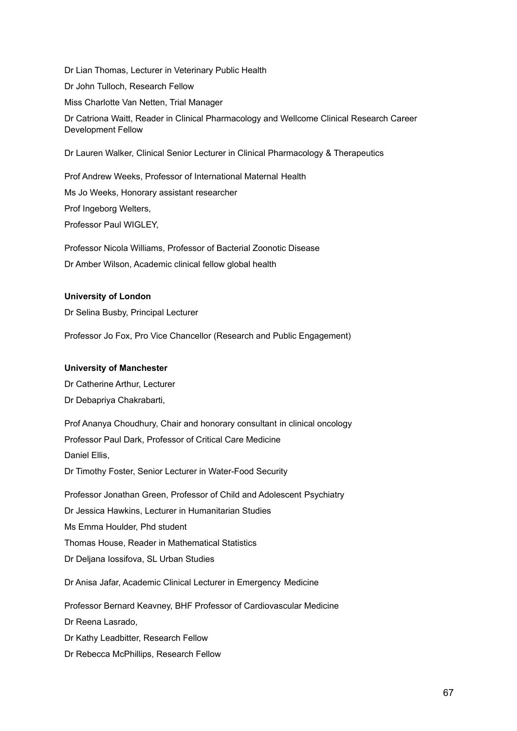Dr Lian Thomas, Lecturer in Veterinary Public Health Dr John Tulloch, Research Fellow Miss Charlotte Van Netten, Trial Manager Dr Catriona Waitt, Reader in Clinical Pharmacology and Wellcome Clinical Research Career Development Fellow Dr Lauren Walker, Clinical Senior Lecturer in Clinical Pharmacology & Therapeutics

Prof Andrew Weeks, Professor of International Maternal Health Ms Jo Weeks, Honorary assistant researcher Prof Ingeborg Welters, Professor Paul WIGLEY,

Professor Nicola Williams, Professor of Bacterial Zoonotic Disease Dr Amber Wilson, Academic clinical fellow global health

# **University of London**

Dr Selina Busby, Principal Lecturer

Professor Jo Fox, Pro Vice Chancellor (Research and Public Engagement)

## **University of Manchester**

Dr Catherine Arthur, Lecturer Dr Debapriya Chakrabarti,

Prof Ananya Choudhury, Chair and honorary consultant in clinical oncology Professor Paul Dark, Professor of Critical Care Medicine Daniel Ellis, Dr Timothy Foster, Senior Lecturer in Water-Food Security Professor Jonathan Green, Professor of Child and Adolescent Psychiatry Dr Jessica Hawkins, Lecturer in Humanitarian Studies Ms Emma Houlder, Phd student Thomas House, Reader in Mathematical Statistics Dr Deljana Iossifova, SL Urban Studies Dr Anisa Jafar, Academic Clinical Lecturer in Emergency Medicine Professor Bernard Keavney, BHF Professor of Cardiovascular Medicine Dr Reena Lasrado, Dr Kathy Leadbitter, Research Fellow

Dr Rebecca McPhillips, Research Fellow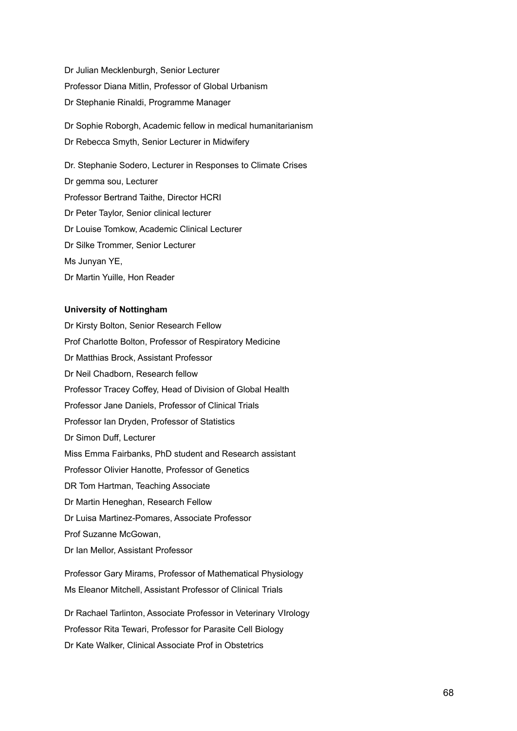Dr Julian Mecklenburgh, Senior Lecturer Professor Diana Mitlin, Professor of Global Urbanism Dr Stephanie Rinaldi, Programme Manager

Dr Sophie Roborgh, Academic fellow in medical humanitarianism Dr Rebecca Smyth, Senior Lecturer in Midwifery

Dr. Stephanie Sodero, Lecturer in Responses to Climate Crises Dr gemma sou, Lecturer Professor Bertrand Taithe, Director HCRI Dr Peter Taylor, Senior clinical lecturer Dr Louise Tomkow, Academic Clinical Lecturer Dr Silke Trommer, Senior Lecturer Ms Junyan YE, Dr Martin Yuille, Hon Reader

## **University of Nottingham**

Dr Kirsty Bolton, Senior Research Fellow Prof Charlotte Bolton, Professor of Respiratory Medicine Dr Matthias Brock, Assistant Professor Dr Neil Chadborn, Research fellow Professor Tracey Coffey, Head of Division of Global Health Professor Jane Daniels, Professor of Clinical Trials Professor Ian Dryden, Professor of Statistics Dr Simon Duff, Lecturer Miss Emma Fairbanks, PhD student and Research assistant Professor Olivier Hanotte, Professor of Genetics DR Tom Hartman, Teaching Associate Dr Martin Heneghan, Research Fellow Dr Luisa Martinez-Pomares, Associate Professor Prof Suzanne McGowan, Dr Ian Mellor, Assistant Professor

Professor Gary Mirams, Professor of Mathematical Physiology Ms Eleanor Mitchell, Assistant Professor of Clinical Trials

Dr Rachael Tarlinton, Associate Professor in Veterinary VIrology Professor Rita Tewari, Professor for Parasite Cell Biology Dr Kate Walker, Clinical Associate Prof in Obstetrics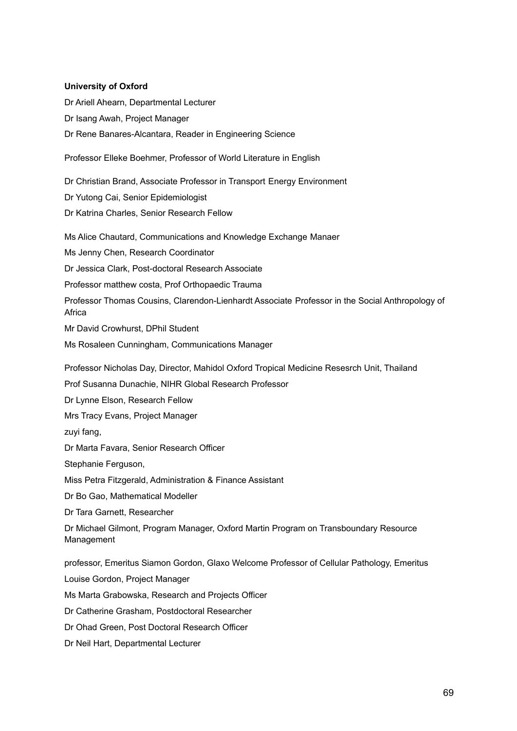## **University of Oxford**

Dr Ariell Ahearn, Departmental Lecturer Dr Isang Awah, Project Manager Dr Rene Banares-Alcantara, Reader in Engineering Science

Professor Elleke Boehmer, Professor of World Literature in English

Dr Christian Brand, Associate Professor in Transport Energy Environment

Dr Yutong Cai, Senior Epidemiologist

Dr Katrina Charles, Senior Research Fellow

Ms Alice Chautard, Communications and Knowledge Exchange Manaer

Ms Jenny Chen, Research Coordinator

Dr Jessica Clark, Post-doctoral Research Associate

Professor matthew costa, Prof Orthopaedic Trauma

Professor Thomas Cousins, Clarendon-Lienhardt Associate Professor in the Social Anthropology of Africa

Mr David Crowhurst, DPhil Student

Ms Rosaleen Cunningham, Communications Manager

Professor Nicholas Day, Director, Mahidol Oxford Tropical Medicine Resesrch Unit, Thailand

Prof Susanna Dunachie, NIHR Global Research Professor

Dr Lynne Elson, Research Fellow

Mrs Tracy Evans, Project Manager

zuyi fang,

Dr Marta Favara, Senior Research Officer

Stephanie Ferguson,

Miss Petra Fitzgerald, Administration & Finance Assistant

Dr Bo Gao, Mathematical Modeller

Dr Tara Garnett, Researcher

Dr Michael Gilmont, Program Manager, Oxford Martin Program on Transboundary Resource Management

professor, Emeritus Siamon Gordon, Glaxo Welcome Professor of Cellular Pathology, Emeritus

Louise Gordon, Project Manager

Ms Marta Grabowska, Research and Projects Officer

Dr Catherine Grasham, Postdoctoral Researcher

Dr Ohad Green, Post Doctoral Research Officer

Dr Neil Hart, Departmental Lecturer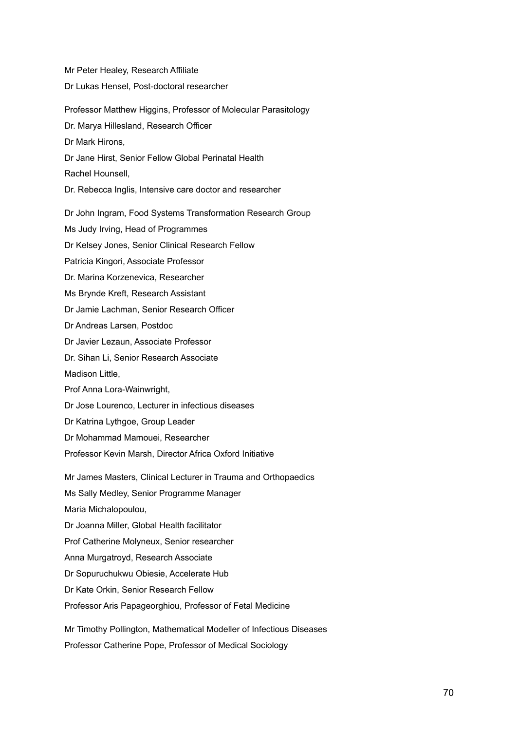Mr Peter Healey, Research Affiliate Dr Lukas Hensel, Post-doctoral researcher Professor Matthew Higgins, Professor of Molecular Parasitology Dr. Marya Hillesland, Research Officer Dr Mark Hirons, Dr Jane Hirst, Senior Fellow Global Perinatal Health Rachel Hounsell, Dr. Rebecca Inglis, Intensive care doctor and researcher Dr John Ingram, Food Systems Transformation Research Group Ms Judy Irving, Head of Programmes Dr Kelsey Jones, Senior Clinical Research Fellow Patricia Kingori, Associate Professor Dr. Marina Korzenevica, Researcher Ms Brynde Kreft, Research Assistant Dr Jamie Lachman, Senior Research Officer Dr Andreas Larsen, Postdoc Dr Javier Lezaun, Associate Professor Dr. Sihan Li, Senior Research Associate Madison Little, Prof Anna Lora-Wainwright, Dr Jose Lourenco, Lecturer in infectious diseases Dr Katrina Lythgoe, Group Leader Dr Mohammad Mamouei, Researcher Professor Kevin Marsh, Director Africa Oxford Initiative Mr James Masters, Clinical Lecturer in Trauma and Orthopaedics Ms Sally Medley, Senior Programme Manager Maria Michalopoulou, Dr Joanna Miller, Global Health facilitator Prof Catherine Molyneux, Senior researcher Anna Murgatroyd, Research Associate Dr Sopuruchukwu Obiesie, Accelerate Hub Dr Kate Orkin, Senior Research Fellow Professor Aris Papageorghiou, Professor of Fetal Medicine Mr Timothy Pollington, Mathematical Modeller of Infectious Diseases Professor Catherine Pope, Professor of Medical Sociology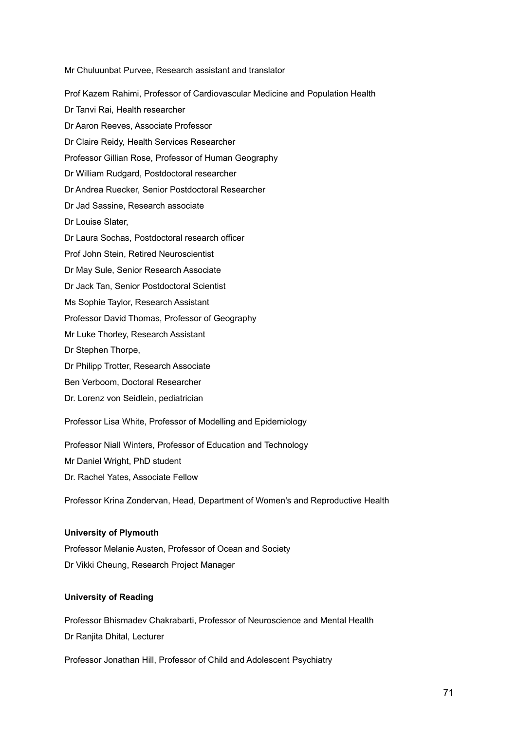Mr Chuluunbat Purvee, Research assistant and translator Prof Kazem Rahimi, Professor of Cardiovascular Medicine and Population Health Dr Tanvi Rai, Health researcher Dr Aaron Reeves, Associate Professor Dr Claire Reidy, Health Services Researcher Professor Gillian Rose, Professor of Human Geography Dr William Rudgard, Postdoctoral researcher Dr Andrea Ruecker, Senior Postdoctoral Researcher Dr Jad Sassine, Research associate Dr Louise Slater, Dr Laura Sochas, Postdoctoral research officer Prof John Stein, Retired Neuroscientist Dr May Sule, Senior Research Associate Dr Jack Tan, Senior Postdoctoral Scientist Ms Sophie Taylor, Research Assistant Professor David Thomas, Professor of Geography Mr Luke Thorley, Research Assistant Dr Stephen Thorpe, Dr Philipp Trotter, Research Associate Ben Verboom, Doctoral Researcher Dr. Lorenz von Seidlein, pediatrician

Professor Lisa White, Professor of Modelling and Epidemiology

Professor Niall Winters, Professor of Education and Technology

Mr Daniel Wright, PhD student

Dr. Rachel Yates, Associate Fellow

Professor Krina Zondervan, Head, Department of Women's and Reproductive Health

## **University of Plymouth**

Professor Melanie Austen, Professor of Ocean and Society Dr Vikki Cheung, Research Project Manager

## **University of Reading**

Professor Bhismadev Chakrabarti, Professor of Neuroscience and Mental Health Dr Ranjita Dhital, Lecturer

Professor Jonathan Hill, Professor of Child and Adolescent Psychiatry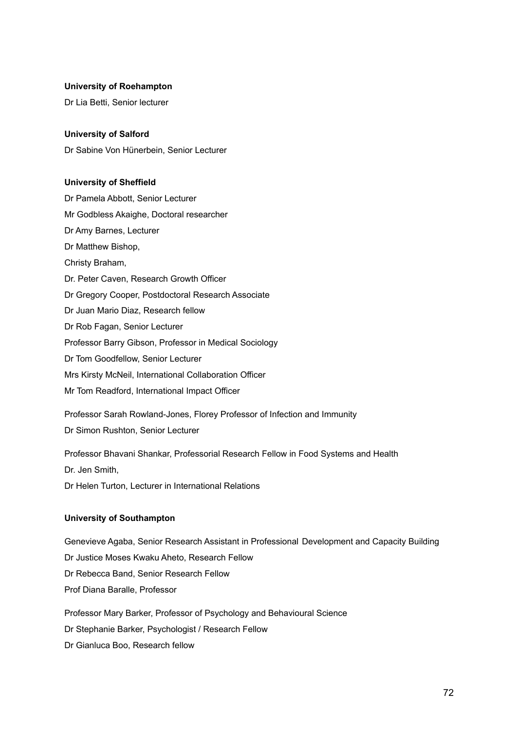#### **University of Roehampton**

Dr Lia Betti, Senior lecturer

#### **University of Salford**

Dr Sabine Von Hünerbein, Senior Lecturer

#### **University of Sheffield**

Dr Pamela Abbott, Senior Lecturer Mr Godbless Akaighe, Doctoral researcher Dr Amy Barnes, Lecturer Dr Matthew Bishop, Christy Braham, Dr. Peter Caven, Research Growth Officer Dr Gregory Cooper, Postdoctoral Research Associate Dr Juan Mario Diaz, Research fellow Dr Rob Fagan, Senior Lecturer Professor Barry Gibson, Professor in Medical Sociology Dr Tom Goodfellow, Senior Lecturer Mrs Kirsty McNeil, International Collaboration Officer Mr Tom Readford, International Impact Officer

Professor Sarah Rowland-Jones, Florey Professor of Infection and Immunity Dr Simon Rushton, Senior Lecturer

Professor Bhavani Shankar, Professorial Research Fellow in Food Systems and Health

Dr. Jen Smith,

Dr Helen Turton, Lecturer in International Relations

## **University of Southampton**

Genevieve Agaba, Senior Research Assistant in Professional Development and Capacity Building Dr Justice Moses Kwaku Aheto, Research Fellow Dr Rebecca Band, Senior Research Fellow Prof Diana Baralle, Professor

Professor Mary Barker, Professor of Psychology and Behavioural Science Dr Stephanie Barker, Psychologist / Research Fellow Dr Gianluca Boo, Research fellow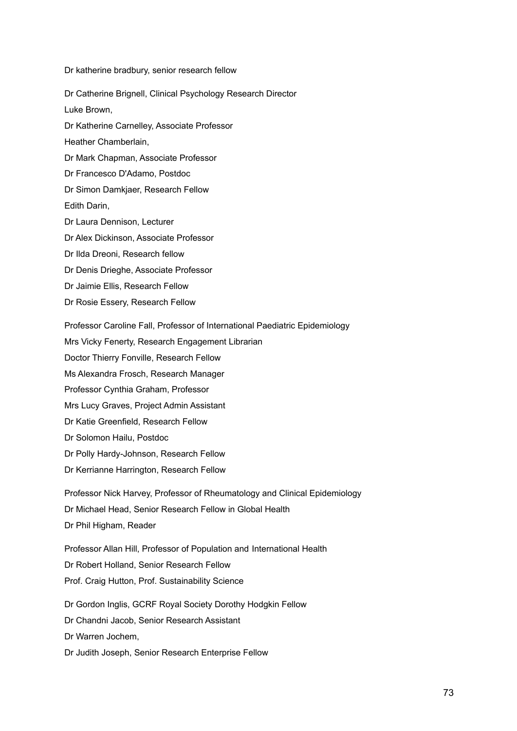Dr katherine bradbury, senior research fellow

Dr Catherine Brignell, Clinical Psychology Research Director Luke Brown, Dr Katherine Carnelley, Associate Professor Heather Chamberlain, Dr Mark Chapman, Associate Professor Dr Francesco D'Adamo, Postdoc Dr Simon Damkjaer, Research Fellow Edith Darin, Dr Laura Dennison, Lecturer Dr Alex Dickinson, Associate Professor Dr Ilda Dreoni, Research fellow Dr Denis Drieghe, Associate Professor Dr Jaimie Ellis, Research Fellow Dr Rosie Essery, Research Fellow Professor Caroline Fall, Professor of International Paediatric Epidemiology Mrs Vicky Fenerty, Research Engagement Librarian Doctor Thierry Fonville, Research Fellow Ms Alexandra Frosch, Research Manager Professor Cynthia Graham, Professor Mrs Lucy Graves, Project Admin Assistant Dr Katie Greenfield, Research Fellow Dr Solomon Hailu, Postdoc

Dr Polly Hardy-Johnson, Research Fellow

Dr Kerrianne Harrington, Research Fellow

Professor Nick Harvey, Professor of Rheumatology and Clinical Epidemiology Dr Michael Head, Senior Research Fellow in Global Health Dr Phil Higham, Reader

Professor Allan Hill, Professor of Population and International Health Dr Robert Holland, Senior Research Fellow Prof. Craig Hutton, Prof. Sustainability Science

Dr Gordon Inglis, GCRF Royal Society Dorothy Hodgkin Fellow Dr Chandni Jacob, Senior Research Assistant Dr Warren Jochem, Dr Judith Joseph, Senior Research Enterprise Fellow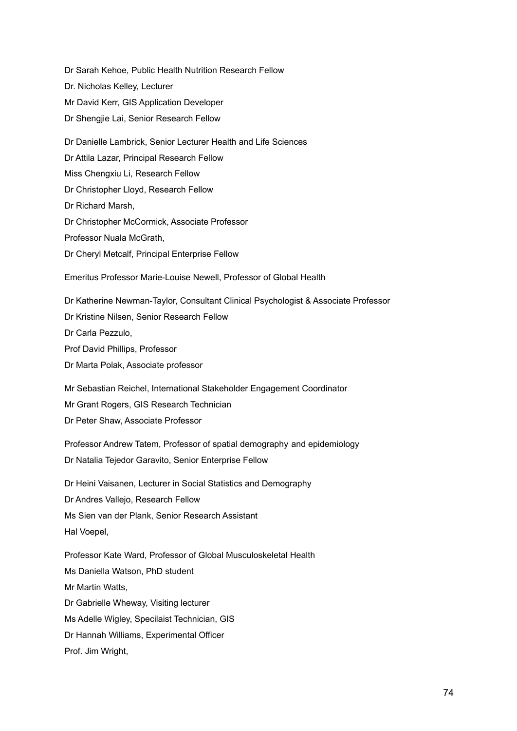Dr Sarah Kehoe, Public Health Nutrition Research Fellow Dr. Nicholas Kelley, Lecturer Mr David Kerr, GIS Application Developer Dr Shengjie Lai, Senior Research Fellow Dr Danielle Lambrick, Senior Lecturer Health and Life Sciences Dr Attila Lazar, Principal Research Fellow Miss Chengxiu Li, Research Fellow Dr Christopher Lloyd, Research Fellow Dr Richard Marsh, Dr Christopher McCormick, Associate Professor Professor Nuala McGrath, Dr Cheryl Metcalf, Principal Enterprise Fellow Emeritus Professor Marie-Louise Newell, Professor of Global Health Dr Katherine Newman-Taylor, Consultant Clinical Psychologist & Associate Professor Dr Kristine Nilsen, Senior Research Fellow

Dr Carla Pezzulo,

Prof David Phillips, Professor

Dr Marta Polak, Associate professor

Mr Sebastian Reichel, International Stakeholder Engagement Coordinator Mr Grant Rogers, GIS Research Technician Dr Peter Shaw, Associate Professor

Professor Andrew Tatem, Professor of spatial demography and epidemiology Dr Natalia Tejedor Garavito, Senior Enterprise Fellow

Dr Heini Vaisanen, Lecturer in Social Statistics and Demography Dr Andres Vallejo, Research Fellow Ms Sien van der Plank, Senior Research Assistant Hal Voepel,

Professor Kate Ward, Professor of Global Musculoskeletal Health Ms Daniella Watson, PhD student Mr Martin Watts, Dr Gabrielle Wheway, Visiting lecturer Ms Adelle Wigley, Specilaist Technician, GIS Dr Hannah Williams, Experimental Officer Prof. Jim Wright,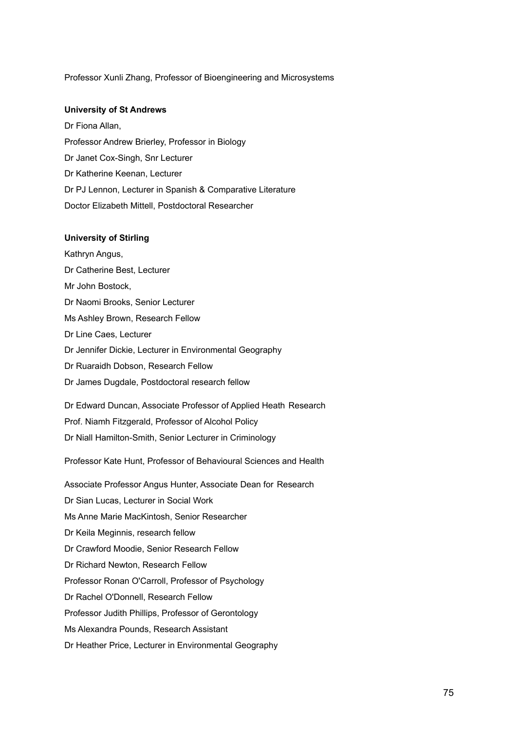#### Professor Xunli Zhang, Professor of Bioengineering and Microsystems

### **University of St Andrews**

Dr Fiona Allan, Professor Andrew Brierley, Professor in Biology Dr Janet Cox-Singh, Snr Lecturer Dr Katherine Keenan, Lecturer Dr PJ Lennon, Lecturer in Spanish & Comparative Literature Doctor Elizabeth Mittell, Postdoctoral Researcher

## **University of Stirling**

Kathryn Angus, Dr Catherine Best, Lecturer Mr John Bostock, Dr Naomi Brooks, Senior Lecturer Ms Ashley Brown, Research Fellow Dr Line Caes, Lecturer Dr Jennifer Dickie, Lecturer in Environmental Geography Dr Ruaraidh Dobson, Research Fellow Dr James Dugdale, Postdoctoral research fellow

Dr Edward Duncan, Associate Professor of Applied Heath Research Prof. Niamh Fitzgerald, Professor of Alcohol Policy Dr Niall Hamilton-Smith, Senior Lecturer in Criminology

Professor Kate Hunt, Professor of Behavioural Sciences and Health

Associate Professor Angus Hunter, Associate Dean for Research Dr Sian Lucas, Lecturer in Social Work Ms Anne Marie MacKintosh, Senior Researcher Dr Keila Meginnis, research fellow Dr Crawford Moodie, Senior Research Fellow Dr Richard Newton, Research Fellow Professor Ronan O'Carroll, Professor of Psychology Dr Rachel O'Donnell, Research Fellow Professor Judith Phillips, Professor of Gerontology Ms Alexandra Pounds, Research Assistant

Dr Heather Price, Lecturer in Environmental Geography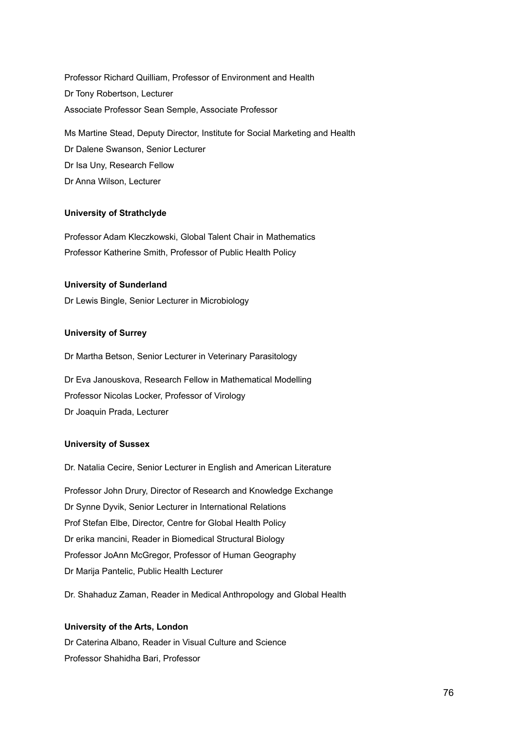Professor Richard Quilliam, Professor of Environment and Health Dr Tony Robertson, Lecturer Associate Professor Sean Semple, Associate Professor

Ms Martine Stead, Deputy Director, Institute for Social Marketing and Health Dr Dalene Swanson, Senior Lecturer Dr Isa Uny, Research Fellow Dr Anna Wilson, Lecturer

# **University of Strathclyde**

Professor Adam Kleczkowski, Global Talent Chair in Mathematics Professor Katherine Smith, Professor of Public Health Policy

# **University of Sunderland**

Dr Lewis Bingle, Senior Lecturer in Microbiology

# **University of Surrey**

Dr Martha Betson, Senior Lecturer in Veterinary Parasitology

Dr Eva Janouskova, Research Fellow in Mathematical Modelling Professor Nicolas Locker, Professor of Virology Dr Joaquin Prada, Lecturer

# **University of Sussex**

Dr. Natalia Cecire, Senior Lecturer in English and American Literature

Professor John Drury, Director of Research and Knowledge Exchange Dr Synne Dyvik, Senior Lecturer in International Relations Prof Stefan Elbe, Director, Centre for Global Health Policy Dr erika mancini, Reader in Biomedical Structural Biology Professor JoAnn McGregor, Professor of Human Geography Dr Marija Pantelic, Public Health Lecturer

Dr. Shahaduz Zaman, Reader in Medical Anthropology and Global Health

#### **University of the Arts, London**

Dr Caterina Albano, Reader in Visual Culture and Science Professor Shahidha Bari, Professor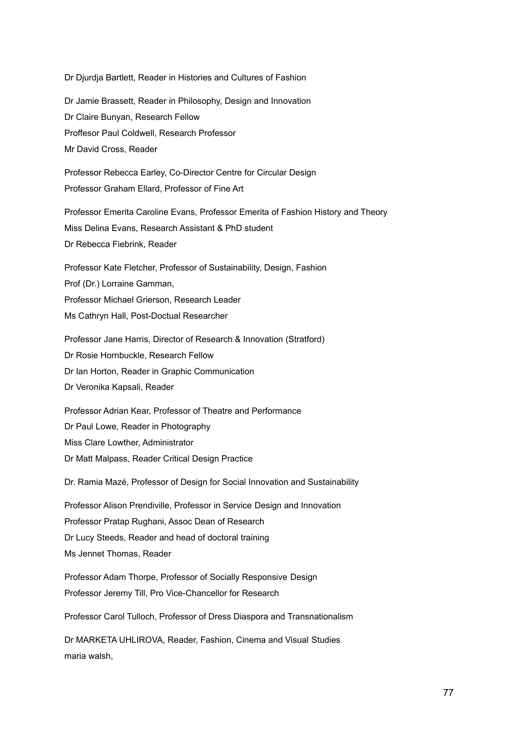Dr Djurdja Bartlett, Reader in Histories and Cultures of Fashion

Dr Jamie Brassett, Reader in Philosophy, Design and Innovation Dr Claire Bunyan, Research Fellow Proffesor Paul Coldwell, Research Professor Mr David Cross, Reader

Professor Rebecca Earley, Co-Director Centre for Circular Design Professor Graham Ellard, Professor of Fine Art

Professor Emerita Caroline Evans, Professor Emerita of Fashion History and Theory Miss Delina Evans, Research Assistant & PhD student Dr Rebecca Fiebrink, Reader

Professor Kate Fletcher, Professor of Sustainability, Design, Fashion Prof (Dr.) Lorraine Gamman, Professor Michael Grierson, Research Leader Ms Cathryn Hall, Post-Doctual Researcher

Professor Jane Harris, Director of Research & Innovation (Stratford) Dr Rosie Hornbuckle, Research Fellow Dr Ian Horton, Reader in Graphic Communication Dr Veronika Kapsali, Reader

Professor Adrian Kear, Professor of Theatre and Performance Dr Paul Lowe, Reader in Photography Miss Clare Lowther, Administrator Dr Matt Malpass, Reader Critical Design Practice

Dr. Ramia Mazé, Professor of Design for Social Innovation and Sustainability

Professor Alison Prendiville, Professor in Service Design and Innovation Professor Pratap Rughani, Assoc Dean of Research Dr Lucy Steeds, Reader and head of doctoral training Ms Jennet Thomas, Reader

Professor Adam Thorpe, Professor of Socially Responsive Design Professor Jeremy Till, Pro Vice-Chancellor for Research

Professor Carol Tulloch, Professor of Dress Diaspora and Transnationalism

Dr MARKETA UHLIROVA, Reader, Fashion, Cinema and Visual Studies maria walsh,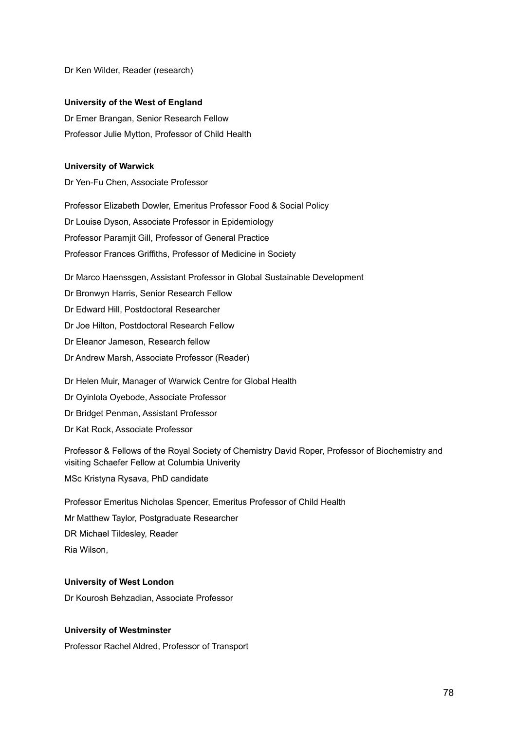Dr Ken Wilder, Reader (research)

# **University of the West of England**

Dr Emer Brangan, Senior Research Fellow Professor Julie Mytton, Professor of Child Health

# **University of Warwick**

Dr Yen-Fu Chen, Associate Professor

Professor Elizabeth Dowler, Emeritus Professor Food & Social Policy Dr Louise Dyson, Associate Professor in Epidemiology Professor Paramjit Gill, Professor of General Practice Professor Frances Griffiths, Professor of Medicine in Society

Dr Marco Haenssgen, Assistant Professor in Global Sustainable Development Dr Bronwyn Harris, Senior Research Fellow Dr Edward Hill, Postdoctoral Researcher Dr Joe Hilton, Postdoctoral Research Fellow Dr Eleanor Jameson, Research fellow Dr Andrew Marsh, Associate Professor (Reader) Dr Helen Muir, Manager of Warwick Centre for Global Health

Dr Oyinlola Oyebode, Associate Professor Dr Bridget Penman, Assistant Professor Dr Kat Rock, Associate Professor

Professor & Fellows of the Royal Society of Chemistry David Roper, Professor of Biochemistry and visiting Schaefer Fellow at Columbia Univerity

MSc Kristyna Rysava, PhD candidate

Professor Emeritus Nicholas Spencer, Emeritus Professor of Child Health Mr Matthew Taylor, Postgraduate Researcher DR Michael Tildesley, Reader Ria Wilson,

# **University of West London**

Dr Kourosh Behzadian, Associate Professor

# **University of Westminster**

Professor Rachel Aldred, Professor of Transport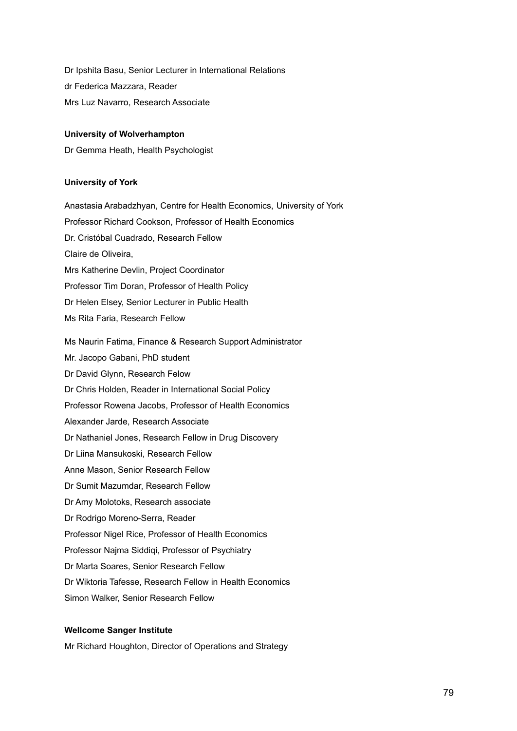Dr Ipshita Basu, Senior Lecturer in International Relations dr Federica Mazzara, Reader Mrs Luz Navarro, Research Associate

### **University of Wolverhampton**

Dr Gemma Heath, Health Psychologist

## **University of York**

Anastasia Arabadzhyan, Centre for Health Economics, University of York Professor Richard Cookson, Professor of Health Economics Dr. Cristóbal Cuadrado, Research Fellow Claire de Oliveira, Mrs Katherine Devlin, Project Coordinator Professor Tim Doran, Professor of Health Policy Dr Helen Elsey, Senior Lecturer in Public Health Ms Rita Faria, Research Fellow Ms Naurin Fatima, Finance & Research Support Administrator Mr. Jacopo Gabani, PhD student Dr David Glynn, Research Felow Dr Chris Holden, Reader in International Social Policy Professor Rowena Jacobs, Professor of Health Economics Alexander Jarde, Research Associate Dr Nathaniel Jones, Research Fellow in Drug Discovery Dr Liina Mansukoski, Research Fellow Anne Mason, Senior Research Fellow Dr Sumit Mazumdar, Research Fellow Dr Amy Molotoks, Research associate Dr Rodrigo Moreno-Serra, Reader Professor Nigel Rice, Professor of Health Economics Professor Najma Siddiqi, Professor of Psychiatry Dr Marta Soares, Senior Research Fellow Dr Wiktoria Tafesse, Research Fellow in Health Economics Simon Walker, Senior Research Fellow

# **Wellcome Sanger Institute**

Mr Richard Houghton, Director of Operations and Strategy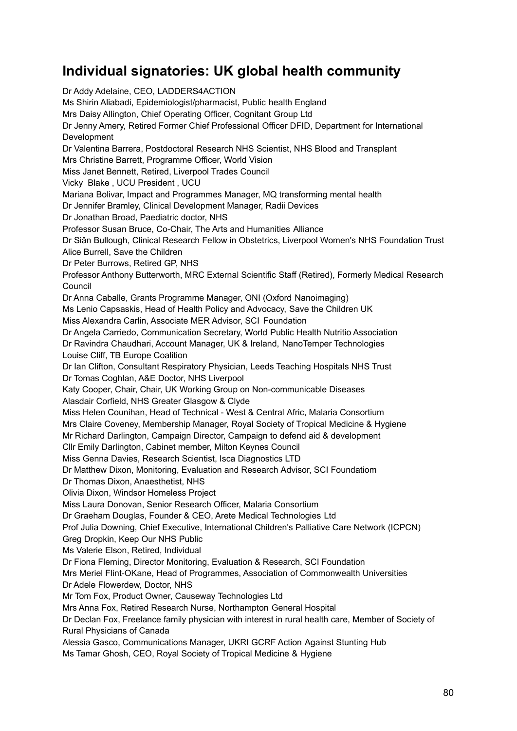# **Individual signatories: UK global health community**

Dr Addy Adelaine, CEO, LADDERS4ACTION Ms Shirin Aliabadi, Epidemiologist/pharmacist, Public health England Mrs Daisy Allington, Chief Operating Officer, Cognitant Group Ltd Dr Jenny Amery, Retired Former Chief Professional Officer DFID, Department for International Development Dr Valentina Barrera, Postdoctoral Research NHS Scientist, NHS Blood and Transplant Mrs Christine Barrett, Programme Officer, World Vision Miss Janet Bennett, Retired, Liverpool Trades Council Vicky Blake , UCU President , UCU Mariana Bolivar, Impact and Programmes Manager, MQ transforming mental health Dr Jennifer Bramley, Clinical Development Manager, Radii Devices Dr Jonathan Broad, Paediatric doctor, NHS Professor Susan Bruce, Co-Chair, The Arts and Humanities Alliance Dr Siân Bullough, Clinical Research Fellow in Obstetrics, Liverpool Women's NHS Foundation Trust Alice Burrell, Save the Children Dr Peter Burrows, Retired GP, NHS Professor Anthony Butterworth, MRC External Scientific Staff (Retired), Formerly Medical Research Council Dr Anna Caballe, Grants Programme Manager, ONI (Oxford Nanoimaging) Ms Lenio Capsaskis, Head of Health Policy and Advocacy, Save the Children UK Miss Alexandra Carlin, Associate MER Advisor, SCI Foundation Dr Angela Carriedo, Communication Secretary, World Public Health Nutritio Association Dr Ravindra Chaudhari, Account Manager, UK & Ireland, NanoTemper Technologies Louise Cliff, TB Europe Coalition Dr Ian Clifton, Consultant Respiratory Physician, Leeds Teaching Hospitals NHS Trust Dr Tomas Coghlan, A&E Doctor, NHS Liverpool Katy Cooper, Chair, Chair, UK Working Group on Non-communicable Diseases Alasdair Corfield, NHS Greater Glasgow & Clyde Miss Helen Counihan, Head of Technical - West & Central Afric, Malaria Consortium Mrs Claire Coveney, Membership Manager, Royal Society of Tropical Medicine & Hygiene Mr Richard Darlington, Campaign Director, Campaign to defend aid & development Cllr Emily Darlington, Cabinet member, Milton Keynes Council Miss Genna Davies, Research Scientist, Isca Diagnostics LTD Dr Matthew Dixon, Monitoring, Evaluation and Research Advisor, SCI Foundatiom Dr Thomas Dixon, Anaesthetist, NHS Olivia Dixon, Windsor Homeless Project Miss Laura Donovan, Senior Research Officer, Malaria Consortium Dr Graeham Douglas, Founder & CEO, Arete Medical Technologies Ltd Prof Julia Downing, Chief Executive, International Children's Palliative Care Network (ICPCN) Greg Dropkin, Keep Our NHS Public Ms Valerie Elson, Retired, Individual Dr Fiona Fleming, Director Monitoring, Evaluation & Research, SCI Foundation Mrs Meriel Flint-OKane, Head of Programmes, Association of Commonwealth Universities Dr Adele Flowerdew, Doctor, NHS Mr Tom Fox, Product Owner, Causeway Technologies Ltd Mrs Anna Fox, Retired Research Nurse, Northampton General Hospital Dr Declan Fox, Freelance family physician with interest in rural health care, Member of Society of Rural Physicians of Canada Alessia Gasco, Communications Manager, UKRI GCRF Action Against Stunting Hub Ms Tamar Ghosh, CEO, Royal Society of Tropical Medicine & Hygiene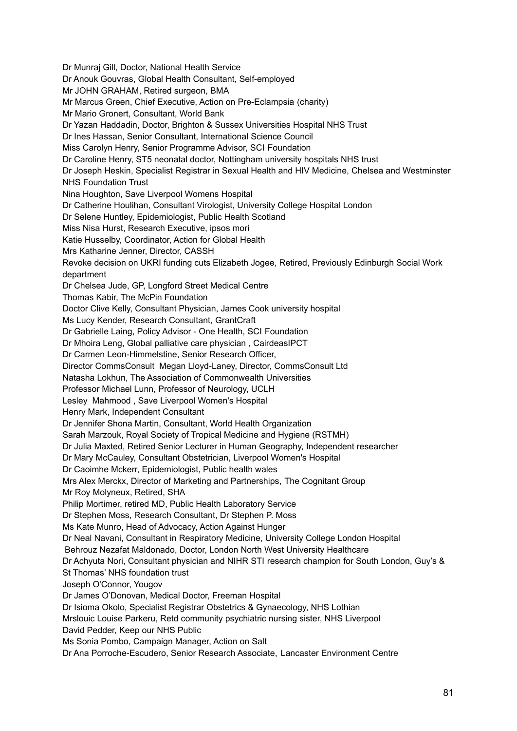Dr Munraj Gill, Doctor, National Health Service Dr Anouk Gouvras, Global Health Consultant, Self-employed Mr JOHN GRAHAM, Retired surgeon, BMA Mr Marcus Green, Chief Executive, Action on Pre-Eclampsia (charity) Mr Mario Gronert, Consultant, World Bank Dr Yazan Haddadin, Doctor, Brighton & Sussex Universities Hospital NHS Trust Dr Ines Hassan, Senior Consultant, International Science Council Miss Carolyn Henry, Senior Programme Advisor, SCI Foundation Dr Caroline Henry, ST5 neonatal doctor, Nottingham university hospitals NHS trust Dr Joseph Heskin, Specialist Registrar in Sexual Health and HIV Medicine, Chelsea and Westminster NHS Foundation Trust Nina Houghton, Save Liverpool Womens Hospital Dr Catherine Houlihan, Consultant Virologist, University College Hospital London Dr Selene Huntley, Epidemiologist, Public Health Scotland Miss Nisa Hurst, Research Executive, ipsos mori Katie Husselby, Coordinator, Action for Global Health Mrs Katharine Jenner, Director, CASSH Revoke decision on UKRI funding cuts Elizabeth Jogee, Retired, Previously Edinburgh Social Work department Dr Chelsea Jude, GP, Longford Street Medical Centre Thomas Kabir, The McPin Foundation Doctor Clive Kelly, Consultant Physician, James Cook university hospital Ms Lucy Kender, Research Consultant, GrantCraft Dr Gabrielle Laing, Policy Advisor - One Health, SCI Foundation Dr Mhoira Leng, Global palliative care physician , CairdeasIPCT Dr Carmen Leon-Himmelstine, Senior Research Officer, Director CommsConsult Megan Lloyd-Laney, Director, CommsConsult Ltd Natasha Lokhun, The Association of Commonwealth Universities Professor Michael Lunn, Professor of Neurology, UCLH Lesley Mahmood , Save Liverpool Women's Hospital Henry Mark, Independent Consultant Dr Jennifer Shona Martin, Consultant, World Health Organization Sarah Marzouk, Royal Society of Tropical Medicine and Hygiene (RSTMH) Dr Julia Maxted, Retired Senior Lecturer in Human Geography, Independent researcher Dr Mary McCauley, Consultant Obstetrician, Liverpool Women's Hospital Dr Caoimhe Mckerr, Epidemiologist, Public health wales Mrs Alex Merckx, Director of Marketing and Partnerships, The Cognitant Group Mr Roy Molyneux, Retired, SHA Philip Mortimer, retired MD, Public Health Laboratory Service Dr Stephen Moss, Research Consultant, Dr Stephen P. Moss Ms Kate Munro, Head of Advocacy, Action Against Hunger Dr Neal Navani, Consultant in Respiratory Medicine, University College London Hospital Behrouz Nezafat Maldonado, Doctor, London North West University Healthcare Dr Achyuta Nori, Consultant physician and NIHR STI research champion for South London, Guy's & St Thomas' NHS foundation trust Joseph O'Connor, Yougov Dr James O'Donovan, Medical Doctor, Freeman Hospital Dr Isioma Okolo, Specialist Registrar Obstetrics & Gynaecology, NHS Lothian Mrslouic Louise Parkeru, Retd community psychiatric nursing sister, NHS Liverpool David Pedder, Keep our NHS Public Ms Sonia Pombo, Campaign Manager, Action on Salt Dr Ana Porroche-Escudero, Senior Research Associate, Lancaster Environment Centre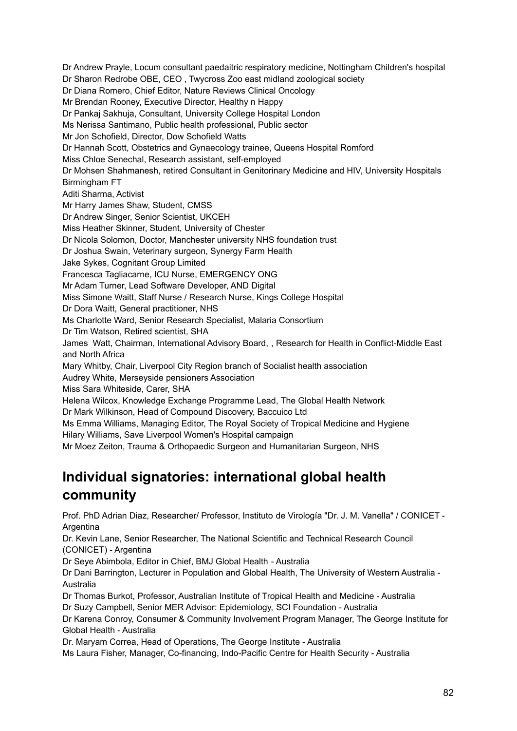Dr Andrew Prayle, Locum consultant paedaitric respiratory medicine, Nottingham Children's hospital Dr Sharon Redrobe OBE, CEO , Twycross Zoo east midland zoological society Dr Diana Romero, Chief Editor, Nature Reviews Clinical Oncology Mr Brendan Rooney, Executive Director, Healthy n Happy Dr Pankaj Sakhuja, Consultant, University College Hospital London Ms Nerissa Santimano, Public health professional, Public sector Mr Jon Schofield, Director, Dow Schofield Watts Dr Hannah Scott, Obstetrics and Gynaecology trainee, Queens Hospital Romford Miss Chloe Senechal, Research assistant, self-employed Dr Mohsen Shahmanesh, retired Consultant in Genitorinary Medicine and HIV, University Hospitals Birmingham FT Aditi Sharma, Activist Mr Harry James Shaw, Student, CMSS Dr Andrew Singer, Senior Scientist, UKCEH Miss Heather Skinner, Student, University of Chester Dr Nicola Solomon, Doctor, Manchester university NHS foundation trust Dr Joshua Swain, Veterinary surgeon, Synergy Farm Health Jake Sykes, Cognitant Group Limited Francesca Tagliacarne, ICU Nurse, EMERGENCY ONG Mr Adam Turner, Lead Software Developer, AND Digital Miss Simone Waitt, Staff Nurse / Research Nurse, Kings College Hospital Dr Dora Waitt, General practitioner, NHS Ms Charlotte Ward, Senior Research Specialist, Malaria Consortium Dr Tim Watson, Retired scientist, SHA James Watt, Chairman, International Advisory Board, , Research for Health in Conflict-Middle East and North Africa Mary Whitby, Chair, Liverpool City Region branch of Socialist health association Audrey White, Merseyside pensioners Association Miss Sara Whiteside, Carer, SHA Helena Wilcox, Knowledge Exchange Programme Lead, The Global Health Network Dr Mark Wilkinson, Head of Compound Discovery, Baccuico Ltd Ms Emma Williams, Managing Editor, The Royal Society of Tropical Medicine and Hygiene Hilary Williams, Save Liverpool Women's Hospital campaign Mr Moez Zeiton, Trauma & Orthopaedic Surgeon and Humanitarian Surgeon, NHS

# **Individual signatories: international global health community**

Prof. PhD Adrian Diaz, Researcher/ Professor, Instituto de Virología "Dr. J. M. Vanella" / CONICET - **Argentina** 

Dr. Kevin Lane, Senior Researcher, The National Scientific and Technical Research Council (CONICET) - Argentina

Dr Seye Abimbola, Editor in Chief, BMJ Global Health - Australia

Dr Dani Barrington, Lecturer in Population and Global Health, The University of Western Australia - Australia

Dr Thomas Burkot, Professor, Australian Institute of Tropical Health and Medicine - Australia Dr Suzy Campbell, Senior MER Advisor: Epidemiology, SCI Foundation - Australia

Dr Karena Conroy, Consumer & Community Involvement Program Manager, The George Institute for Global Health - Australia

Dr. Maryam Correa, Head of Operations, The George Institute - Australia

Ms Laura Fisher, Manager, Co-financing, Indo-Pacific Centre for Health Security - Australia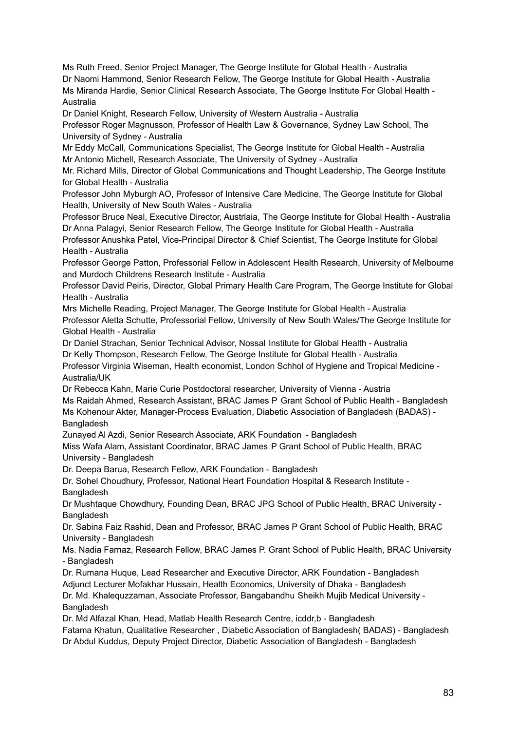Ms Ruth Freed, Senior Project Manager, The George Institute for Global Health - Australia Dr Naomi Hammond, Senior Research Fellow, The George Institute for Global Health - Australia Ms Miranda Hardie, Senior Clinical Research Associate, The George Institute For Global Health - Australia

Dr Daniel Knight, Research Fellow, University of Western Australia - Australia

Professor Roger Magnusson, Professor of Health Law & Governance, Sydney Law School, The University of Sydney - Australia

Mr Eddy McCall, Communications Specialist, The George Institute for Global Health - Australia Mr Antonio Michell, Research Associate, The University of Sydney - Australia

Mr. Richard Mills, Director of Global Communications and Thought Leadership, The George Institute for Global Health - Australia

Professor John Myburgh AO, Professor of Intensive Care Medicine, The George Institute for Global Health, University of New South Wales - Australia

Professor Bruce Neal, Executive Director, Austrlaia, The George Institute for Global Health - Australia Dr Anna Palagyi, Senior Research Fellow, The George Institute for Global Health - Australia

Professor Anushka Patel, Vice-Principal Director & Chief Scientist, The George Institute for Global Health - Australia

Professor George Patton, Professorial Fellow in Adolescent Health Research, University of Melbourne and Murdoch Childrens Research Institute - Australia

Professor David Peiris, Director, Global Primary Health Care Program, The George Institute for Global Health - Australia

Mrs Michelle Reading, Project Manager, The George Institute for Global Health - Australia Professor Aletta Schutte, Professorial Fellow, University of New South Wales/The George Institute for Global Health - Australia

Dr Daniel Strachan, Senior Technical Advisor, Nossal Institute for Global Health - Australia Dr Kelly Thompson, Research Fellow, The George Institute for Global Health - Australia

Professor Virginia Wiseman, Health economist, London Schhol of Hygiene and Tropical Medicine - Australia/UK

Dr Rebecca Kahn, Marie Curie Postdoctoral researcher, University of Vienna - Austria Ms Raidah Ahmed, Research Assistant, BRAC James P Grant School of Public Health - Bangladesh Ms Kohenour Akter, Manager-Process Evaluation, Diabetic Association of Bangladesh (BADAS) - **Bangladesh** 

Zunayed Al Azdi, Senior Research Associate, ARK Foundation - Bangladesh

Miss Wafa Alam, Assistant Coordinator, BRAC James P Grant School of Public Health, BRAC University - Bangladesh

Dr. Deepa Barua, Research Fellow, ARK Foundation - Bangladesh

Dr. Sohel Choudhury, Professor, National Heart Foundation Hospital & Research Institute - **Bangladesh** 

Dr Mushtaque Chowdhury, Founding Dean, BRAC JPG School of Public Health, BRAC University - Bangladesh

Dr. Sabina Faiz Rashid, Dean and Professor, BRAC James P Grant School of Public Health, BRAC University - Bangladesh

Ms. Nadia Farnaz, Research Fellow, BRAC James P. Grant School of Public Health, BRAC University - Bangladesh

Dr. Rumana Huque, Lead Researcher and Executive Director, ARK Foundation - Bangladesh Adjunct Lecturer Mofakhar Hussain, Health Economics, University of Dhaka - Bangladesh

Dr. Md. Khalequzzaman, Associate Professor, Bangabandhu Sheikh Mujib Medical University - **Bangladesh** 

Dr. Md Alfazal Khan, Head, Matlab Health Research Centre, icddr,b - Bangladesh

Fatama Khatun, Qualitative Researcher , Diabetic Association of Bangladesh( BADAS) - Bangladesh Dr Abdul Kuddus, Deputy Project Director, Diabetic Association of Bangladesh - Bangladesh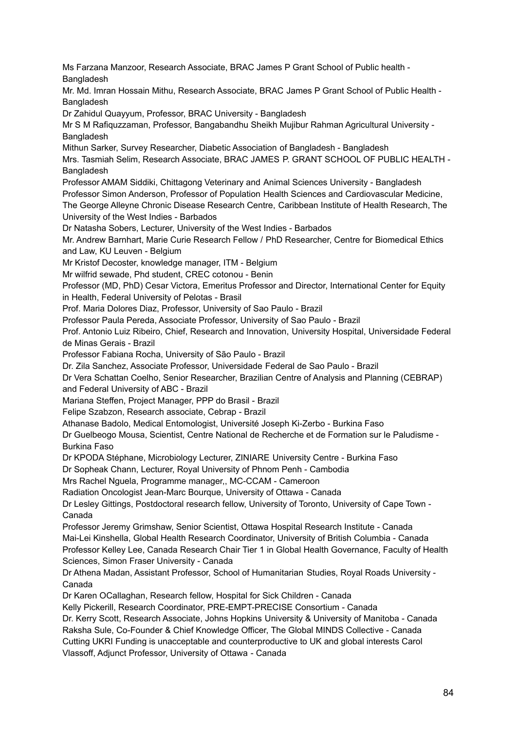Ms Farzana Manzoor, Research Associate, BRAC James P Grant School of Public health - Bangladesh

Mr. Md. Imran Hossain Mithu, Research Associate, BRAC James P Grant School of Public Health - **Bangladesh** 

Dr Zahidul Quayyum, Professor, BRAC University - Bangladesh

Mr S M Rafiquzzaman, Professor, Bangabandhu Sheikh Mujibur Rahman Agricultural University - **Bangladesh** 

Mithun Sarker, Survey Researcher, Diabetic Association of Bangladesh - Bangladesh

Mrs. Tasmiah Selim, Research Associate, BRAC JAMES P. GRANT SCHOOL OF PUBLIC HEALTH - **Bangladesh** 

Professor AMAM Siddiki, Chittagong Veterinary and Animal Sciences University - Bangladesh Professor Simon Anderson, Professor of Population Health Sciences and Cardiovascular Medicine, The George Alleyne Chronic Disease Research Centre, Caribbean Institute of Health Research, The University of the West Indies - Barbados

Dr Natasha Sobers, Lecturer, University of the West Indies - Barbados

Mr. Andrew Barnhart, Marie Curie Research Fellow / PhD Researcher, Centre for Biomedical Ethics and Law, KU Leuven - Belgium

Mr Kristof Decoster, knowledge manager, ITM - Belgium

Mr wilfrid sewade, Phd student, CREC cotonou - Benin

Professor (MD, PhD) Cesar Victora, Emeritus Professor and Director, International Center for Equity in Health, Federal University of Pelotas - Brasil

Prof. Maria Dolores Diaz, Professor, University of Sao Paulo - Brazil

Professor Paula Pereda, Associate Professor, University of Sao Paulo - Brazil

Prof. Antonio Luiz Ribeiro, Chief, Research and Innovation, University Hospital, Universidade Federal de Minas Gerais - Brazil

Professor Fabiana Rocha, University of São Paulo - Brazil

Dr. Zila Sanchez, Associate Professor, Universidade Federal de Sao Paulo - Brazil

Dr Vera Schattan Coelho, Senior Researcher, Brazilian Centre of Analysis and Planning (CEBRAP) and Federal University of ABC - Brazil

Mariana Steffen, Project Manager, PPP do Brasil - Brazil

Felipe Szabzon, Research associate, Cebrap - Brazil

Athanase Badolo, Medical Entomologist, Université Joseph Ki-Zerbo - Burkina Faso

Dr Guelbeogo Mousa, Scientist, Centre National de Recherche et de Formation sur le Paludisme - Burkina Faso

Dr KPODA Stéphane, Microbiology Lecturer, ZINIARE University Centre - Burkina Faso

Dr Sopheak Chann, Lecturer, Royal University of Phnom Penh - Cambodia

Mrs Rachel Nguela, Programme manager,, MC-CCAM - Cameroon

Radiation Oncologist Jean-Marc Bourque, University of Ottawa - Canada

Dr Lesley Gittings, Postdoctoral research fellow, University of Toronto, University of Cape Town - Canada

Professor Jeremy Grimshaw, Senior Scientist, Ottawa Hospital Research Institute - Canada Mai-Lei Kinshella, Global Health Research Coordinator, University of British Columbia - Canada Professor Kelley Lee, Canada Research Chair Tier 1 in Global Health Governance, Faculty of Health Sciences, Simon Fraser University - Canada

Dr Athena Madan, Assistant Professor, School of Humanitarian Studies, Royal Roads University - Canada

Dr Karen OCallaghan, Research fellow, Hospital for Sick Children - Canada

Kelly Pickerill, Research Coordinator, PRE-EMPT-PRECISE Consortium - Canada

Dr. Kerry Scott, Research Associate, Johns Hopkins University & University of Manitoba - Canada Raksha Sule, Co-Founder & Chief Knowledge Officer, The Global MINDS Collective - Canada Cutting UKRI Funding is unacceptable and counterproductive to UK and global interests Carol

Vlassoff, Adjunct Professor, University of Ottawa - Canada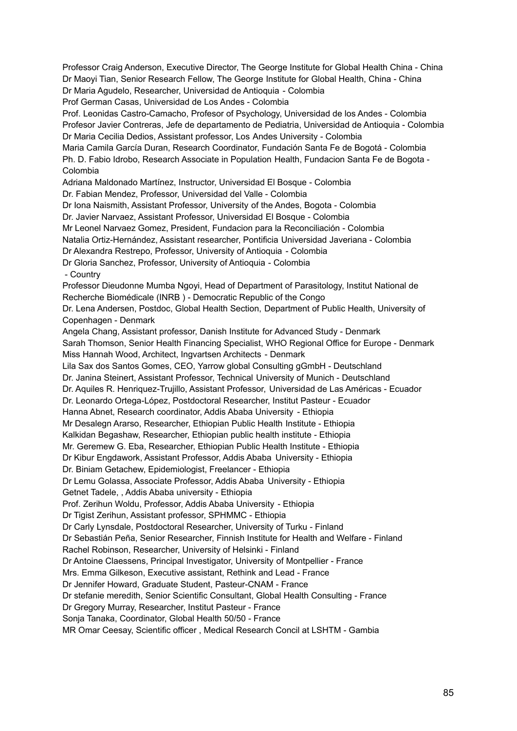Professor Craig Anderson, Executive Director, The George Institute for Global Health China - China Dr Maoyi Tian, Senior Research Fellow, The George Institute for Global Health, China - China Dr Maria Agudelo, Researcher, Universidad de Antioquia - Colombia Prof German Casas, Universidad de Los Andes - Colombia Prof. Leonidas Castro-Camacho, Profesor of Psychology, Universidad de los Andes - Colombia Profesor Javier Contreras, Jefe de departamento de Pediatria, Universidad de Antioquia - Colombia Dr Maria Cecilia Dedios, Assistant professor, Los Andes University - Colombia Maria Camila García Duran, Research Coordinator, Fundación Santa Fe de Bogotá - Colombia Ph. D. Fabio Idrobo, Research Associate in Population Health, Fundacion Santa Fe de Bogota - Colombia Adriana Maldonado Martínez, Instructor, Universidad El Bosque - Colombia Dr. Fabian Mendez, Professor, Universidad del Valle - Colombia Dr Iona Naismith, Assistant Professor, University of the Andes, Bogota - Colombia Dr. Javier Narvaez, Assistant Professor, Universidad El Bosque - Colombia Mr Leonel Narvaez Gomez, President, Fundacion para la Reconciliación - Colombia Natalia Ortiz-Hernández, Assistant researcher, Pontificia Universidad Javeriana - Colombia Dr Alexandra Restrepo, Professor, University of Antioquia - Colombia Dr Gloria Sanchez, Professor, University of Antioquia - Colombia - Country Professor Dieudonne Mumba Ngoyi, Head of Department of Parasitology, Institut National de Recherche Biomédicale (INRB ) - Democratic Republic of the Congo Dr. Lena Andersen, Postdoc, Global Health Section, Department of Public Health, University of Copenhagen - Denmark Angela Chang, Assistant professor, Danish Institute for Advanced Study - Denmark Sarah Thomson, Senior Health Financing Specialist, WHO Regional Office for Europe - Denmark Miss Hannah Wood, Architect, Ingvartsen Architects - Denmark Lila Sax dos Santos Gomes, CEO, Yarrow global Consulting gGmbH - Deutschland Dr. Janina Steinert, Assistant Professor, Technical University of Munich - Deutschland Dr. Aquiles R. Henriquez-Trujillo, Assistant Professor, Universidad de Las Américas - Ecuador Dr. Leonardo Ortega-López, Postdoctoral Researcher, Institut Pasteur - Ecuador Hanna Abnet, Research coordinator, Addis Ababa University - Ethiopia Mr Desalegn Ararso, Researcher, Ethiopian Public Health Institute - Ethiopia Kalkidan Begashaw, Researcher, Ethiopian public health institute - Ethiopia Mr. Geremew G. Eba, Researcher, Ethiopian Public Health Institute - Ethiopia Dr Kibur Engdawork, Assistant Professor, Addis Ababa University - Ethiopia Dr. Biniam Getachew, Epidemiologist, Freelancer - Ethiopia Dr Lemu Golassa, Associate Professor, Addis Ababa University - Ethiopia Getnet Tadele, , Addis Ababa university - Ethiopia Prof. Zerihun Woldu, Professor, Addis Ababa University - Ethiopia Dr Tigist Zerihun, Assistant professor, SPHMMC - Ethiopia Dr Carly Lynsdale, Postdoctoral Researcher, University of Turku - Finland Dr Sebastián Peña, Senior Researcher, Finnish Institute for Health and Welfare - Finland Rachel Robinson, Researcher, University of Helsinki - Finland Dr Antoine Claessens, Principal Investigator, University of Montpellier - France Mrs. Emma Gilkeson, Executive assistant, Rethink and Lead - France Dr Jennifer Howard, Graduate Student, Pasteur-CNAM - France Dr stefanie meredith, Senior Scientific Consultant, Global Health Consulting - France Dr Gregory Murray, Researcher, Institut Pasteur - France Sonja Tanaka, Coordinator, Global Health 50/50 - France MR Omar Ceesay, Scientific officer , Medical Research Concil at LSHTM - Gambia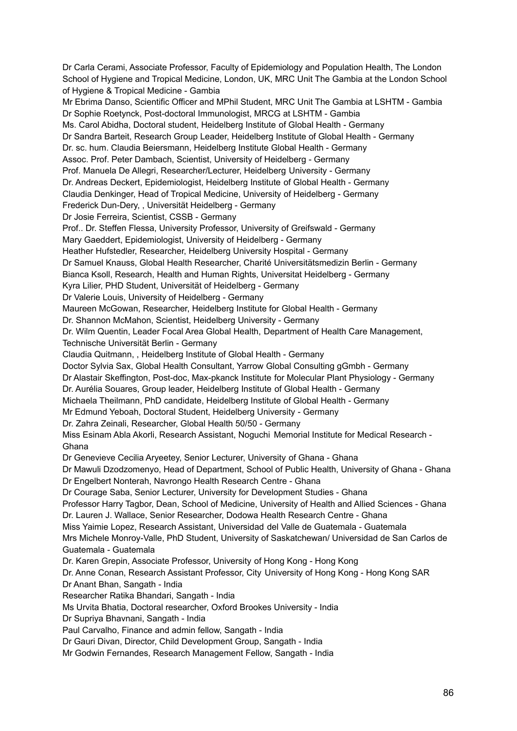Dr Carla Cerami, Associate Professor, Faculty of Epidemiology and Population Health, The London School of Hygiene and Tropical Medicine, London, UK, MRC Unit The Gambia at the London School of Hygiene & Tropical Medicine - Gambia Mr Ebrima Danso, Scientific Officer and MPhil Student, MRC Unit The Gambia at LSHTM - Gambia Dr Sophie Roetynck, Post-doctoral Immunologist, MRCG at LSHTM - Gambia Ms. Carol Abidha, Doctoral student, Heidelberg Institute of Global Health - Germany Dr Sandra Barteit, Research Group Leader, Heidelberg Institute of Global Health - Germany Dr. sc. hum. Claudia Beiersmann, Heidelberg Institute Global Health - Germany Assoc. Prof. Peter Dambach, Scientist, University of Heidelberg - Germany Prof. Manuela De Allegri, Researcher/Lecturer, Heidelberg University - Germany Dr. Andreas Deckert, Epidemiologist, Heidelberg Institute of Global Health - Germany Claudia Denkinger, Head of Tropical Medicine, University of Heidelberg - Germany Frederick Dun-Dery, , Universität Heidelberg - Germany Dr Josie Ferreira, Scientist, CSSB - Germany Prof.. Dr. Steffen Flessa, University Professor, University of Greifswald - Germany Mary Gaeddert, Epidemiologist, University of Heidelberg - Germany Heather Hufstedler, Researcher, Heidelberg University Hospital - Germany Dr Samuel Knauss, Global Health Researcher, Charité Universitätsmedizin Berlin - Germany Bianca Ksoll, Research, Health and Human Rights, Universitat Heidelberg - Germany Kyra Lilier, PHD Student, Universität of Heidelberg - Germany Dr Valerie Louis, University of Heidelberg - Germany Maureen McGowan, Researcher, Heidelberg Institute for Global Health - Germany Dr. Shannon McMahon, Scientist, Heidelberg University - Germany Dr. Wilm Quentin, Leader Focal Area Global Health, Department of Health Care Management, Technische Universität Berlin - Germany Claudia Quitmann, , Heidelberg Institute of Global Health - Germany Doctor Sylvia Sax, Global Health Consultant, Yarrow Global Consulting gGmbh - Germany Dr Alastair Skeffington, Post-doc, Max-pkanck Institute for Molecular Plant Physiology - Germany Dr. Aurélia Souares, Group leader, Heidelberg Institute of Global Health - Germany Michaela Theilmann, PhD candidate, Heidelberg Institute of Global Health - Germany Mr Edmund Yeboah, Doctoral Student, Heidelberg University - Germany Dr. Zahra Zeinali, Researcher, Global Health 50/50 - Germany Miss Esinam Abla Akorli, Research Assistant, Noguchi Memorial Institute for Medical Research - Ghana Dr Genevieve Cecilia Aryeetey, Senior Lecturer, University of Ghana - Ghana Dr Mawuli Dzodzomenyo, Head of Department, School of Public Health, University of Ghana - Ghana Dr Engelbert Nonterah, Navrongo Health Research Centre - Ghana Dr Courage Saba, Senior Lecturer, University for Development Studies - Ghana Professor Harry Tagbor, Dean, School of Medicine, University of Health and Allied Sciences - Ghana Dr. Lauren J. Wallace, Senior Researcher, Dodowa Health Research Centre - Ghana Miss Yaimie Lopez, Research Assistant, Universidad del Valle de Guatemala - Guatemala Mrs Michele Monroy-Valle, PhD Student, University of Saskatchewan/ Universidad de San Carlos de Guatemala - Guatemala Dr. Karen Grepin, Associate Professor, University of Hong Kong - Hong Kong Dr. Anne Conan, Research Assistant Professor, City University of Hong Kong - Hong Kong SAR Dr Anant Bhan, Sangath - India Researcher Ratika Bhandari, Sangath - India Ms Urvita Bhatia, Doctoral researcher, Oxford Brookes University - India Dr Supriya Bhavnani, Sangath - India Paul Carvalho, Finance and admin fellow, Sangath - India Dr Gauri Divan, Director, Child Development Group, Sangath - India

Mr Godwin Fernandes, Research Management Fellow, Sangath - India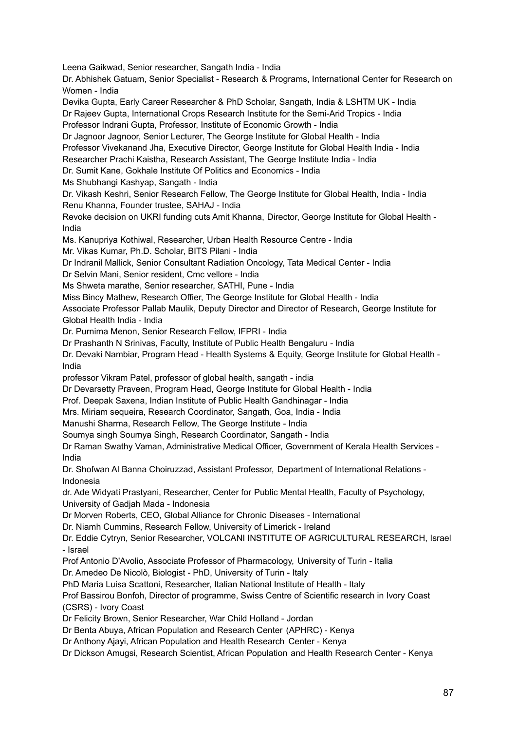Leena Gaikwad, Senior researcher, Sangath India - India

Dr. Abhishek Gatuam, Senior Specialist - Research & Programs, International Center for Research on Women - India

Devika Gupta, Early Career Researcher & PhD Scholar, Sangath, India & LSHTM UK - India

Dr Rajeev Gupta, International Crops Research Institute for the Semi-Arid Tropics - India Professor Indrani Gupta, Professor, Institute of Economic Growth - India

Dr Jagnoor Jagnoor, Senior Lecturer, The George Institute for Global Health - India

Professor Vivekanand Jha, Executive Director, George Institute for Global Health India - India

Researcher Prachi Kaistha, Research Assistant, The George Institute India - India

Dr. Sumit Kane, Gokhale Institute Of Politics and Economics - India

Ms Shubhangi Kashyap, Sangath - India

Dr. Vikash Keshri, Senior Research Fellow, The George Institute for Global Health, India - India Renu Khanna, Founder trustee, SAHAJ - India

Revoke decision on UKRI funding cuts Amit Khanna, Director, George Institute for Global Health - India

Ms. Kanupriya Kothiwal, Researcher, Urban Health Resource Centre - India

Mr. Vikas Kumar, Ph.D. Scholar, BITS Pilani - India

Dr Indranil Mallick, Senior Consultant Radiation Oncology, Tata Medical Center - India

Dr Selvin Mani, Senior resident, Cmc vellore - India

Ms Shweta marathe, Senior researcher, SATHI, Pune - India

Miss Bincy Mathew, Research Offier, The George Institute for Global Health - India

Associate Professor Pallab Maulik, Deputy Director and Director of Research, George Institute for Global Health India - India

Dr. Purnima Menon, Senior Research Fellow, IFPRI - India

Dr Prashanth N Srinivas, Faculty, Institute of Public Health Bengaluru - India

Dr. Devaki Nambiar, Program Head - Health Systems & Equity, George Institute for Global Health - India

professor Vikram Patel, professor of global health, sangath - india

Dr Devarsetty Praveen, Program Head, George Institute for Global Health - India

Prof. Deepak Saxena, Indian Institute of Public Health Gandhinagar - India

Mrs. Miriam sequeira, Research Coordinator, Sangath, Goa, India - India

Manushi Sharma, Research Fellow, The George Institute - India

Soumya singh Soumya Singh, Research Coordinator, Sangath - India

Dr Raman Swathy Vaman, Administrative Medical Officer, Government of Kerala Health Services - India

Dr. Shofwan Al Banna Choiruzzad, Assistant Professor, Department of International Relations - Indonesia

dr. Ade Widyati Prastyani, Researcher, Center for Public Mental Health, Faculty of Psychology, University of Gadjah Mada - Indonesia

Dr Morven Roberts, CEO, Global Alliance for Chronic Diseases - International

Dr. Niamh Cummins, Research Fellow, University of Limerick - Ireland

Dr. Eddie Cytryn, Senior Researcher, VOLCANI INSTITUTE OF AGRICULTURAL RESEARCH, Israel - Israel

Prof Antonio D'Avolio, Associate Professor of Pharmacology, University of Turin - Italia

Dr. Amedeo De Nicolò, Biologist - PhD, University of Turin - Italy

PhD Maria Luisa Scattoni, Researcher, Italian National Institute of Health - Italy

Prof Bassirou Bonfoh, Director of programme, Swiss Centre of Scientific research in Ivory Coast (CSRS) - Ivory Coast

Dr Felicity Brown, Senior Researcher, War Child Holland - Jordan

Dr Benta Abuya, African Population and Research Center (APHRC) - Kenya

Dr Anthony Ajayi, African Population and Health Research Center - Kenya

Dr Dickson Amugsi, Research Scientist, African Population and Health Research Center - Kenya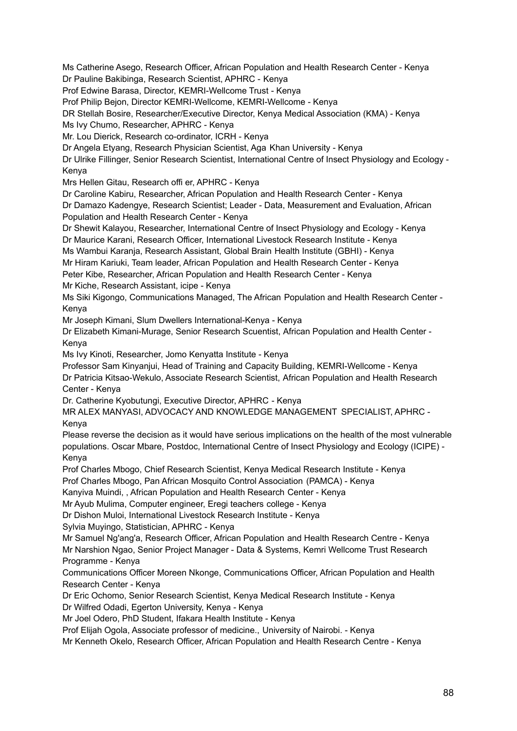Ms Catherine Asego, Research Officer, African Population and Health Research Center - Kenya Dr Pauline Bakibinga, Research Scientist, APHRC - Kenya Prof Edwine Barasa, Director, KEMRI-Wellcome Trust - Kenya Prof Philip Bejon, Director KEMRI-Wellcome, KEMRI-Wellcome - Kenya DR Stellah Bosire, Researcher/Executive Director, Kenya Medical Association (KMA) - Kenya Ms Ivy Chumo, Researcher, APHRC - Kenya Mr. Lou Dierick, Research co-ordinator, ICRH - Kenya Dr Angela Etyang, Research Physician Scientist, Aga Khan University - Kenya Dr Ulrike Fillinger, Senior Research Scientist, International Centre of Insect Physiology and Ecology - Kenya Mrs Hellen Gitau, Research offi er, APHRC - Kenya Dr Caroline Kabiru, Researcher, African Population and Health Research Center - Kenya Dr Damazo Kadengye, Research Scientist; Leader - Data, Measurement and Evaluation, African Population and Health Research Center - Kenya Dr Shewit Kalayou, Researcher, International Centre of Insect Physiology and Ecology - Kenya Dr Maurice Karani, Research Officer, International Livestock Research Institute - Kenya Ms Wambui Karanja, Research Assistant, Global Brain Health Institute (GBHI) - Kenya Mr Hiram Kariuki, Team leader, African Population and Health Research Center - Kenya Peter Kibe, Researcher, African Population and Health Research Center - Kenya Mr Kiche, Research Assistant, icipe - Kenya Ms Siki Kigongo, Communications Managed, The African Population and Health Research Center - Kenya Mr Joseph Kimani, Slum Dwellers International-Kenya - Kenya Dr Elizabeth Kimani-Murage, Senior Research Scuentist, African Population and Health Center - Kenya Ms Ivy Kinoti, Researcher, Jomo Kenyatta Institute - Kenya Professor Sam Kinyanjui, Head of Training and Capacity Building, KEMRI-Wellcome - Kenya Dr Patricia Kitsao-Wekulo, Associate Research Scientist, African Population and Health Research Center - Kenya Dr. Catherine Kyobutungi, Executive Director, APHRC - Kenya MR ALEX MANYASI, ADVOCACY AND KNOWLEDGE MANAGEMENT SPECIALIST, APHRC - Kenya Please reverse the decision as it would have serious implications on the health of the most vulnerable populations. Oscar Mbare, Postdoc, International Centre of Insect Physiology and Ecology (ICIPE) - Kenya Prof Charles Mbogo, Chief Research Scientist, Kenya Medical Research Institute - Kenya Prof Charles Mbogo, Pan African Mosquito Control Association (PAMCA) - Kenya Kanyiva Muindi, , African Population and Health Research Center - Kenya Mr Ayub Mulima, Computer engineer, Eregi teachers college - Kenya Dr Dishon Muloi, International Livestock Research Institute - Kenya Sylvia Muyingo, Statistician, APHRC - Kenya Mr Samuel Ng'ang'a, Research Officer, African Population and Health Research Centre - Kenya Mr Narshion Ngao, Senior Project Manager - Data & Systems, Kemri Wellcome Trust Research Programme - Kenya Communications Officer Moreen Nkonge, Communications Officer, African Population and Health Research Center - Kenya Dr Eric Ochomo, Senior Research Scientist, Kenya Medical Research Institute - Kenya Dr Wilfred Odadi, Egerton University, Kenya - Kenya Mr Joel Odero, PhD Student, Ifakara Health Institute - Kenya Prof Elijah Ogola, Associate professor of medicine., University of Nairobi. - Kenya Mr Kenneth Okelo, Research Officer, African Population and Health Research Centre - Kenya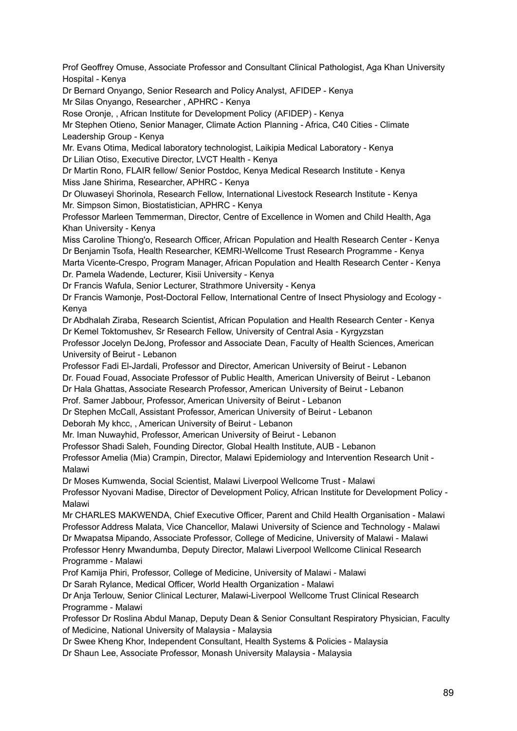Prof Geoffrey Omuse, Associate Professor and Consultant Clinical Pathologist, Aga Khan University Hospital - Kenya

Dr Bernard Onyango, Senior Research and Policy Analyst, AFIDEP - Kenya Mr Silas Onyango, Researcher , APHRC - Kenya

Rose Oronje, , African Institute for Development Policy (AFIDEP) - Kenya

Mr Stephen Otieno, Senior Manager, Climate Action Planning - Africa, C40 Cities - Climate Leadership Group - Kenya

Mr. Evans Otima, Medical laboratory technologist, Laikipia Medical Laboratory - Kenya Dr Lilian Otiso, Executive Director, LVCT Health - Kenya

Dr Martin Rono, FLAIR fellow/ Senior Postdoc, Kenya Medical Research Institute - Kenya Miss Jane Shirima, Researcher, APHRC - Kenya

Dr Oluwaseyi Shorinola, Research Fellow, International Livestock Research Institute - Kenya Mr. Simpson Simon, Biostatistician, APHRC - Kenya

Professor Marleen Temmerman, Director, Centre of Excellence in Women and Child Health, Aga Khan University - Kenya

Miss Caroline Thiong'o, Research Officer, African Population and Health Research Center - Kenya Dr Benjamin Tsofa, Health Researcher, KEMRI-Wellcome Trust Research Programme - Kenya Marta Vicente-Crespo, Program Manager, African Population and Health Research Center - Kenya Dr. Pamela Wadende, Lecturer, Kisii University - Kenya

Dr Francis Wafula, Senior Lecturer, Strathmore University - Kenya

Dr Francis Wamonje, Post-Doctoral Fellow, International Centre of Insect Physiology and Ecology - Kenya

Dr Abdhalah Ziraba, Research Scientist, African Population and Health Research Center - Kenya Dr Kemel Toktomushev, Sr Research Fellow, University of Central Asia - Kyrgyzstan Professor Jocelyn DeJong, Professor and Associate Dean, Faculty of Health Sciences, American

University of Beirut - Lebanon

Professor Fadi El-Jardali, Professor and Director, American University of Beirut - Lebanon Dr. Fouad Fouad, Associate Professor of Public Health, American University of Beirut - Lebanon Dr Hala Ghattas, Associate Research Professor, American University of Beirut - Lebanon

Prof. Samer Jabbour, Professor, American University of Beirut - Lebanon

Dr Stephen McCall, Assistant Professor, American University of Beirut - Lebanon Deborah My khcc, , American University of Beirut - Lebanon

Mr. Iman Nuwayhid, Professor, American University of Beirut - Lebanon

Professor Shadi Saleh, Founding Director, Global Health Institute, AUB - Lebanon

Professor Amelia (Mia) Crampin, Director, Malawi Epidemiology and Intervention Research Unit - Malawi

Dr Moses Kumwenda, Social Scientist, Malawi Liverpool Wellcome Trust - Malawi

Professor Nyovani Madise, Director of Development Policy, African Institute for Development Policy - Malawi

Mr CHARLES MAKWENDA, Chief Executive Officer, Parent and Child Health Organisation - Malawi Professor Address Malata, Vice Chancellor, Malawi University of Science and Technology - Malawi Dr Mwapatsa Mipando, Associate Professor, College of Medicine, University of Malawi - Malawi Professor Henry Mwandumba, Deputy Director, Malawi Liverpool Wellcome Clinical Research Programme - Malawi

Prof Kamija Phiri, Professor, College of Medicine, University of Malawi - Malawi

Dr Sarah Rylance, Medical Officer, World Health Organization - Malawi

Dr Anja Terlouw, Senior Clinical Lecturer, Malawi-Liverpool Wellcome Trust Clinical Research Programme - Malawi

Professor Dr Roslina Abdul Manap, Deputy Dean & Senior Consultant Respiratory Physician, Faculty of Medicine, National University of Malaysia - Malaysia

Dr Swee Kheng Khor, Independent Consultant, Health Systems & Policies - Malaysia

Dr Shaun Lee, Associate Professor, Monash University Malaysia - Malaysia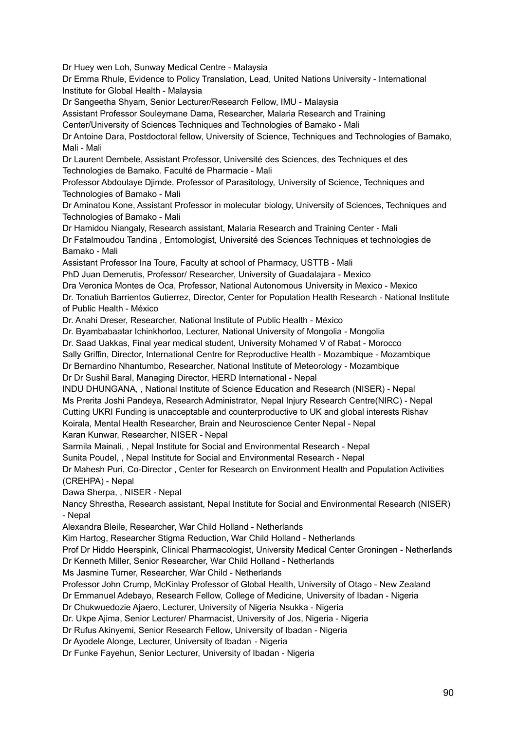Dr Huey wen Loh, Sunway Medical Centre - Malaysia

Dr Emma Rhule, Evidence to Policy Translation, Lead, United Nations University - International Institute for Global Health - Malaysia

Dr Sangeetha Shyam, Senior Lecturer/Research Fellow, IMU - Malaysia

Assistant Professor Souleymane Dama, Researcher, Malaria Research and Training

Center/University of Sciences Techniques and Technologies of Bamako - Mali

Dr Antoine Dara, Postdoctoral fellow, University of Science, Techniques and Technologies of Bamako, Mali - Mali

Dr Laurent Dembele, Assistant Professor, Université des Sciences, des Techniques et des Technologies de Bamako. Faculté de Pharmacie - Mali

Professor Abdoulaye Djimde, Professor of Parasitology, University of Science, Techniques and Technologies of Bamako - Mali

Dr Aminatou Kone, Assistant Professor in molecular biology, University of Sciences, Techniques and Technologies of Bamako - Mali

Dr Hamidou Niangaly, Research assistant, Malaria Research and Training Center - Mali Dr Fatalmoudou Tandina , Entomologist, Université des Sciences Techniques et technologies de Bamako - Mali

Assistant Professor Ina Toure, Faculty at school of Pharmacy, USTTB - Mali

PhD Juan Demerutis, Professor/ Researcher, University of Guadalajara - Mexico

Dra Veronica Montes de Oca, Professor, National Autonomous University in Mexico - Mexico Dr. Tonatiuh Barrientos Gutierrez, Director, Center for Population Health Research - National Institute

of Public Health - México

Dr. Anahi Dreser, Researcher, National Institute of Public Health - México

Dr. Byambabaatar Ichinkhorloo, Lecturer, National University of Mongolia - Mongolia

Dr. Saad Uakkas, Final year medical student, University Mohamed V of Rabat - Morocco

Sally Griffin, Director, International Centre for Reproductive Health - Mozambique - Mozambique

Dr Bernardino Nhantumbo, Researcher, National Institute of Meteorology - Mozambique Dr Dr Sushil Baral, Managing Director, HERD International - Nepal

INDU DHUNGANA, , National Institute of Science Education and Research (NISER) - Nepal Ms Prerita Joshi Pandeya, Research Administrator, Nepal Injury Research Centre(NIRC) - Nepal Cutting UKRI Funding is unacceptable and counterproductive to UK and global interests Rishav Koirala, Mental Health Researcher, Brain and Neuroscience Center Nepal - Nepal Karan Kunwar, Researcher, NISER - Nepal

Sarmila Mainali, , Nepal Institute for Social and Environmental Research - Nepal

Sunita Poudel, , Nepal Institute for Social and Environmental Research - Nepal

Dr Mahesh Puri, Co-Director , Center for Research on Environment Health and Population Activities (CREHPA) - Nepal

Dawa Sherpa, , NISER - Nepal

Nancy Shrestha, Research assistant, Nepal Institute for Social and Environmental Research (NISER) - Nepal

Alexandra Bleile, Researcher, War Child Holland - Netherlands

Kim Hartog, Researcher Stigma Reduction, War Child Holland - Netherlands

Prof Dr Hiddo Heerspink, Clinical Pharmacologist, University Medical Center Groningen - Netherlands Dr Kenneth Miller, Senior Researcher, War Child Holland - Netherlands

Ms Jasmine Turner, Researcher, War Child - Netherlands

Professor John Crump, McKinlay Professor of Global Health, University of Otago - New Zealand

Dr Emmanuel Adebayo, Research Fellow, College of Medicine, University of Ibadan - Nigeria

Dr Chukwuedozie Ajaero, Lecturer, University of Nigeria Nsukka - Nigeria

Dr. Ukpe Ajima, Senior Lecturer/ Pharmacist, University of Jos, Nigeria - Nigeria

Dr Rufus Akinyemi, Senior Research Fellow, University of Ibadan - Nigeria

Dr Ayodele Alonge, Lecturer, University of Ibadan - Nigeria

Dr Funke Fayehun, Senior Lecturer, University of Ibadan - Nigeria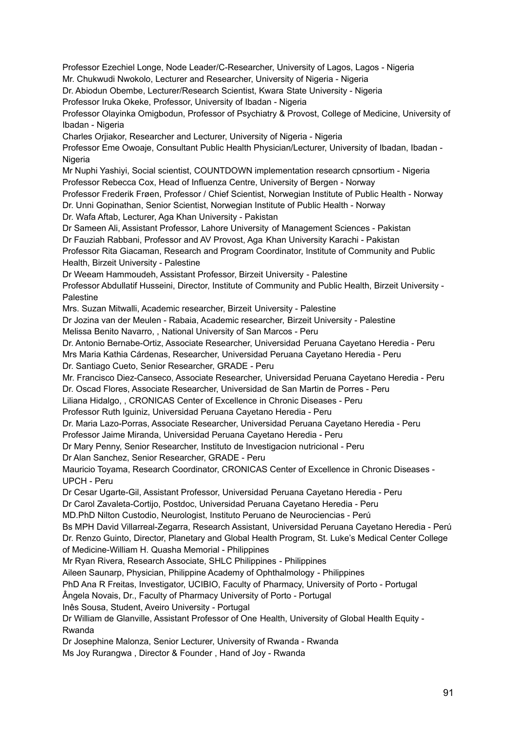Professor Ezechiel Longe, Node Leader/C-Researcher, University of Lagos, Lagos - Nigeria Mr. Chukwudi Nwokolo, Lecturer and Researcher, University of Nigeria - Nigeria Dr. Abiodun Obembe, Lecturer/Research Scientist, Kwara State University - Nigeria Professor Iruka Okeke, Professor, University of Ibadan - Nigeria Professor Olayinka Omigbodun, Professor of Psychiatry & Provost, College of Medicine, University of Ibadan - Nigeria Charles Orjiakor, Researcher and Lecturer, University of Nigeria - Nigeria Professor Eme Owoaje, Consultant Public Health Physician/Lecturer, University of Ibadan, Ibadan - Nigeria Mr Nuphi Yashiyi, Social scientist, COUNTDOWN implementation research cpnsortium - Nigeria Professor Rebecca Cox, Head of Influenza Centre, University of Bergen - Norway Professor Frederik Frøen, Professor / Chief Scientist, Norwegian Institute of Public Health - Norway Dr. Unni Gopinathan, Senior Scientist, Norwegian Institute of Public Health - Norway Dr. Wafa Aftab, Lecturer, Aga Khan University - Pakistan Dr Sameen Ali, Assistant Professor, Lahore University of Management Sciences - Pakistan Dr Fauziah Rabbani, Professor and AV Provost, Aga Khan University Karachi - Pakistan Professor Rita Giacaman, Research and Program Coordinator, Institute of Community and Public Health, Birzeit University - Palestine Dr Weeam Hammoudeh, Assistant Professor, Birzeit University - Palestine Professor Abdullatif Husseini, Director, Institute of Community and Public Health, Birzeit University - Palestine Mrs. Suzan Mitwalli, Academic researcher, Birzeit University - Palestine Dr Jozina van der Meulen - Rabaia, Academic researcher, Birzeit University - Palestine Melissa Benito Navarro, , National University of San Marcos - Peru Dr. Antonio Bernabe-Ortiz, Associate Researcher, Universidad Peruana Cayetano Heredia - Peru Mrs Maria Kathia Cárdenas, Researcher, Universidad Peruana Cayetano Heredia - Peru Dr. Santiago Cueto, Senior Researcher, GRADE - Peru Mr. Francisco Diez-Canseco, Associate Researcher, Universidad Peruana Cayetano Heredia - Peru Dr. Oscad Flores, Associate Researcher, Universidad de San Martin de Porres - Peru Liliana Hidalgo, , CRONICAS Center of Excellence in Chronic Diseases - Peru Professor Ruth Iguiniz, Universidad Peruana Cayetano Heredia - Peru Dr. Maria Lazo-Porras, Associate Researcher, Universidad Peruana Cayetano Heredia - Peru Professor Jaime Miranda, Universidad Peruana Cayetano Heredia - Peru Dr Mary Penny, Senior Researcher, Instituto de Investigacion nutricional - Peru Dr Alan Sanchez, Senior Researcher, GRADE - Peru Mauricio Toyama, Research Coordinator, CRONICAS Center of Excellence in Chronic Diseases - UPCH - Peru Dr Cesar Ugarte-Gil, Assistant Professor, Universidad Peruana Cayetano Heredia - Peru Dr Carol Zavaleta-Cortijo, Postdoc, Universidad Peruana Cayetano Heredia - Peru MD.PhD Nilton Custodio, Neurologist, Instituto Peruano de Neurociencias - Perú Bs MPH David Villarreal-Zegarra, Research Assistant, Universidad Peruana Cayetano Heredia - Perú Dr. Renzo Guinto, Director, Planetary and Global Health Program, St. Luke's Medical Center College of Medicine-William H. Quasha Memorial - Philippines Mr Ryan Rivera, Research Associate, SHLC Philippines - Philippines Aileen Saunarp, Physician, Philippine Academy of Ophthalmology - Philippines PhD Ana R Freitas, Investigator, UCIBIO, Faculty of Pharmacy, University of Porto - Portugal Ângela Novais, Dr., Faculty of Pharmacy University of Porto - Portugal Inês Sousa, Student, Aveiro University - Portugal Dr William de Glanville, Assistant Professor of One Health, University of Global Health Equity - Rwanda Dr Josephine Malonza, Senior Lecturer, University of Rwanda - Rwanda

Ms Joy Rurangwa , Director & Founder , Hand of Joy - Rwanda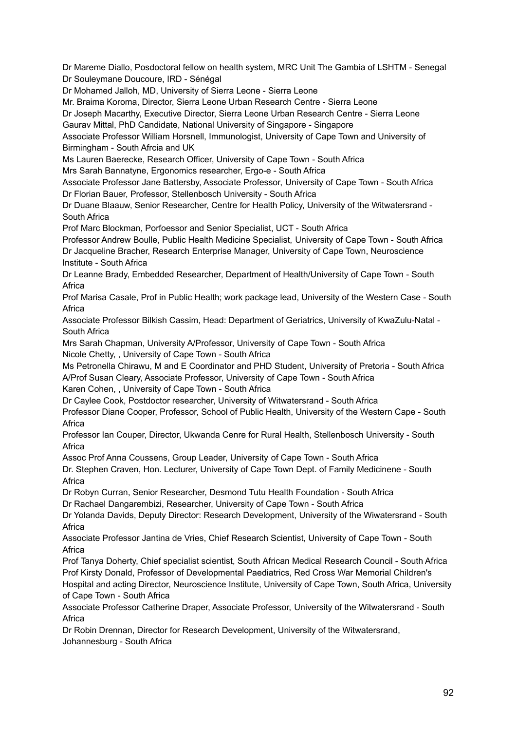Dr Mareme Diallo, Posdoctoral fellow on health system, MRC Unit The Gambia of LSHTM - Senegal Dr Souleymane Doucoure, IRD - Sénégal

Dr Mohamed Jalloh, MD, University of Sierra Leone - Sierra Leone

Mr. Braima Koroma, Director, Sierra Leone Urban Research Centre - Sierra Leone

Dr Joseph Macarthy, Executive Director, Sierra Leone Urban Research Centre - Sierra Leone

Gaurav Mittal, PhD Candidate, National University of Singapore - Singapore

Associate Professor William Horsnell, Immunologist, University of Cape Town and University of Birmingham - South Afrcia and UK

Ms Lauren Baerecke, Research Officer, University of Cape Town - South Africa

Mrs Sarah Bannatyne, Ergonomics researcher, Ergo-e - South Africa

Associate Professor Jane Battersby, Associate Professor, University of Cape Town - South Africa Dr Florian Bauer, Professor, Stellenbosch University - South Africa

Dr Duane Blaauw, Senior Researcher, Centre for Health Policy, University of the Witwatersrand - South Africa

Prof Marc Blockman, Porfoessor and Senior Specialist, UCT - South Africa

Professor Andrew Boulle, Public Health Medicine Specialist, University of Cape Town - South Africa Dr Jacqueline Bracher, Research Enterprise Manager, University of Cape Town, Neuroscience Institute - South Africa

Dr Leanne Brady, Embedded Researcher, Department of Health/University of Cape Town - South **Africa** 

Prof Marisa Casale, Prof in Public Health; work package lead, University of the Western Case - South Africa

Associate Professor Bilkish Cassim, Head: Department of Geriatrics, University of KwaZulu-Natal - South Africa

Mrs Sarah Chapman, University A/Professor, University of Cape Town - South Africa Nicole Chetty, , University of Cape Town - South Africa

Ms Petronella Chirawu, M and E Coordinator and PHD Student, University of Pretoria - South Africa A/Prof Susan Cleary, Associate Professor, University of Cape Town - South Africa

Karen Cohen, , University of Cape Town - South Africa

Dr Caylee Cook, Postdoctor researcher, University of Witwatersrand - South Africa

Professor Diane Cooper, Professor, School of Public Health, University of the Western Cape - South Africa

Professor Ian Couper, Director, Ukwanda Cenre for Rural Health, Stellenbosch University - South Africa

Assoc Prof Anna Coussens, Group Leader, University of Cape Town - South Africa

Dr. Stephen Craven, Hon. Lecturer, University of Cape Town Dept. of Family Medicinene - South Africa

Dr Robyn Curran, Senior Researcher, Desmond Tutu Health Foundation - South Africa

Dr Rachael Dangarembizi, Researcher, University of Cape Town - South Africa

Dr Yolanda Davids, Deputy Director: Research Development, University of the Wiwatersrand - South Africa

Associate Professor Jantina de Vries, Chief Research Scientist, University of Cape Town - South Africa

Prof Tanya Doherty, Chief specialist scientist, South African Medical Research Council - South Africa Prof Kirsty Donald, Professor of Developmental Paediatrics, Red Cross War Memorial Children's Hospital and acting Director, Neuroscience Institute, University of Cape Town, South Africa, University of Cape Town - South Africa

Associate Professor Catherine Draper, Associate Professor, University of the Witwatersrand - South Africa

Dr Robin Drennan, Director for Research Development, University of the Witwatersrand, Johannesburg - South Africa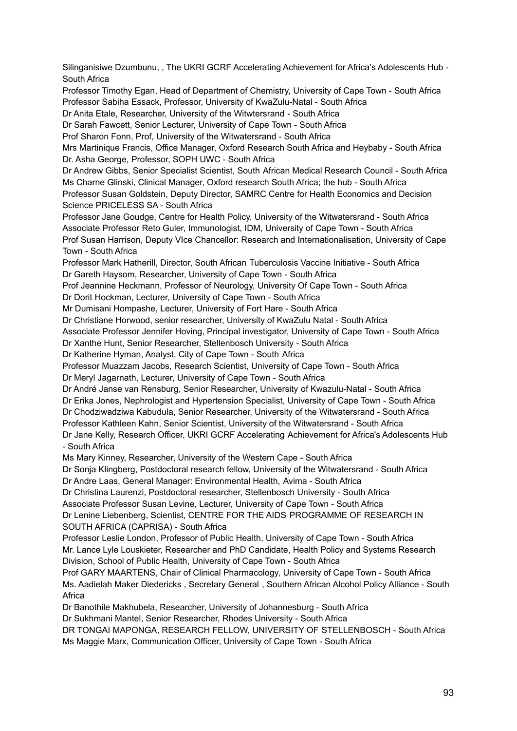Silinganisiwe Dzumbunu, , The UKRI GCRF Accelerating Achievement for Africa's Adolescents Hub - South Africa Professor Timothy Egan, Head of Department of Chemistry, University of Cape Town - South Africa Professor Sabiha Essack, Professor, University of KwaZulu-Natal - South Africa Dr Anita Etale, Researcher, University of the Witwtersrand - South Africa Dr Sarah Fawcett, Senior Lecturer, University of Cape Town - South Africa Prof Sharon Fonn, Prof, University of the Witwatersrand - South Africa Mrs Martinique Francis, Office Manager, Oxford Research South Africa and Heybaby - South Africa Dr. Asha George, Professor, SOPH UWC - South Africa Dr Andrew Gibbs, Senior Specialist Scientist, South African Medical Research Council - South Africa Ms Charne Glinski, Clinical Manager, Oxford research South Africa; the hub - South Africa Professor Susan Goldstein, Deputy Director, SAMRC Centre for Health Economics and Decision Science PRICELESS SA - South Africa Professor Jane Goudge, Centre for Health Policy, University of the Witwatersrand - South Africa Associate Professor Reto Guler, Immunologist, IDM, University of Cape Town - South Africa Prof Susan Harrison, Deputy VIce Chancellor: Research and Internationalisation, University of Cape Town - South Africa Professor Mark Hatherill, Director, South African Tuberculosis Vaccine Initiative - South Africa Dr Gareth Haysom, Researcher, University of Cape Town - South Africa Prof Jeannine Heckmann, Professor of Neurology, University Of Cape Town - South Africa Dr Dorit Hockman, Lecturer, University of Cape Town - South Africa Mr Dumisani Hompashe, Lecturer, University of Fort Hare - South Africa Dr Christiane Horwood, senior researcher, University of KwaZulu Natal - South Africa Associate Professor Jennifer Hoving, Principal investigator, University of Cape Town - South Africa Dr Xanthe Hunt, Senior Researcher, Stellenbosch University - South Africa Dr Katherine Hyman, Analyst, City of Cape Town - South Africa Professor Muazzam Jacobs, Research Scientist, University of Cape Town - South Africa Dr Meryl Jagarnath, Lecturer, University of Cape Town - South Africa Dr André Janse van Rensburg, Senior Researcher, University of Kwazulu-Natal - South Africa Dr Erika Jones, Nephrologist and Hypertension Specialist, University of Cape Town - South Africa Dr Chodziwadziwa Kabudula, Senior Researcher, University of the Witwatersrand - South Africa Professor Kathleen Kahn, Senior Scientist, University of the Witwatersrand - South Africa Dr Jane Kelly, Research Officer, UKRI GCRF Accelerating Achievement for Africa's Adolescents Hub - South Africa Ms Mary Kinney, Researcher, University of the Western Cape - South Africa Dr Sonja Klingberg, Postdoctoral research fellow, University of the Witwatersrand - South Africa Dr Andre Laas, General Manager: Environmental Health, Avima - South Africa Dr Christina Laurenzi, Postdoctoral researcher, Stellenbosch University - South Africa Associate Professor Susan Levine, Lecturer, University of Cape Town - South Africa Dr Lenine Liebenberg, Scientist, CENTRE FOR THE AIDS PROGRAMME OF RESEARCH IN SOUTH AFRICA (CAPRISA) - South Africa Professor Leslie London, Professor of Public Health, University of Cape Town - South Africa Mr. Lance Lyle Louskieter, Researcher and PhD Candidate, Health Policy and Systems Research Division, School of Public Health, University of Cape Town - South Africa Prof GARY MAARTENS, Chair of Clinical Pharmacology, University of Cape Town - South Africa Ms. Aadielah Maker Diedericks , Secretary General , Southern African Alcohol Policy Alliance - South Africa Dr Banothile Makhubela, Researcher, University of Johannesburg - South Africa Dr Sukhmani Mantel, Senior Researcher, Rhodes University - South Africa DR TONGAI MAPONGA, RESEARCH FELLOW, UNIVERSITY OF STELLENBOSCH - South Africa

Ms Maggie Marx, Communication Officer, University of Cape Town - South Africa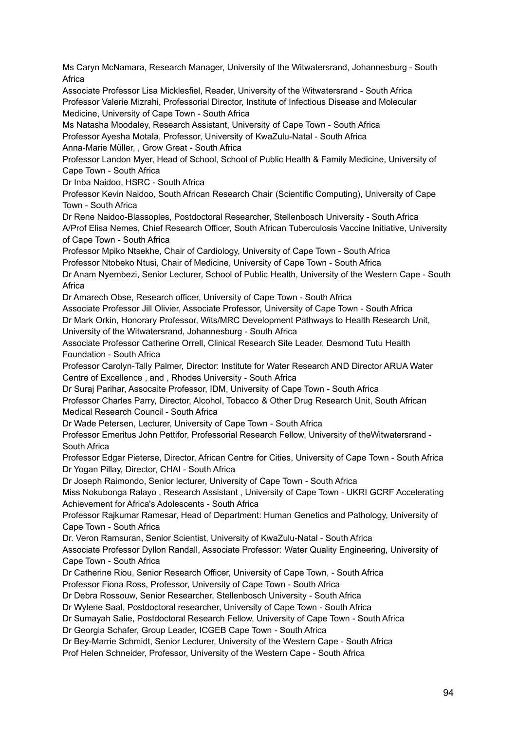Ms Caryn McNamara, Research Manager, University of the Witwatersrand, Johannesburg - South Africa

Associate Professor Lisa Micklesfiel, Reader, University of the Witwatersrand - South Africa Professor Valerie Mizrahi, Professorial Director, Institute of Infectious Disease and Molecular Medicine, University of Cape Town - South Africa

Ms Natasha Moodaley, Research Assistant, University of Cape Town - South Africa

Professor Ayesha Motala, Professor, University of KwaZulu-Natal - South Africa

Anna-Marie Müller, , Grow Great - South Africa

Professor Landon Myer, Head of School, School of Public Health & Family Medicine, University of Cape Town - South Africa

Dr Inba Naidoo, HSRC - South Africa

Professor Kevin Naidoo, South African Research Chair (Scientific Computing), University of Cape Town - South Africa

Dr Rene Naidoo-Blassoples, Postdoctoral Researcher, Stellenbosch University - South Africa A/Prof Elisa Nemes, Chief Research Officer, South African Tuberculosis Vaccine Initiative, University of Cape Town - South Africa

Professor Mpiko Ntsekhe, Chair of Cardiology, University of Cape Town - South Africa Professor Ntobeko Ntusi, Chair of Medicine, University of Cape Town - South Africa

Dr Anam Nyembezi, Senior Lecturer, School of Public Health, University of the Western Cape - South Africa

Dr Amarech Obse, Research officer, University of Cape Town - South Africa

Associate Professor Jill Olivier, Associate Professor, University of Cape Town - South Africa

Dr Mark Orkin, Honorary Professor, Wits/MRC Development Pathways to Health Research Unit,

University of the Witwatersrand, Johannesburg - South Africa

Associate Professor Catherine Orrell, Clinical Research Site Leader, Desmond Tutu Health Foundation - South Africa

Professor Carolyn-Tally Palmer, Director: Institute for Water Research AND Director ARUA Water Centre of Excellence , and , Rhodes University - South Africa

Dr Suraj Parihar, Assocaite Professor, IDM, University of Cape Town - South Africa

Professor Charles Parry, Director, Alcohol, Tobacco & Other Drug Research Unit, South African Medical Research Council - South Africa

Dr Wade Petersen, Lecturer, University of Cape Town - South Africa

Professor Emeritus John Pettifor, Professorial Research Fellow, University of theWitwatersrand - South Africa

Professor Edgar Pieterse, Director, African Centre for Cities, University of Cape Town - South Africa Dr Yogan Pillay, Director, CHAI - South Africa

Dr Joseph Raimondo, Senior lecturer, University of Cape Town - South Africa

Miss Nokubonga Ralayo , Research Assistant , University of Cape Town - UKRI GCRF Accelerating Achievement for Africa's Adolescents - South Africa

Professor Rajkumar Ramesar, Head of Department: Human Genetics and Pathology, University of Cape Town - South Africa

Dr. Veron Ramsuran, Senior Scientist, University of KwaZulu-Natal - South Africa

Associate Professor Dyllon Randall, Associate Professor: Water Quality Engineering, University of Cape Town - South Africa

Dr Catherine Riou, Senior Research Officer, University of Cape Town, - South Africa

Professor Fiona Ross, Professor, University of Cape Town - South Africa

Dr Debra Rossouw, Senior Researcher, Stellenbosch University - South Africa

Dr Wylene Saal, Postdoctoral researcher, University of Cape Town - South Africa

Dr Sumayah Salie, Postdoctoral Research Fellow, University of Cape Town - South Africa

Dr Georgia Schafer, Group Leader, ICGEB Cape Town - South Africa

Dr Bey-Marrie Schmidt, Senior Lecturer, University of the Western Cape - South Africa

Prof Helen Schneider, Professor, University of the Western Cape - South Africa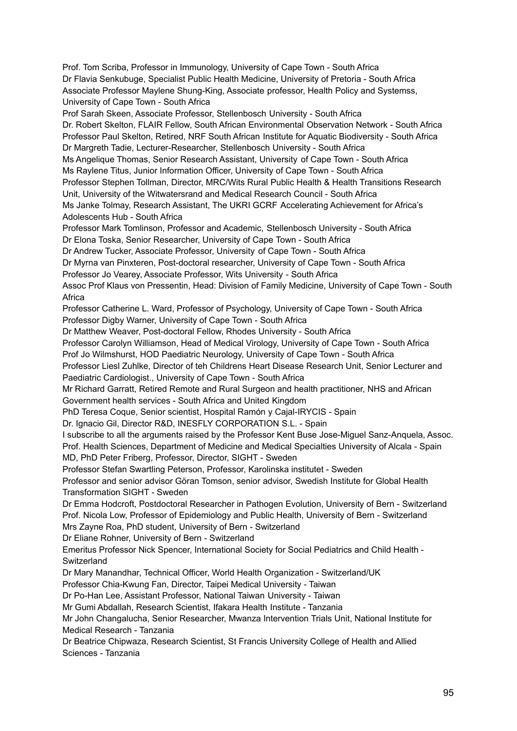Prof. Tom Scriba, Professor in Immunology, University of Cape Town - South Africa Dr Flavia Senkubuge, Specialist Public Health Medicine, University of Pretoria - South Africa Associate Professor Maylene Shung-King, Associate professor, Health Policy and Systemss, University of Cape Town - South Africa

Prof Sarah Skeen, Associate Professor, Stellenbosch University - South Africa Dr. Robert Skelton, FLAIR Fellow, South African Environmental Observation Network - South Africa Professor Paul Skelton, Retired, NRF South African Institute for Aquatic Biodiversity - South Africa Dr Margreth Tadie, Lecturer-Researcher, Stellenbosch University - South Africa Ms Angelique Thomas, Senior Research Assistant, University of Cape Town - South Africa Ms Raylene Titus, Junior Information Officer, University of Cape Town - South Africa Professor Stephen Tollman, Director, MRC/Wits Rural Public Health & Health Transitions Research Unit, University of the Witwatersrand and Medical Research Council - South Africa Ms Janke Tolmay, Research Assistant, The UKRI GCRF Accelerating Achievement for Africa's Adolescents Hub - South Africa Professor Mark Tomlinson, Professor and Academic, Stellenbosch University - South Africa Dr Elona Toska, Senior Researcher, University of Cape Town - South Africa Dr Andrew Tucker, Associate Professor, University of Cape Town - South Africa Dr Myrna van Pinxteren, Post-doctoral researcher, University of Cape Town - South Africa Professor Jo Vearey, Associate Professor, Wits University - South Africa Assoc Prof Klaus von Pressentin, Head: Division of Family Medicine, University of Cape Town - South **Africa** Professor Catherine L. Ward, Professor of Psychology, University of Cape Town - South Africa Professor Digby Warner, University of Cape Town - South Africa Dr Matthew Weaver, Post-doctoral Fellow, Rhodes University - South Africa Professor Carolyn Williamson, Head of Medical Virology, University of Cape Town - South Africa Prof Jo Wilmshurst, HOD Paediatric Neurology, University of Cape Town - South Africa Professor Liesl Zuhlke, Director of teh Childrens Heart Disease Research Unit, Senior Lecturer and Paediatric Cardiologist., University of Cape Town - South Africa Mr Richard Garratt, Retired Remote and Rural Surgeon and health practitioner, NHS and African Government health services - South Africa and United Kingdom PhD Teresa Coque, Senior scientist, Hospital Ramón y Cajal-IRYCIS - Spain Dr. Ignacio Gil, Director R&D, INESFLY CORPORATION S.L. - Spain I subscribe to all the arguments raised by the Professor Kent Buse Jose-Miguel Sanz-Anquela, Assoc.

Prof. Health Sciences, Department of Medicine and Medical Specialties University of Alcala - Spain MD, PhD Peter Friberg, Professor, Director, SIGHT - Sweden

Professor Stefan Swartling Peterson, Professor, Karolinska institutet - Sweden

Professor and senior advisor Göran Tomson, senior advisor, Swedish Institute for Global Health Transformation SIGHT - Sweden

Dr Emma Hodcroft, Postdoctoral Researcher in Pathogen Evolution, University of Bern - Switzerland Prof. Nicola Low, Professor of Epidemiology and Public Health, University of Bern - Switzerland Mrs Zayne Roa, PhD student, University of Bern - Switzerland

Dr Eliane Rohner, University of Bern - Switzerland

Emeritus Professor Nick Spencer, International Society for Social Pediatrics and Child Health - **Switzerland** 

Dr Mary Manandhar, Technical Officer, World Health Organization - Switzerland/UK

Professor Chia-Kwung Fan, Director, Taipei Medical University - Taiwan

Dr Po-Han Lee, Assistant Professor, National Taiwan University - Taiwan

Mr Gumi Abdallah, Research Scientist, Ifakara Health Institute - Tanzania

Mr John Changalucha, Senior Researcher, Mwanza Intervention Trials Unit, National Institute for Medical Research - Tanzania

Dr Beatrice Chipwaza, Research Scientist, St Francis University College of Health and Allied Sciences - Tanzania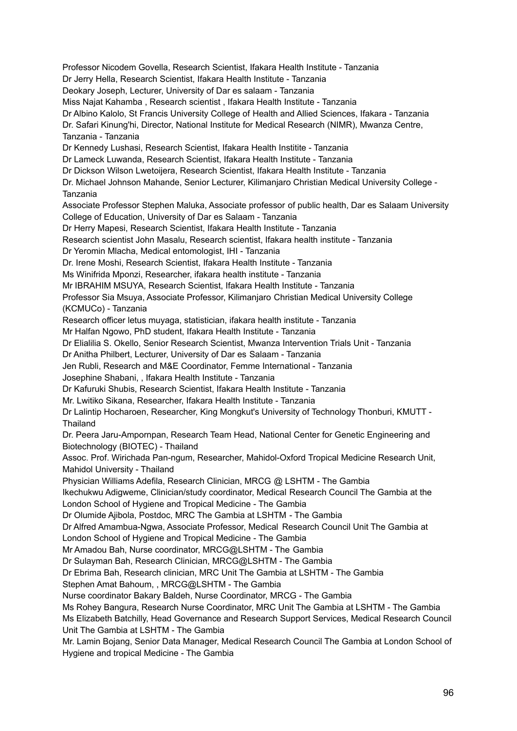Professor Nicodem Govella, Research Scientist, Ifakara Health Institute - Tanzania Dr Jerry Hella, Research Scientist, Ifakara Health Institute - Tanzania Deokary Joseph, Lecturer, University of Dar es salaam - Tanzania Miss Najat Kahamba , Research scientist , Ifakara Health Institute - Tanzania Dr Albino Kalolo, St Francis University College of Health and Allied Sciences, Ifakara - Tanzania Dr. Safari Kinung'hi, Director, National Institute for Medical Research (NIMR), Mwanza Centre, Tanzania - Tanzania Dr Kennedy Lushasi, Research Scientist, Ifakara Health Institite - Tanzania Dr Lameck Luwanda, Research Scientist, Ifakara Health Institute - Tanzania Dr Dickson Wilson Lwetoijera, Research Scientist, Ifakara Health Institute - Tanzania Dr. Michael Johnson Mahande, Senior Lecturer, Kilimanjaro Christian Medical University College - Tanzania Associate Professor Stephen Maluka, Associate professor of public health, Dar es Salaam University College of Education, University of Dar es Salaam - Tanzania Dr Herry Mapesi, Research Scientist, Ifakara Health Institute - Tanzania Research scientist John Masalu, Research scientist, Ifakara health institute - Tanzania Dr Yeromin Mlacha, Medical entomologist, IHI - Tanzania Dr. Irene Moshi, Research Scientist, Ifakara Health Institute - Tanzania Ms Winifrida Mponzi, Researcher, ifakara health institute - Tanzania Mr IBRAHIM MSUYA, Research Scientist, Ifakara Health Institute - Tanzania Professor Sia Msuya, Associate Professor, Kilimanjaro Christian Medical University College (KCMUCo) - Tanzania Research officer letus muyaga, statistician, ifakara health institute - Tanzania Mr Halfan Ngowo, PhD student, Ifakara Health Institute - Tanzania Dr Elialilia S. Okello, Senior Research Scientist, Mwanza Intervention Trials Unit - Tanzania Dr Anitha Philbert, Lecturer, University of Dar es Salaam - Tanzania Jen Rubli, Research and M&E Coordinator, Femme International - Tanzania Josephine Shabani, , Ifakara Health Institute - Tanzania Dr Kafuruki Shubis, Research Scientist, Ifakara Health Institute - Tanzania Mr. Lwitiko Sikana, Researcher, Ifakara Health Institute - Tanzania Dr Lalintip Hocharoen, Researcher, King Mongkut's University of Technology Thonburi, KMUTT - **Thailand** Dr. Peera Jaru-Ampornpan, Research Team Head, National Center for Genetic Engineering and Biotechnology (BIOTEC) - Thailand Assoc. Prof. Wirichada Pan-ngum, Researcher, Mahidol-Oxford Tropical Medicine Research Unit, Mahidol University - Thailand Physician Williams Adefila, Research Clinician, MRCG @ LSHTM - The Gambia Ikechukwu Adigweme, Clinician/study coordinator, Medical Research Council The Gambia at the London School of Hygiene and Tropical Medicine - The Gambia Dr Olumide Ajibola, Postdoc, MRC The Gambia at LSHTM - The Gambia Dr Alfred Amambua-Ngwa, Associate Professor, Medical Research Council Unit The Gambia at London School of Hygiene and Tropical Medicine - The Gambia Mr Amadou Bah, Nurse coordinator, MRCG@LSHTM - The Gambia Dr Sulayman Bah, Research Clinician, MRCG@LSHTM - The Gambia Dr Ebrima Bah, Research clinician, MRC Unit The Gambia at LSHTM - The Gambia Stephen Amat Bahoum, , MRCG@LSHTM - The Gambia Nurse coordinator Bakary Baldeh, Nurse Coordinator, MRCG - The Gambia Ms Rohey Bangura, Research Nurse Coordinator, MRC Unit The Gambia at LSHTM - The Gambia Ms Elizabeth Batchilly, Head Governance and Research Support Services, Medical Research Council Unit The Gambia at LSHTM - The Gambia Mr. Lamin Bojang, Senior Data Manager, Medical Research Council The Gambia at London School of

Hygiene and tropical Medicine - The Gambia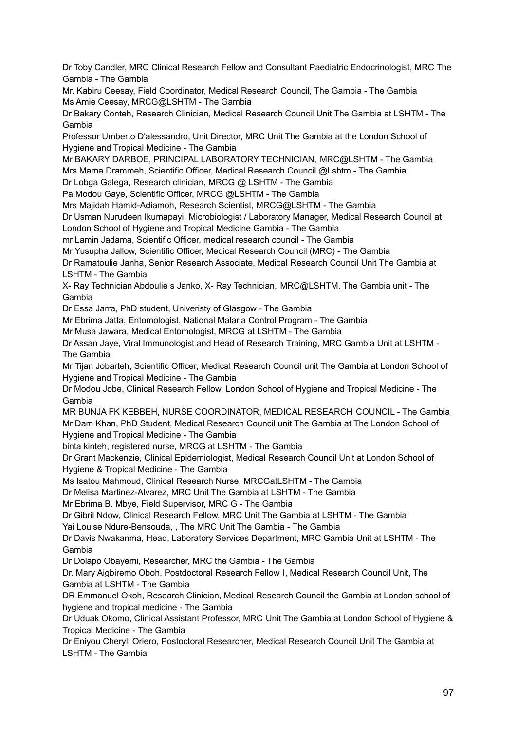Dr Toby Candler, MRC Clinical Research Fellow and Consultant Paediatric Endocrinologist, MRC The Gambia - The Gambia

Mr. Kabiru Ceesay, Field Coordinator, Medical Research Council, The Gambia - The Gambia Ms Amie Ceesay, MRCG@LSHTM - The Gambia

Dr Bakary Conteh, Research Clinician, Medical Research Council Unit The Gambia at LSHTM - The Gambia

Professor Umberto D'alessandro, Unit Director, MRC Unit The Gambia at the London School of Hygiene and Tropical Medicine - The Gambia

Mr BAKARY DARBOE, PRINCIPAL LABORATORY TECHNICIAN, MRC@LSHTM - The Gambia Mrs Mama Drammeh, Scientific Officer, Medical Research Council @Lshtm - The Gambia

Dr Lobga Galega, Research clinician, MRCG @ LSHTM - The Gambia

Pa Modou Gaye, Scientific Officer, MRCG @LSHTM - The Gambia

Mrs Majidah Hamid-Adiamoh, Research Scientist, MRCG@LSHTM - The Gambia

Dr Usman Nurudeen Ikumapayi, Microbiologist / Laboratory Manager, Medical Research Council at London School of Hygiene and Tropical Medicine Gambia - The Gambia

mr Lamin Jadama, Scientific Officer, medical research council - The Gambia

Mr Yusupha Jallow, Scientific Officer, Medical Research Council (MRC) - The Gambia

Dr Ramatoulie Janha, Senior Research Associate, Medical Research Council Unit The Gambia at LSHTM - The Gambia

X- Ray Technician Abdoulie s Janko, X- Ray Technician, MRC@LSHTM, The Gambia unit - The Gambia

Dr Essa Jarra, PhD student, Univeristy of Glasgow - The Gambia

Mr Ebrima Jatta, Entomologist, National Malaria Control Program - The Gambia

Mr Musa Jawara, Medical Entomologist, MRCG at LSHTM - The Gambia

Dr Assan Jaye, Viral Immunologist and Head of Research Training, MRC Gambia Unit at LSHTM - The Gambia

Mr Tijan Jobarteh, Scientific Officer, Medical Research Council unit The Gambia at London School of Hygiene and Tropical Medicine - The Gambia

Dr Modou Jobe, Clinical Research Fellow, London School of Hygiene and Tropical Medicine - The Gambia

MR BUNJA FK KEBBEH, NURSE COORDINATOR, MEDICAL RESEARCH COUNCIL - The Gambia Mr Dam Khan, PhD Student, Medical Research Council unit The Gambia at The London School of Hygiene and Tropical Medicine - The Gambia

binta kinteh, registered nurse, MRCG at LSHTM - The Gambia

Dr Grant Mackenzie, Clinical Epidemiologist, Medical Research Council Unit at London School of Hygiene & Tropical Medicine - The Gambia

Ms Isatou Mahmoud, Clinical Research Nurse, MRCGatLSHTM - The Gambia

Dr Melisa Martinez-Alvarez, MRC Unit The Gambia at LSHTM - The Gambia

Mr Ebrima B. Mbye, Field Supervisor, MRC G - The Gambia

Dr Gibril Ndow, Clinical Research Fellow, MRC Unit The Gambia at LSHTM - The Gambia

Yai Louise Ndure-Bensouda, , The MRC Unit The Gambia - The Gambia

Dr Davis Nwakanma, Head, Laboratory Services Department, MRC Gambia Unit at LSHTM - The Gambia

Dr Dolapo Obayemi, Researcher, MRC the Gambia - The Gambia

Dr. Mary Aigbiremo Oboh, Postdoctoral Research Fellow I, Medical Research Council Unit, The Gambia at LSHTM - The Gambia

DR Emmanuel Okoh, Research Clinician, Medical Research Council the Gambia at London school of hygiene and tropical medicine - The Gambia

Dr Uduak Okomo, Clinical Assistant Professor, MRC Unit The Gambia at London School of Hygiene & Tropical Medicine - The Gambia

Dr Eniyou Cheryll Oriero, Postoctoral Researcher, Medical Research Council Unit The Gambia at LSHTM - The Gambia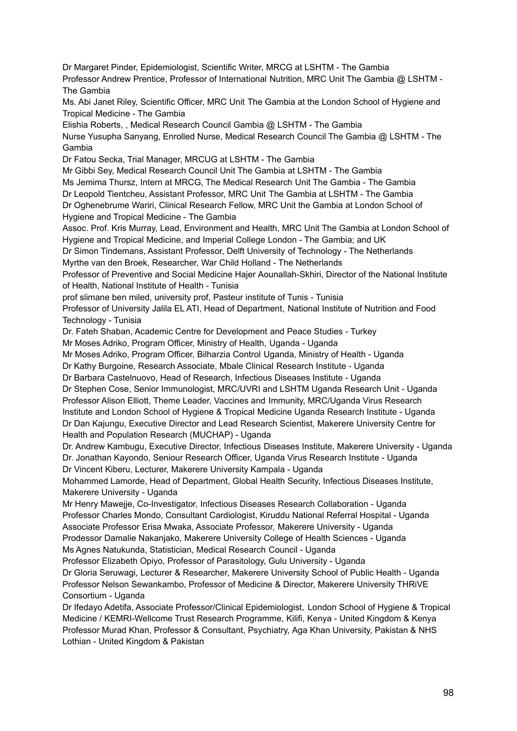Dr Margaret Pinder, Epidemiologist, Scientific Writer, MRCG at LSHTM - The Gambia Professor Andrew Prentice, Professor of International Nutrition, MRC Unit The Gambia @ LSHTM - The Gambia

Ms. Abi Janet Riley, Scientific Officer, MRC Unit The Gambia at the London School of Hygiene and Tropical Medicine - The Gambia

Elishia Roberts, , Medical Research Council Gambia @ LSHTM - The Gambia Nurse Yusupha Sanyang, Enrolled Nurse, Medical Research Council The Gambia @ LSHTM - The Gambia

Dr Fatou Secka, Trial Manager, MRCUG at LSHTM - The Gambia

Mr Gibbi Sey, Medical Research Council Unit The Gambia at LSHTM - The Gambia Ms Jemima Thursz, Intern at MRCG, The Medical Research Unit The Gambia - The Gambia Dr Leopold Tientcheu, Assistant Professor, MRC Unit The Gambia at LSHTM - The Gambia Dr Oghenebrume Wariri, Clinical Research Fellow, MRC Unit the Gambia at London School of Hygiene and Tropical Medicine - The Gambia

Assoc. Prof. Kris Murray, Lead, Environment and Health, MRC Unit The Gambia at London School of Hygiene and Tropical Medicine, and Imperial College London - The Gambia; and UK

Dr Simon Tindemans, Assistant Professor, Delft University of Technology - The Netherlands Myrthe van den Broek, Researcher, War Child Holland - The Netherlands

Professor of Preventive and Social Medicine Hajer Aounallah-Skhiri, Director of the National Institute of Health, National Institute of Health - Tunisia

prof slimane ben miled, university prof, Pasteur institute of Tunis - Tunisia

Professor of University Jalila EL ATI, Head of Department, National Institute of Nutrition and Food Technology - Tunisia

Dr. Fateh Shaban, Academic Centre for Development and Peace Studies - Turkey

Mr Moses Adriko, Program Officer, Ministry of Health, Uganda - Uganda

Mr Moses Adriko, Program Officer, Bilharzia Control Uganda, Ministry of Health - Uganda

Dr Kathy Burgoine, Research Associate, Mbale Clinical Research Institute - Uganda

Dr Barbara Castelnuovo, Head of Research, Infectious Diseases Institute - Uganda

Dr Stephen Cose, Senior Immunologist, MRC/UVRI and LSHTM Uganda Research Unit - Uganda Professor Alison Elliott, Theme Leader, Vaccines and Immunity, MRC/Uganda Virus Research Institute and London School of Hygiene & Tropical Medicine Uganda Research Institute - Uganda Dr Dan Kajungu, Executive Director and Lead Research Scientist, Makerere University Centre for Health and Population Research (MUCHAP) - Uganda

Dr. Andrew Kambugu, Executive Director, Infectious Diseases Institute, Makerere University - Uganda Dr. Jonathan Kayondo, Seniour Research Officer, Uganda Virus Research Institute - Uganda Dr Vincent Kiberu, Lecturer, Makerere University Kampala - Uganda

Mohammed Lamorde, Head of Department, Global Health Security, Infectious Diseases Institute, Makerere University - Uganda

Mr Henry Mawejje, Co-Investigator, Infectious Diseases Research Collaboration - Uganda Professor Charles Mondo, Consultant Cardiologist, Kiruddu National Referral Hospital - Uganda Associate Professor Erisa Mwaka, Associate Professor, Makerere University - Uganda Prodessor Damalie Nakanjako, Makerere University College of Health Sciences - Uganda Ms Agnes Natukunda, Statistician, Medical Research Council - Uganda

Professor Elizabeth Opiyo, Professor of Parasitology, Gulu University - Uganda Dr Gloria Seruwagi, Lecturer & Researcher, Makerere University School of Public Health - Uganda Professor Nelson Sewankambo, Professor of Medicine & Director, Makerere University THRiVE Consortium - Uganda

Dr Ifedayo Adetifa, Associate Professor/Clinical Epidemiologist, London School of Hygiene & Tropical Medicine / KEMRI-Wellcome Trust Research Programme, Kilifi, Kenya - United Kingdom & Kenya Professor Murad Khan, Professor & Consultant, Psychiatry, Aga Khan University, Pakistan & NHS Lothian - United Kingdom & Pakistan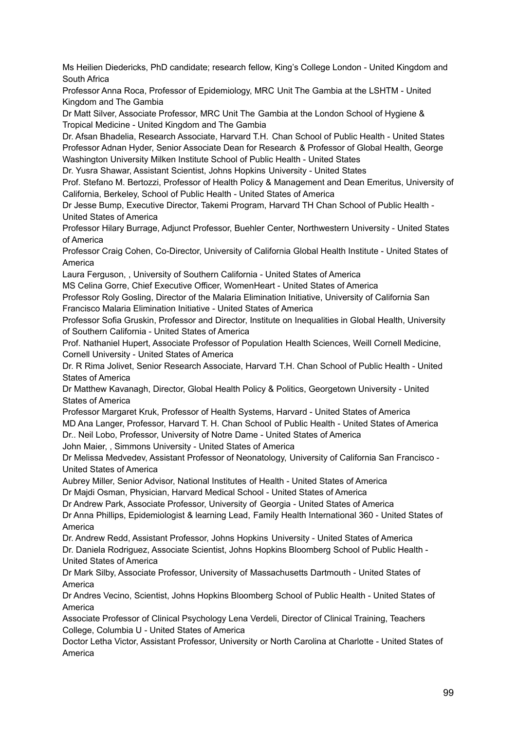Ms Heilien Diedericks, PhD candidate; research fellow, King's College London - United Kingdom and South Africa

Professor Anna Roca, Professor of Epidemiology, MRC Unit The Gambia at the LSHTM - United Kingdom and The Gambia

Dr Matt Silver, Associate Professor, MRC Unit The Gambia at the London School of Hygiene & Tropical Medicine - United Kingdom and The Gambia

Dr. Afsan Bhadelia, Research Associate, Harvard T.H. Chan School of Public Health - United States Professor Adnan Hyder, Senior Associate Dean for Research & Professor of Global Health, George Washington University Milken Institute School of Public Health - United States

Dr. Yusra Shawar, Assistant Scientist, Johns Hopkins University - United States

Prof. Stefano M. Bertozzi, Professor of Health Policy & Management and Dean Emeritus, University of California, Berkeley, School of Public Health - United States of America

Dr Jesse Bump, Executive Director, Takemi Program, Harvard TH Chan School of Public Health - United States of America

Professor Hilary Burrage, Adjunct Professor, Buehler Center, Northwestern University - United States of America

Professor Craig Cohen, Co-Director, University of California Global Health Institute - United States of America

Laura Ferguson, , University of Southern California - United States of America

MS Celina Gorre, Chief Executive Officer, WomenHeart - United States of America

Professor Roly Gosling, Director of the Malaria Elimination Initiative, University of California San Francisco Malaria Elimination Initiative - United States of America

Professor Sofia Gruskin, Professor and Director, Institute on Inequalities in Global Health, University of Southern California - United States of America

Prof. Nathaniel Hupert, Associate Professor of Population Health Sciences, Weill Cornell Medicine, Cornell University - United States of America

Dr. R Rima Jolivet, Senior Research Associate, Harvard T.H. Chan School of Public Health - United States of America

Dr Matthew Kavanagh, Director, Global Health Policy & Politics, Georgetown University - United States of America

Professor Margaret Kruk, Professor of Health Systems, Harvard - United States of America MD Ana Langer, Professor, Harvard T. H. Chan School of Public Health - United States of America

Dr.. Neil Lobo, Professor, University of Notre Dame - United States of America

John Maier, , Simmons University - United States of America

Dr Melissa Medvedev, Assistant Professor of Neonatology, University of California San Francisco - United States of America

Aubrey Miller, Senior Advisor, National Institutes of Health - United States of America

Dr Majdi Osman, Physician, Harvard Medical School - United States of America

Dr Andrew Park, Associate Professor, University of Georgia - United States of America

Dr Anna Phillips, Epidemiologist & learning Lead, Family Health International 360 - United States of America

Dr. Andrew Redd, Assistant Professor, Johns Hopkins University - United States of America Dr. Daniela Rodriguez, Associate Scientist, Johns Hopkins Bloomberg School of Public Health - United States of America

Dr Mark Silby, Associate Professor, University of Massachusetts Dartmouth - United States of America

Dr Andres Vecino, Scientist, Johns Hopkins Bloomberg School of Public Health - United States of America

Associate Professor of Clinical Psychology Lena Verdeli, Director of Clinical Training, Teachers College, Columbia U - United States of America

Doctor Letha Victor, Assistant Professor, University or North Carolina at Charlotte - United States of America